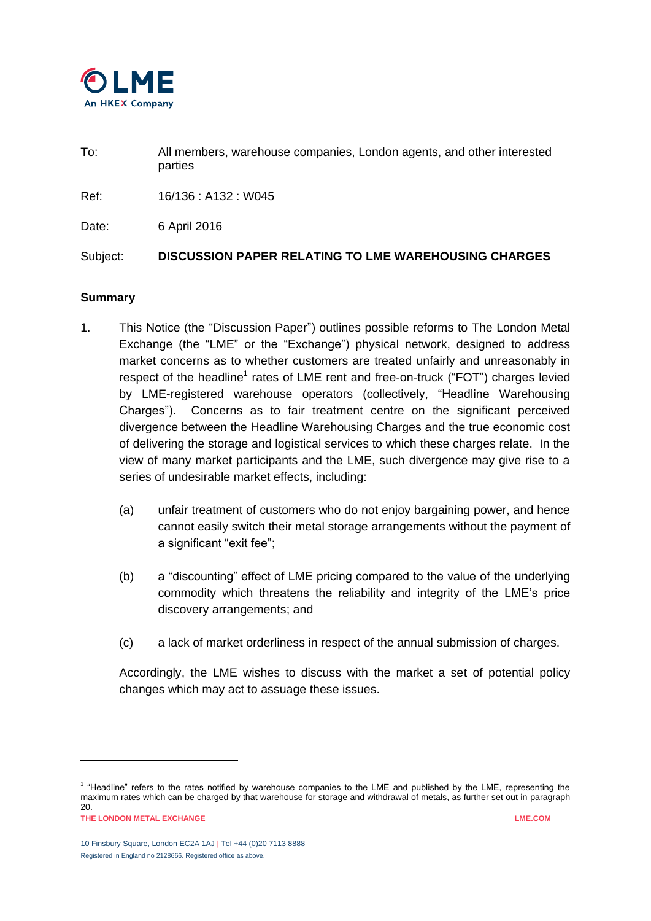

To: All members, warehouse companies, London agents, and other interested parties

Ref: 16/136 : A132 : W045

Date: 6 April 2016

Subject: **DISCUSSION PAPER RELATING TO LME WAREHOUSING CHARGES**

## **Summary**

- 1. This Notice (the "Discussion Paper") outlines possible reforms to The London Metal Exchange (the "LME" or the "Exchange") physical network, designed to address market concerns as to whether customers are treated unfairly and unreasonably in respect of the headline<sup>1</sup> rates of LME rent and free-on-truck ("FOT") charges levied by LME-registered warehouse operators (collectively, "Headline Warehousing Charges"). Concerns as to fair treatment centre on the significant perceived divergence between the Headline Warehousing Charges and the true economic cost of delivering the storage and logistical services to which these charges relate. In the view of many market participants and the LME, such divergence may give rise to a series of undesirable market effects, including:
	- (a) unfair treatment of customers who do not enjoy bargaining power, and hence cannot easily switch their metal storage arrangements without the payment of a significant "exit fee";
	- (b) a "discounting" effect of LME pricing compared to the value of the underlying commodity which threatens the reliability and integrity of the LME's price discovery arrangements; and
	- (c) a lack of market orderliness in respect of the annual submission of charges.

Accordingly, the LME wishes to discuss with the market a set of potential policy changes which may act to assuage these issues.

l

**THE LONDON METAL EXCHANGE LME.COM** <sup>1</sup> "Headline" refers to the rates notified by warehouse companies to the LME and published by the LME, representing the maximum rates which can be charged by that warehouse for storage and withdrawal of metals, as further set out in paragraph [20.](#page-5-0)

<sup>10</sup> Finsbury Square, London EC2A 1AJ | Tel +44 (0)20 7113 8888 Registered in England no 2128666. Registered office as above.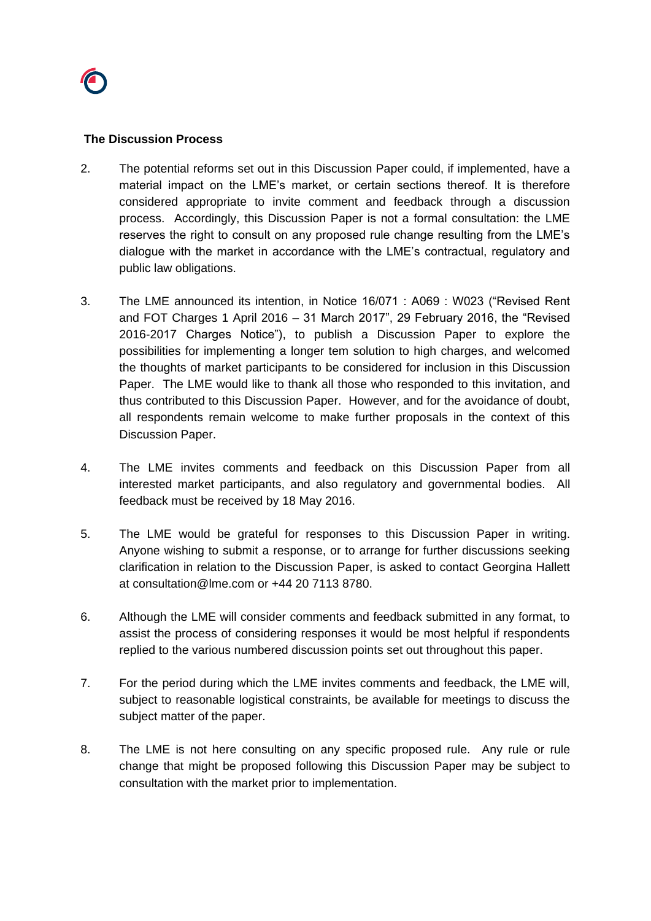

#### **The Discussion Process**

- 2. The potential reforms set out in this Discussion Paper could, if implemented, have a material impact on the LME's market, or certain sections thereof. It is therefore considered appropriate to invite comment and feedback through a discussion process. Accordingly, this Discussion Paper is not a formal consultation: the LME reserves the right to consult on any proposed rule change resulting from the LME's dialogue with the market in accordance with the LME's contractual, regulatory and public law obligations.
- 3. The LME announced its intention, in Notice 16/071 : A069 : W023 ("Revised Rent and FOT Charges 1 April 2016 – 31 March 2017", 29 February 2016, the "Revised 2016-2017 Charges Notice"), to publish a Discussion Paper to explore the possibilities for implementing a longer tem solution to high charges, and welcomed the thoughts of market participants to be considered for inclusion in this Discussion Paper. The LME would like to thank all those who responded to this invitation, and thus contributed to this Discussion Paper. However, and for the avoidance of doubt, all respondents remain welcome to make further proposals in the context of this Discussion Paper.
- 4. The LME invites comments and feedback on this Discussion Paper from all interested market participants, and also regulatory and governmental bodies. All feedback must be received by 18 May 2016.
- 5. The LME would be grateful for responses to this Discussion Paper in writing. Anyone wishing to submit a response, or to arrange for further discussions seeking clarification in relation to the Discussion Paper, is asked to contact Georgina Hallett at [consultation@lme.com](mailto:consultation@lme.com) or +44 20 7113 8780.
- 6. Although the LME will consider comments and feedback submitted in any format, to assist the process of considering responses it would be most helpful if respondents replied to the various numbered discussion points set out throughout this paper.
- 7. For the period during which the LME invites comments and feedback, the LME will, subject to reasonable logistical constraints, be available for meetings to discuss the subject matter of the paper.
- 8. The LME is not here consulting on any specific proposed rule. Any rule or rule change that might be proposed following this Discussion Paper may be subject to consultation with the market prior to implementation.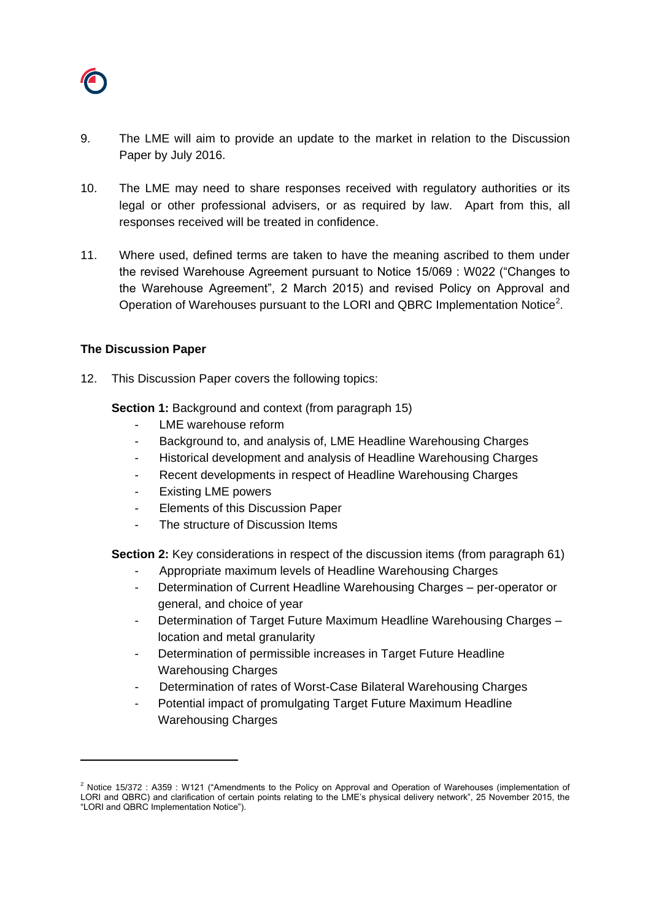

- 9. The LME will aim to provide an update to the market in relation to the Discussion Paper by July 2016.
- 10. The LME may need to share responses received with regulatory authorities or its legal or other professional advisers, or as required by law. Apart from this, all responses received will be treated in confidence.
- 11. Where used, defined terms are taken to have the meaning ascribed to them under the revised Warehouse Agreement pursuant to Notice 15/069 : W022 ("Changes to the Warehouse Agreement", 2 March 2015) and revised Policy on Approval and Operation of Warehouses pursuant to the LORI and QBRC Implementation Notice<sup>2</sup>.

## **The Discussion Paper**

l

12. This Discussion Paper covers the following topics:

**Section 1:** Background and context (from paragraph 15)

- LME warehouse reform
- Background to, and analysis of, LME Headline Warehousing Charges
- Historical development and analysis of Headline Warehousing Charges
- Recent developments in respect of Headline Warehousing Charges
- Existing LME powers
- Elements of this Discussion Paper
- The structure of Discussion Items

**Section 2:** Key considerations in respect of the discussion items (from paragraph 61)

- Appropriate maximum levels of Headline Warehousing Charges
- Determination of Current Headline Warehousing Charges per-operator or general, and choice of year
- Determination of Target Future Maximum Headline Warehousing Charges location and metal granularity
- Determination of permissible increases in Target Future Headline Warehousing Charges
- Determination of rates of Worst-Case Bilateral Warehousing Charges
- Potential impact of promulgating Target Future Maximum Headline Warehousing Charges

<sup>&</sup>lt;sup>2</sup> Notice 15/372 : A359 : W121 ("Amendments to the Policy on Approval and Operation of Warehouses (implementation of LORI and QBRC) and clarification of certain points relating to the LME's physical delivery network", 25 November 2015, the "LORI and QBRC Implementation Notice").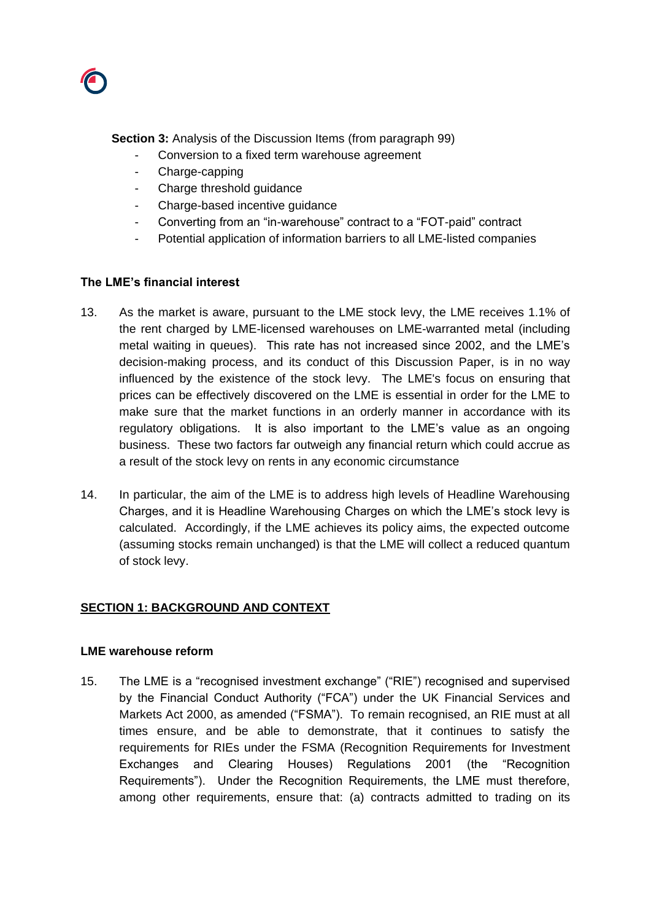

**Section 3:** Analysis of the Discussion Items (from paragraph 99)

- Conversion to a fixed term warehouse agreement
- Charge-capping
- Charge threshold guidance
- Charge-based incentive guidance
- Converting from an "in-warehouse" contract to a "FOT-paid" contract
- Potential application of information barriers to all LME-listed companies

#### **The LME's financial interest**

- 13. As the market is aware, pursuant to the LME stock levy, the LME receives 1.1% of the rent charged by LME-licensed warehouses on LME-warranted metal (including metal waiting in queues). This rate has not increased since 2002, and the LME's decision-making process, and its conduct of this Discussion Paper, is in no way influenced by the existence of the stock levy. The LME's focus on ensuring that prices can be effectively discovered on the LME is essential in order for the LME to make sure that the market functions in an orderly manner in accordance with its regulatory obligations. It is also important to the LME's value as an ongoing business. These two factors far outweigh any financial return which could accrue as a result of the stock levy on rents in any economic circumstance
- 14. In particular, the aim of the LME is to address high levels of Headline Warehousing Charges, and it is Headline Warehousing Charges on which the LME's stock levy is calculated. Accordingly, if the LME achieves its policy aims, the expected outcome (assuming stocks remain unchanged) is that the LME will collect a reduced quantum of stock levy.

## **SECTION 1: BACKGROUND AND CONTEXT**

#### **LME warehouse reform**

15. The LME is a "recognised investment exchange" ("RIE") recognised and supervised by the Financial Conduct Authority ("FCA") under the UK Financial Services and Markets Act 2000, as amended ("FSMA"). To remain recognised, an RIE must at all times ensure, and be able to demonstrate, that it continues to satisfy the requirements for RIEs under the FSMA (Recognition Requirements for Investment Exchanges and Clearing Houses) Regulations 2001 (the "Recognition Requirements"). Under the Recognition Requirements, the LME must therefore, among other requirements, ensure that: (a) contracts admitted to trading on its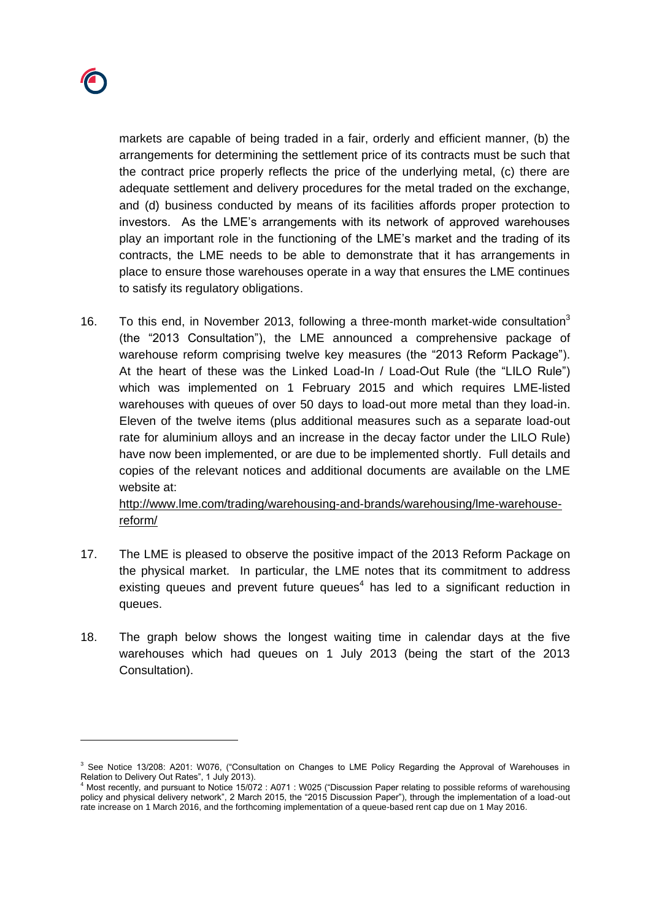

 $\overline{a}$ 

markets are capable of being traded in a fair, orderly and efficient manner, (b) the arrangements for determining the settlement price of its contracts must be such that the contract price properly reflects the price of the underlying metal, (c) there are adequate settlement and delivery procedures for the metal traded on the exchange, and (d) business conducted by means of its facilities affords proper protection to investors. As the LME's arrangements with its network of approved warehouses play an important role in the functioning of the LME's market and the trading of its contracts, the LME needs to be able to demonstrate that it has arrangements in place to ensure those warehouses operate in a way that ensures the LME continues to satisfy its regulatory obligations.

16. To this end, in November 2013, following a three-month market-wide consultation<sup>3</sup> (the "2013 Consultation"), the LME announced a comprehensive package of warehouse reform comprising twelve key measures (the "2013 Reform Package"). At the heart of these was the Linked Load-In / Load-Out Rule (the "LILO Rule") which was implemented on 1 February 2015 and which requires LME-listed warehouses with queues of over 50 days to load-out more metal than they load-in. Eleven of the twelve items (plus additional measures such as a separate load-out rate for aluminium alloys and an increase in the decay factor under the LILO Rule) have now been implemented, or are due to be implemented shortly. Full details and copies of the relevant notices and additional documents are available on the LME website at:

[http://www.lme.com/trading/warehousing-and-brands/warehousing/lme-warehouse](http://www.lme.com/trading/warehousing-and-brands/warehousing/lme-warehouse-reform/)[reform/](http://www.lme.com/trading/warehousing-and-brands/warehousing/lme-warehouse-reform/)

- 17. The LME is pleased to observe the positive impact of the 2013 Reform Package on the physical market. In particular, the LME notes that its commitment to address existing queues and prevent future queues<sup>4</sup> has led to a significant reduction in queues.
- 18. The graph below shows the longest waiting time in calendar days at the five warehouses which had queues on 1 July 2013 (being the start of the 2013 Consultation).

<sup>&</sup>lt;sup>3</sup> See Notice 13/208: A201: W076, ("Consultation on Changes to LME Policy Regarding the Approval of Warehouses in Relation to Delivery Out Rates", 1 July 2013).

<sup>4</sup> Most recently, and pursuant to Notice 15/072 : A071 : W025 ("Discussion Paper relating to possible reforms of warehousing policy and physical delivery network", 2 March 2015, the "2015 Discussion Paper"), through the implementation of a load-out rate increase on 1 March 2016, and the forthcoming implementation of a queue-based rent cap due on 1 May 2016.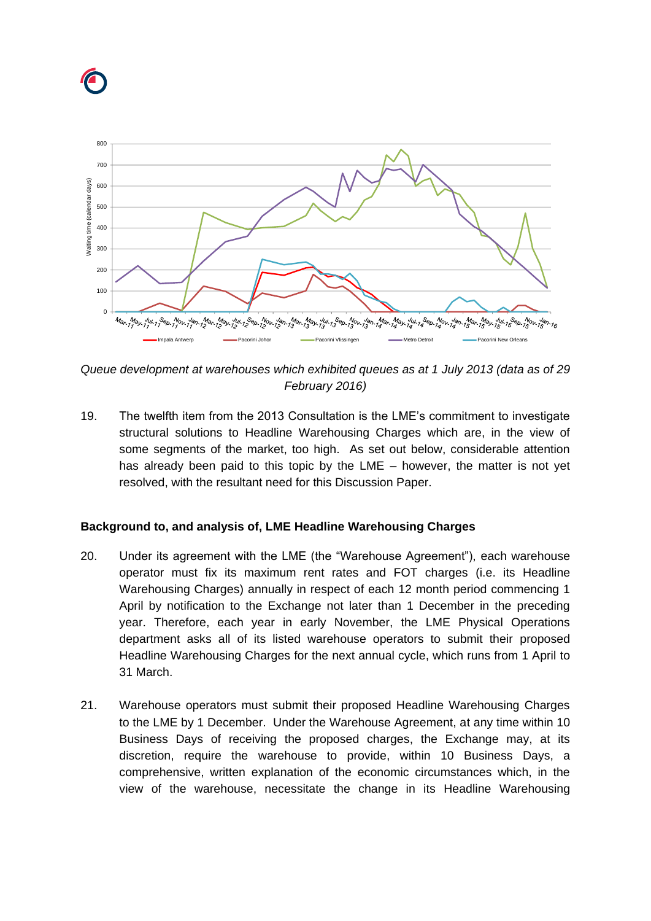



*Queue development at warehouses which exhibited queues as at 1 July 2013 (data as of 29 February 2016)*

19. The twelfth item from the 2013 Consultation is the LME's commitment to investigate structural solutions to Headline Warehousing Charges which are, in the view of some segments of the market, too high. As set out below, considerable attention has already been paid to this topic by the LME – however, the matter is not yet resolved, with the resultant need for this Discussion Paper.

# **Background to, and analysis of, LME Headline Warehousing Charges**

- <span id="page-5-0"></span>20. Under its agreement with the LME (the "Warehouse Agreement"), each warehouse operator must fix its maximum rent rates and FOT charges (i.e. its Headline Warehousing Charges) annually in respect of each 12 month period commencing 1 April by notification to the Exchange not later than 1 December in the preceding year. Therefore, each year in early November, the LME Physical Operations department asks all of its listed warehouse operators to submit their proposed Headline Warehousing Charges for the next annual cycle, which runs from 1 April to 31 March.
- <span id="page-5-1"></span>21. Warehouse operators must submit their proposed Headline Warehousing Charges to the LME by 1 December. Under the Warehouse Agreement, at any time within 10 Business Days of receiving the proposed charges, the Exchange may, at its discretion, require the warehouse to provide, within 10 Business Days, a comprehensive, written explanation of the economic circumstances which, in the view of the warehouse, necessitate the change in its Headline Warehousing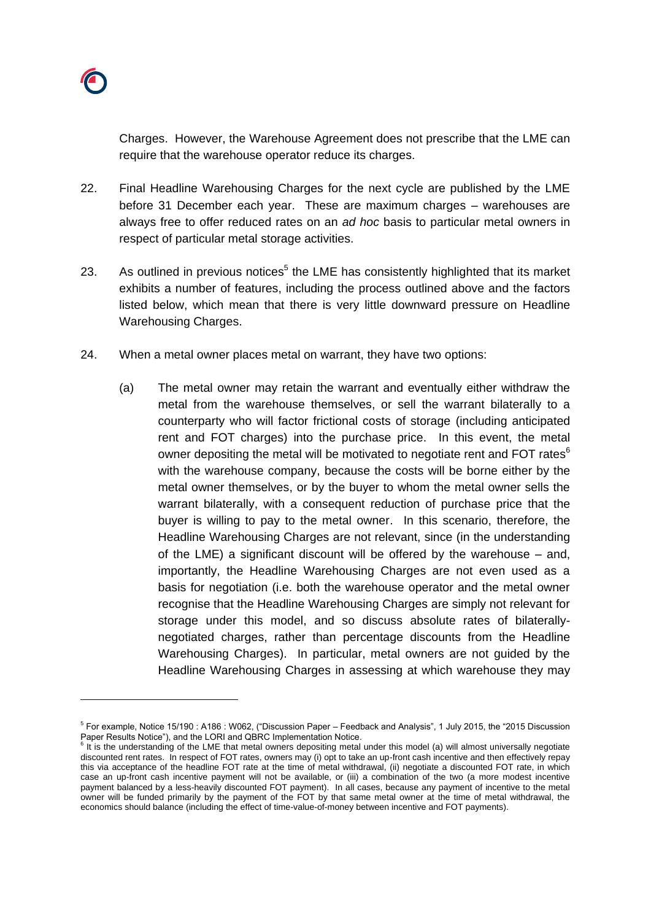Charges. However, the Warehouse Agreement does not prescribe that the LME can require that the warehouse operator reduce its charges.

- 22. Final Headline Warehousing Charges for the next cycle are published by the LME before 31 December each year. These are maximum charges – warehouses are always free to offer reduced rates on an *ad hoc* basis to particular metal owners in respect of particular metal storage activities.
- 23. As outlined in previous notices<sup>5</sup> the LME has consistently highlighted that its market exhibits a number of features, including the process outlined above and the factors listed below, which mean that there is very little downward pressure on Headline Warehousing Charges.
- <span id="page-6-0"></span>24. When a metal owner places metal on warrant, they have two options:
	- (a) The metal owner may retain the warrant and eventually either withdraw the metal from the warehouse themselves, or sell the warrant bilaterally to a counterparty who will factor frictional costs of storage (including anticipated rent and FOT charges) into the purchase price. In this event, the metal owner depositing the metal will be motivated to negotiate rent and FOT rates<sup>6</sup> with the warehouse company, because the costs will be borne either by the metal owner themselves, or by the buyer to whom the metal owner sells the warrant bilaterally, with a consequent reduction of purchase price that the buyer is willing to pay to the metal owner. In this scenario, therefore, the Headline Warehousing Charges are not relevant, since (in the understanding of the LME) a significant discount will be offered by the warehouse – and, importantly, the Headline Warehousing Charges are not even used as a basis for negotiation (i.e. both the warehouse operator and the metal owner recognise that the Headline Warehousing Charges are simply not relevant for storage under this model, and so discuss absolute rates of bilaterallynegotiated charges, rather than percentage discounts from the Headline Warehousing Charges). In particular, metal owners are not guided by the Headline Warehousing Charges in assessing at which warehouse they may

<sup>5</sup> For example, Notice 15/190 : A186 : W062, ("Discussion Paper – Feedback and Analysis", 1 July 2015, the "2015 Discussion Paper Results Notice"), and the LORI and QBRC Implementation Notice.

 $6$  It is the understanding of the LME that metal owners depositing metal under this model (a) will almost universally negotiate discounted rent rates. In respect of FOT rates, owners may (i) opt to take an up-front cash incentive and then effectively repay this via acceptance of the headline FOT rate at the time of metal withdrawal, (ii) negotiate a discounted FOT rate, in which case an up-front cash incentive payment will not be available, or (iii) a combination of the two (a more modest incentive payment balanced by a less-heavily discounted FOT payment). In all cases, because any payment of incentive to the metal owner will be funded primarily by the payment of the FOT by that same metal owner at the time of metal withdrawal, the economics should balance (including the effect of time-value-of-money between incentive and FOT payments).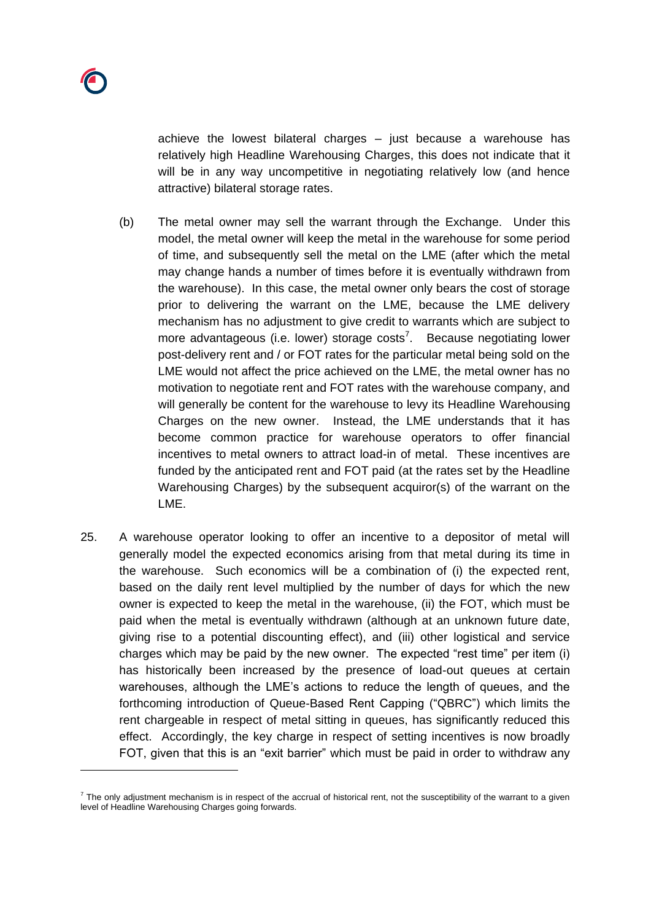achieve the lowest bilateral charges – just because a warehouse has relatively high Headline Warehousing Charges, this does not indicate that it will be in any way uncompetitive in negotiating relatively low (and hence attractive) bilateral storage rates.

- (b) The metal owner may sell the warrant through the Exchange. Under this model, the metal owner will keep the metal in the warehouse for some period of time, and subsequently sell the metal on the LME (after which the metal may change hands a number of times before it is eventually withdrawn from the warehouse). In this case, the metal owner only bears the cost of storage prior to delivering the warrant on the LME, because the LME delivery mechanism has no adjustment to give credit to warrants which are subject to more advantageous (i.e. lower) storage costs<sup>7</sup>. Because negotiating lower post-delivery rent and / or FOT rates for the particular metal being sold on the LME would not affect the price achieved on the LME, the metal owner has no motivation to negotiate rent and FOT rates with the warehouse company, and will generally be content for the warehouse to levy its Headline Warehousing Charges on the new owner. Instead, the LME understands that it has become common practice for warehouse operators to offer financial incentives to metal owners to attract load-in of metal. These incentives are funded by the anticipated rent and FOT paid (at the rates set by the Headline Warehousing Charges) by the subsequent acquiror(s) of the warrant on the LME.
- <span id="page-7-0"></span>25. A warehouse operator looking to offer an incentive to a depositor of metal will generally model the expected economics arising from that metal during its time in the warehouse. Such economics will be a combination of (i) the expected rent, based on the daily rent level multiplied by the number of days for which the new owner is expected to keep the metal in the warehouse, (ii) the FOT, which must be paid when the metal is eventually withdrawn (although at an unknown future date, giving rise to a potential discounting effect), and (iii) other logistical and service charges which may be paid by the new owner. The expected "rest time" per item (i) has historically been increased by the presence of load-out queues at certain warehouses, although the LME's actions to reduce the length of queues, and the forthcoming introduction of Queue-Based Rent Capping ("QBRC") which limits the rent chargeable in respect of metal sitting in queues, has significantly reduced this effect. Accordingly, the key charge in respect of setting incentives is now broadly FOT, given that this is an "exit barrier" which must be paid in order to withdraw any

 $^7$  The only adjustment mechanism is in respect of the accrual of historical rent, not the susceptibility of the warrant to a given level of Headline Warehousing Charges going forwards.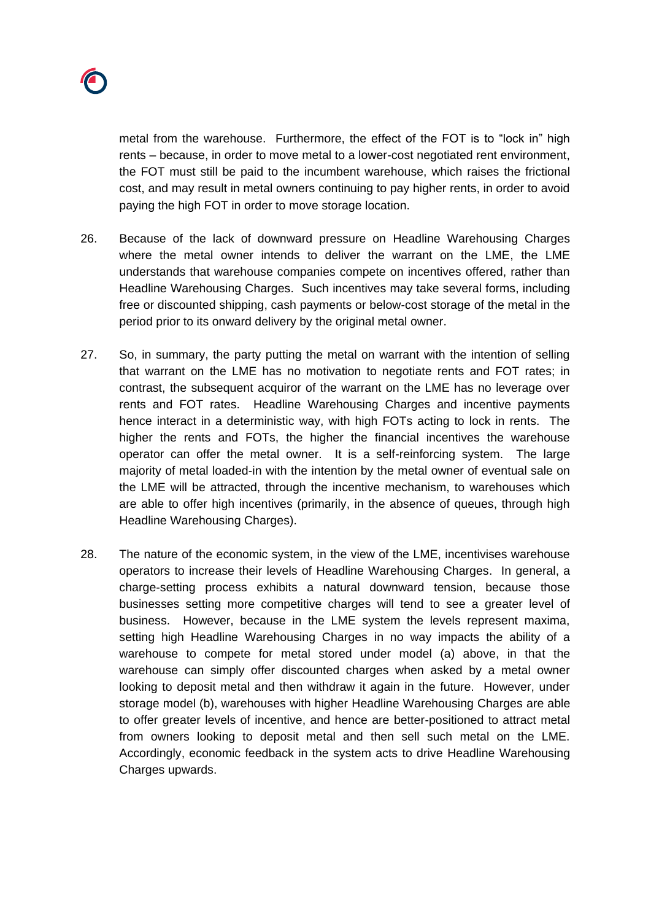metal from the warehouse. Furthermore, the effect of the FOT is to "lock in" high rents – because, in order to move metal to a lower-cost negotiated rent environment, the FOT must still be paid to the incumbent warehouse, which raises the frictional cost, and may result in metal owners continuing to pay higher rents, in order to avoid paying the high FOT in order to move storage location.

- 26. Because of the lack of downward pressure on Headline Warehousing Charges where the metal owner intends to deliver the warrant on the LME, the LME understands that warehouse companies compete on incentives offered, rather than Headline Warehousing Charges. Such incentives may take several forms, including free or discounted shipping, cash payments or below-cost storage of the metal in the period prior to its onward delivery by the original metal owner.
- 27. So, in summary, the party putting the metal on warrant with the intention of selling that warrant on the LME has no motivation to negotiate rents and FOT rates; in contrast, the subsequent acquiror of the warrant on the LME has no leverage over rents and FOT rates. Headline Warehousing Charges and incentive payments hence interact in a deterministic way, with high FOTs acting to lock in rents. The higher the rents and FOTs, the higher the financial incentives the warehouse operator can offer the metal owner. It is a self-reinforcing system. The large majority of metal loaded-in with the intention by the metal owner of eventual sale on the LME will be attracted, through the incentive mechanism, to warehouses which are able to offer high incentives (primarily, in the absence of queues, through high Headline Warehousing Charges).
- 28. The nature of the economic system, in the view of the LME, incentivises warehouse operators to increase their levels of Headline Warehousing Charges. In general, a charge-setting process exhibits a natural downward tension, because those businesses setting more competitive charges will tend to see a greater level of business. However, because in the LME system the levels represent maxima, setting high Headline Warehousing Charges in no way impacts the ability of a warehouse to compete for metal stored under model (a) above, in that the warehouse can simply offer discounted charges when asked by a metal owner looking to deposit metal and then withdraw it again in the future. However, under storage model (b), warehouses with higher Headline Warehousing Charges are able to offer greater levels of incentive, and hence are better-positioned to attract metal from owners looking to deposit metal and then sell such metal on the LME. Accordingly, economic feedback in the system acts to drive Headline Warehousing Charges upwards.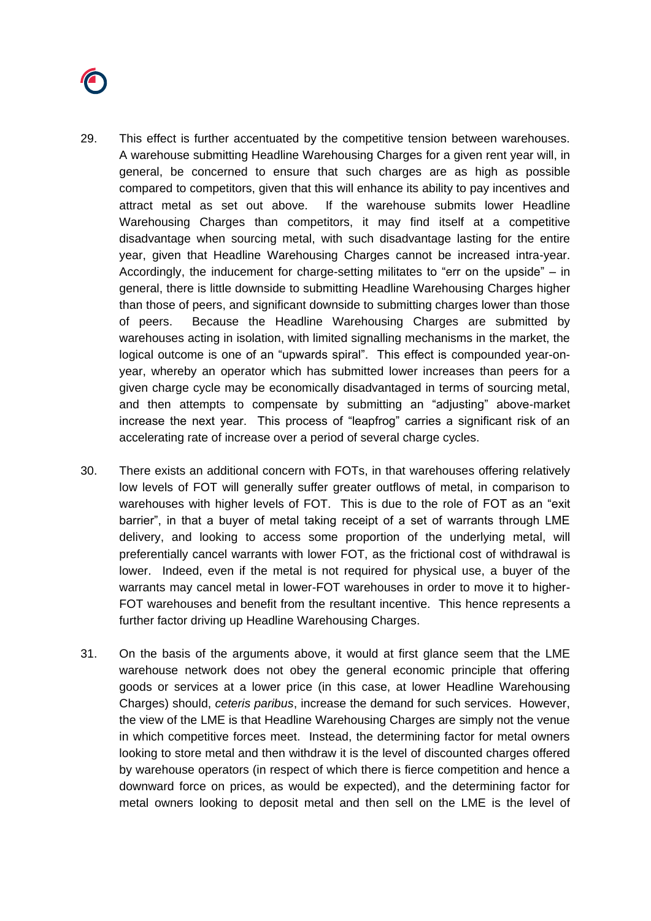

- <span id="page-9-0"></span>29. This effect is further accentuated by the competitive tension between warehouses. A warehouse submitting Headline Warehousing Charges for a given rent year will, in general, be concerned to ensure that such charges are as high as possible compared to competitors, given that this will enhance its ability to pay incentives and attract metal as set out above. If the warehouse submits lower Headline Warehousing Charges than competitors, it may find itself at a competitive disadvantage when sourcing metal, with such disadvantage lasting for the entire year, given that Headline Warehousing Charges cannot be increased intra-year. Accordingly, the inducement for charge-setting militates to "err on the upside" – in general, there is little downside to submitting Headline Warehousing Charges higher than those of peers, and significant downside to submitting charges lower than those of peers. Because the Headline Warehousing Charges are submitted by warehouses acting in isolation, with limited signalling mechanisms in the market, the logical outcome is one of an "upwards spiral". This effect is compounded year-onyear, whereby an operator which has submitted lower increases than peers for a given charge cycle may be economically disadvantaged in terms of sourcing metal, and then attempts to compensate by submitting an "adjusting" above-market increase the next year. This process of "leapfrog" carries a significant risk of an accelerating rate of increase over a period of several charge cycles.
- 30. There exists an additional concern with FOTs, in that warehouses offering relatively low levels of FOT will generally suffer greater outflows of metal, in comparison to warehouses with higher levels of FOT. This is due to the role of FOT as an "exit barrier", in that a buyer of metal taking receipt of a set of warrants through LME delivery, and looking to access some proportion of the underlying metal, will preferentially cancel warrants with lower FOT, as the frictional cost of withdrawal is lower. Indeed, even if the metal is not required for physical use, a buyer of the warrants may cancel metal in lower-FOT warehouses in order to move it to higher-FOT warehouses and benefit from the resultant incentive. This hence represents a further factor driving up Headline Warehousing Charges.
- <span id="page-9-1"></span>31. On the basis of the arguments above, it would at first glance seem that the LME warehouse network does not obey the general economic principle that offering goods or services at a lower price (in this case, at lower Headline Warehousing Charges) should, *ceteris paribus*, increase the demand for such services. However, the view of the LME is that Headline Warehousing Charges are simply not the venue in which competitive forces meet. Instead, the determining factor for metal owners looking to store metal and then withdraw it is the level of discounted charges offered by warehouse operators (in respect of which there is fierce competition and hence a downward force on prices, as would be expected), and the determining factor for metal owners looking to deposit metal and then sell on the LME is the level of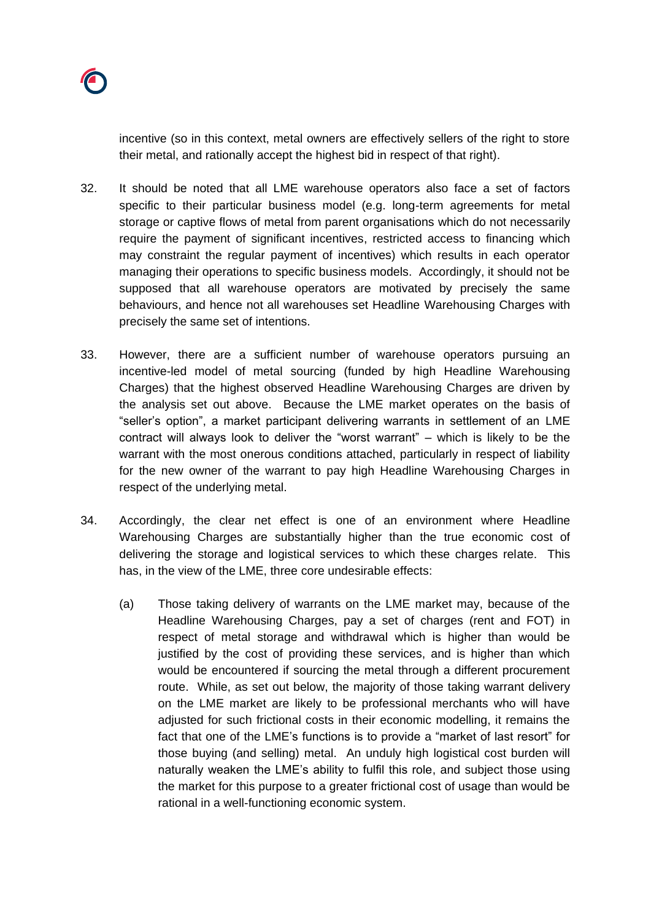

incentive (so in this context, metal owners are effectively sellers of the right to store their metal, and rationally accept the highest bid in respect of that right).

- <span id="page-10-1"></span>32. It should be noted that all LME warehouse operators also face a set of factors specific to their particular business model (e.g. long-term agreements for metal storage or captive flows of metal from parent organisations which do not necessarily require the payment of significant incentives, restricted access to financing which may constraint the regular payment of incentives) which results in each operator managing their operations to specific business models. Accordingly, it should not be supposed that all warehouse operators are motivated by precisely the same behaviours, and hence not all warehouses set Headline Warehousing Charges with precisely the same set of intentions.
- <span id="page-10-0"></span>33. However, there are a sufficient number of warehouse operators pursuing an incentive-led model of metal sourcing (funded by high Headline Warehousing Charges) that the highest observed Headline Warehousing Charges are driven by the analysis set out above. Because the LME market operates on the basis of "seller's option", a market participant delivering warrants in settlement of an LME contract will always look to deliver the "worst warrant" – which is likely to be the warrant with the most onerous conditions attached, particularly in respect of liability for the new owner of the warrant to pay high Headline Warehousing Charges in respect of the underlying metal.
- <span id="page-10-2"></span>34. Accordingly, the clear net effect is one of an environment where Headline Warehousing Charges are substantially higher than the true economic cost of delivering the storage and logistical services to which these charges relate. This has, in the view of the LME, three core undesirable effects:
	- (a) Those taking delivery of warrants on the LME market may, because of the Headline Warehousing Charges, pay a set of charges (rent and FOT) in respect of metal storage and withdrawal which is higher than would be justified by the cost of providing these services, and is higher than which would be encountered if sourcing the metal through a different procurement route. While, as set out below, the majority of those taking warrant delivery on the LME market are likely to be professional merchants who will have adjusted for such frictional costs in their economic modelling, it remains the fact that one of the LME's functions is to provide a "market of last resort" for those buying (and selling) metal. An unduly high logistical cost burden will naturally weaken the LME's ability to fulfil this role, and subject those using the market for this purpose to a greater frictional cost of usage than would be rational in a well-functioning economic system.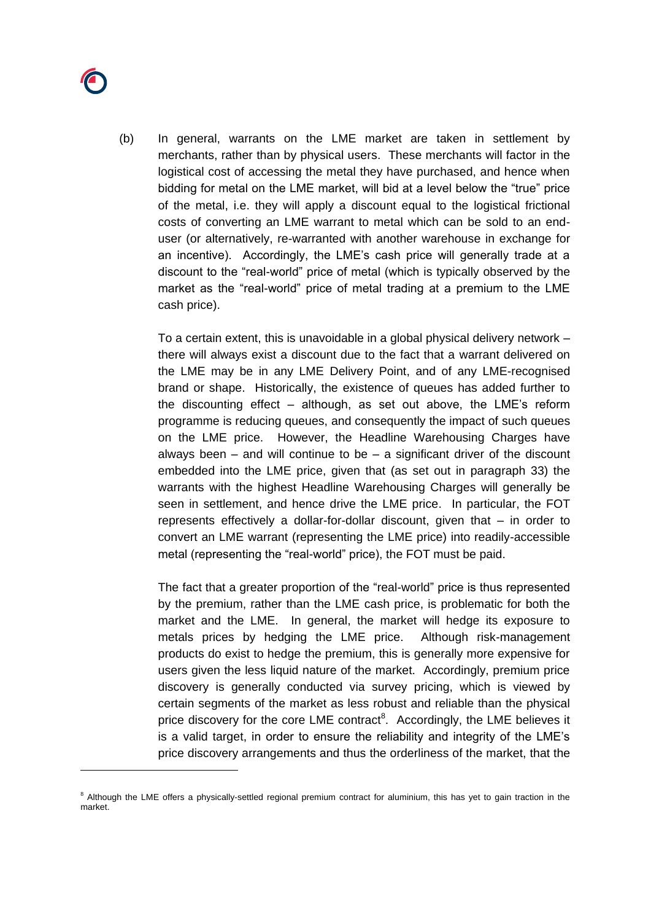

(b) In general, warrants on the LME market are taken in settlement by merchants, rather than by physical users. These merchants will factor in the logistical cost of accessing the metal they have purchased, and hence when bidding for metal on the LME market, will bid at a level below the "true" price of the metal, i.e. they will apply a discount equal to the logistical frictional costs of converting an LME warrant to metal which can be sold to an enduser (or alternatively, re-warranted with another warehouse in exchange for an incentive). Accordingly, the LME's cash price will generally trade at a discount to the "real-world" price of metal (which is typically observed by the market as the "real-world" price of metal trading at a premium to the LME cash price).

To a certain extent, this is unavoidable in a global physical delivery network – there will always exist a discount due to the fact that a warrant delivered on the LME may be in any LME Delivery Point, and of any LME-recognised brand or shape. Historically, the existence of queues has added further to the discounting effect – although, as set out above, the LME's reform programme is reducing queues, and consequently the impact of such queues on the LME price. However, the Headline Warehousing Charges have always been  $-$  and will continue to be  $-$  a significant driver of the discount embedded into the LME price, given that (as set out in paragraph [33\)](#page-10-0) the warrants with the highest Headline Warehousing Charges will generally be seen in settlement, and hence drive the LME price. In particular, the FOT represents effectively a dollar-for-dollar discount, given that – in order to convert an LME warrant (representing the LME price) into readily-accessible metal (representing the "real-world" price), the FOT must be paid.

The fact that a greater proportion of the "real-world" price is thus represented by the premium, rather than the LME cash price, is problematic for both the market and the LME. In general, the market will hedge its exposure to metals prices by hedging the LME price. Although risk-management products do exist to hedge the premium, this is generally more expensive for users given the less liquid nature of the market. Accordingly, premium price discovery is generally conducted via survey pricing, which is viewed by certain segments of the market as less robust and reliable than the physical price discovery for the core LME contract<sup>8</sup>. Accordingly, the LME believes it is a valid target, in order to ensure the reliability and integrity of the LME's price discovery arrangements and thus the orderliness of the market, that the

<sup>&</sup>lt;sup>8</sup> Although the LME offers a physically-settled regional premium contract for aluminium, this has yet to gain traction in the market.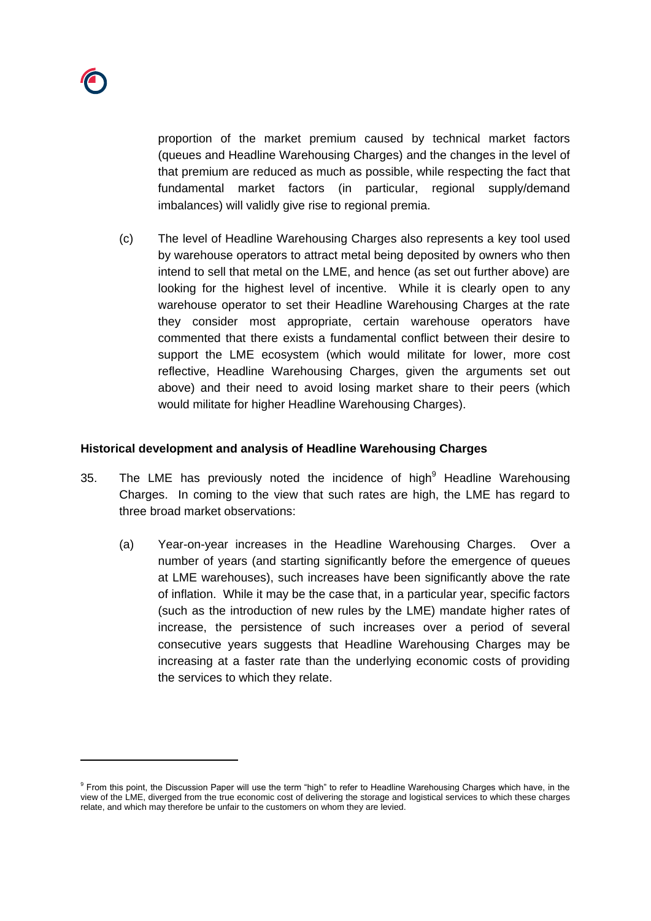

proportion of the market premium caused by technical market factors (queues and Headline Warehousing Charges) and the changes in the level of that premium are reduced as much as possible, while respecting the fact that fundamental market factors (in particular, regional supply/demand imbalances) will validly give rise to regional premia.

(c) The level of Headline Warehousing Charges also represents a key tool used by warehouse operators to attract metal being deposited by owners who then intend to sell that metal on the LME, and hence (as set out further above) are looking for the highest level of incentive. While it is clearly open to any warehouse operator to set their Headline Warehousing Charges at the rate they consider most appropriate, certain warehouse operators have commented that there exists a fundamental conflict between their desire to support the LME ecosystem (which would militate for lower, more cost reflective, Headline Warehousing Charges, given the arguments set out above) and their need to avoid losing market share to their peers (which would militate for higher Headline Warehousing Charges).

## **Historical development and analysis of Headline Warehousing Charges**

- <span id="page-12-0"></span>35. The LME has previously noted the incidence of high $9$  Headline Warehousing Charges. In coming to the view that such rates are high, the LME has regard to three broad market observations:
	- (a) Year-on-year increases in the Headline Warehousing Charges. Over a number of years (and starting significantly before the emergence of queues at LME warehouses), such increases have been significantly above the rate of inflation. While it may be the case that, in a particular year, specific factors (such as the introduction of new rules by the LME) mandate higher rates of increase, the persistence of such increases over a period of several consecutive years suggests that Headline Warehousing Charges may be increasing at a faster rate than the underlying economic costs of providing the services to which they relate.

<sup>&</sup>lt;sup>9</sup> From this point, the Discussion Paper will use the term "high" to refer to Headline Warehousing Charges which have, in the view of the LME, diverged from the true economic cost of delivering the storage and logistical services to which these charges relate, and which may therefore be unfair to the customers on whom they are levied.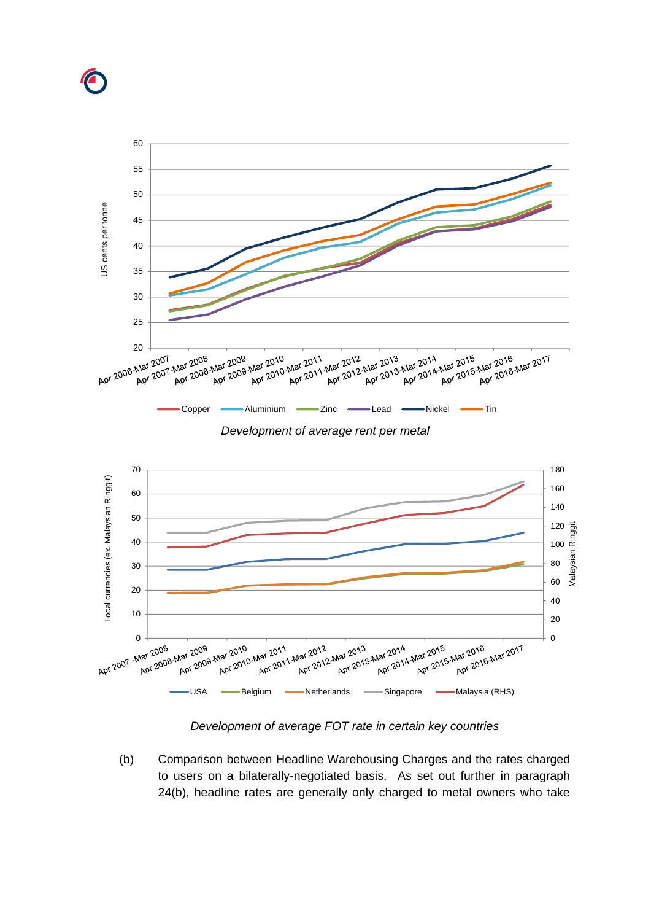







*Development of average FOT rate in certain key countries*

(b) Comparison between Headline Warehousing Charges and the rates charged to users on a bilaterally-negotiated basis. As set out further in paragraph [24\(b\),](#page-6-0) headline rates are generally only charged to metal owners who take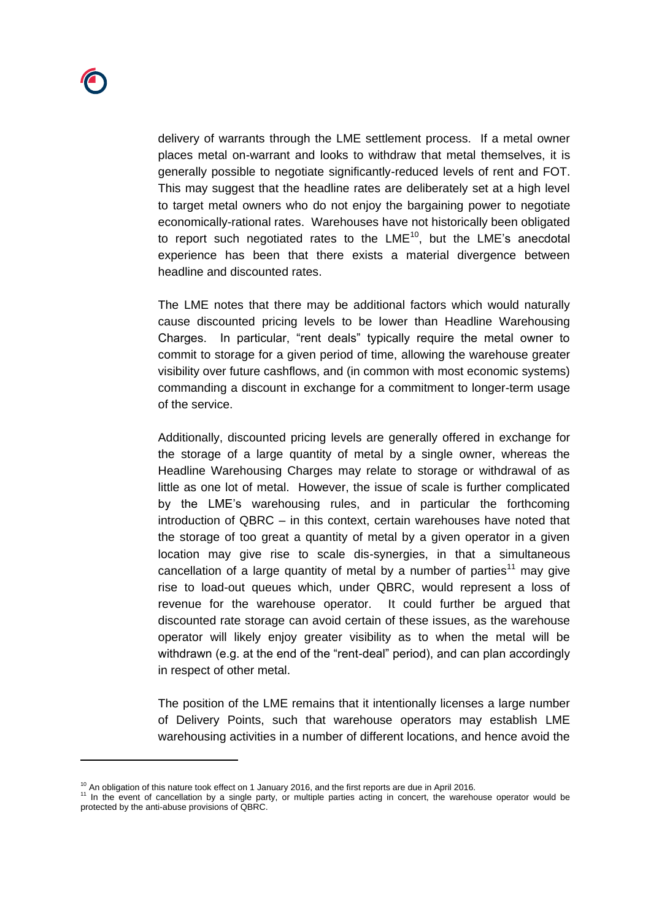delivery of warrants through the LME settlement process. If a metal owner places metal on-warrant and looks to withdraw that metal themselves, it is generally possible to negotiate significantly-reduced levels of rent and FOT. This may suggest that the headline rates are deliberately set at a high level to target metal owners who do not enjoy the bargaining power to negotiate economically-rational rates. Warehouses have not historically been obligated to report such negotiated rates to the  $LME^{10}$ , but the LME's anecdotal experience has been that there exists a material divergence between headline and discounted rates.

The LME notes that there may be additional factors which would naturally cause discounted pricing levels to be lower than Headline Warehousing Charges. In particular, "rent deals" typically require the metal owner to commit to storage for a given period of time, allowing the warehouse greater visibility over future cashflows, and (in common with most economic systems) commanding a discount in exchange for a commitment to longer-term usage of the service.

Additionally, discounted pricing levels are generally offered in exchange for the storage of a large quantity of metal by a single owner, whereas the Headline Warehousing Charges may relate to storage or withdrawal of as little as one lot of metal. However, the issue of scale is further complicated by the LME's warehousing rules, and in particular the forthcoming introduction of QBRC – in this context, certain warehouses have noted that the storage of too great a quantity of metal by a given operator in a given location may give rise to scale dis-synergies, in that a simultaneous cancellation of a large quantity of metal by a number of parties<sup>11</sup> may give rise to load-out queues which, under QBRC, would represent a loss of revenue for the warehouse operator. It could further be argued that discounted rate storage can avoid certain of these issues, as the warehouse operator will likely enjoy greater visibility as to when the metal will be withdrawn (e.g. at the end of the "rent-deal" period), and can plan accordingly in respect of other metal.

The position of the LME remains that it intentionally licenses a large number of Delivery Points, such that warehouse operators may establish LME warehousing activities in a number of different locations, and hence avoid the

 $10$  An obligation of this nature took effect on 1 January 2016, and the first reports are due in April 2016.

<sup>&</sup>lt;sup>11</sup> In the event of cancellation by a single party, or multiple parties acting in concert, the warehouse operator would be protected by the anti-abuse provisions of QBRC.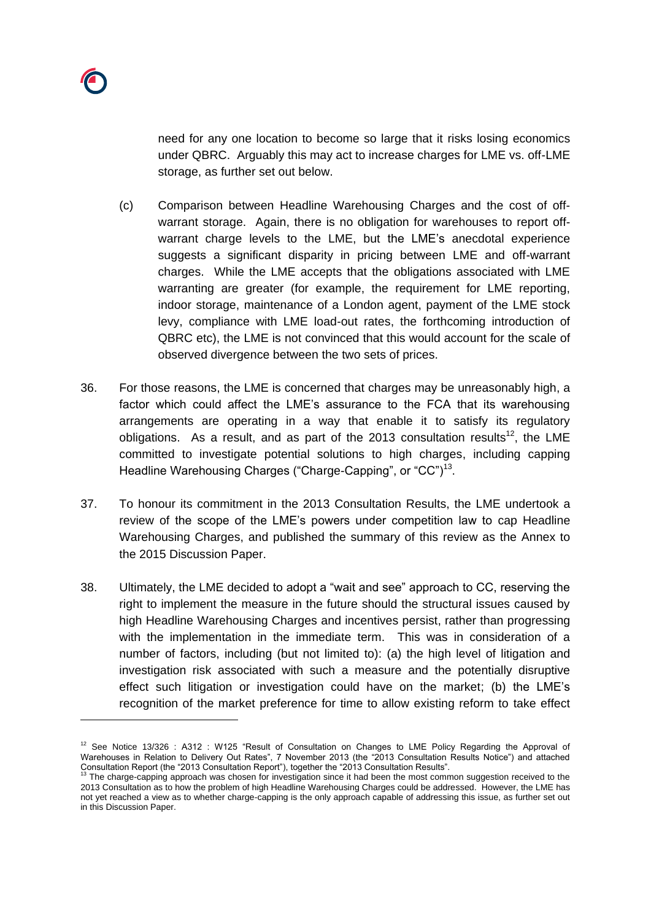need for any one location to become so large that it risks losing economics under QBRC. Arguably this may act to increase charges for LME vs. off-LME storage, as further set out below.

- (c) Comparison between Headline Warehousing Charges and the cost of offwarrant storage. Again, there is no obligation for warehouses to report offwarrant charge levels to the LME, but the LME's anecdotal experience suggests a significant disparity in pricing between LME and off-warrant charges. While the LME accepts that the obligations associated with LME warranting are greater (for example, the requirement for LME reporting, indoor storage, maintenance of a London agent, payment of the LME stock levy, compliance with LME load-out rates, the forthcoming introduction of QBRC etc), the LME is not convinced that this would account for the scale of observed divergence between the two sets of prices.
- 36. For those reasons, the LME is concerned that charges may be unreasonably high, a factor which could affect the LME's assurance to the FCA that its warehousing arrangements are operating in a way that enable it to satisfy its regulatory obligations. As a result, and as part of the 2013 consultation results<sup>12</sup>, the LME committed to investigate potential solutions to high charges, including capping Headline Warehousing Charges ("Charge-Capping", or "CC")<sup>13</sup>.
- 37. To honour its commitment in the 2013 Consultation Results, the LME undertook a review of the scope of the LME's powers under competition law to cap Headline Warehousing Charges, and published the summary of this review as the Annex to the 2015 Discussion Paper.
- 38. Ultimately, the LME decided to adopt a "wait and see" approach to CC, reserving the right to implement the measure in the future should the structural issues caused by high Headline Warehousing Charges and incentives persist, rather than progressing with the implementation in the immediate term. This was in consideration of a number of factors, including (but not limited to): (a) the high level of litigation and investigation risk associated with such a measure and the potentially disruptive effect such litigation or investigation could have on the market; (b) the LME's recognition of the market preference for time to allow existing reform to take effect

<sup>&</sup>lt;sup>12</sup> See Notice 13/326 : A312 : W125 "Result of Consultation on Changes to LME Policy Regarding the Approval of Warehouses in Relation to Delivery Out Rates", 7 November 2013 (the "2013 Consultation Results Notice") and attached Consultation Report (the "2013 Consultation Report"), together the "2013 Consultation Results".<br><sup>13</sup> The charge-capping approach was chosen for investigation since it had been the most common suggestion received to the

<sup>2013</sup> Consultation as to how the problem of high Headline Warehousing Charges could be addressed. However, the LME has not yet reached a view as to whether charge-capping is the only approach capable of addressing this issue, as further set out in this Discussion Paper.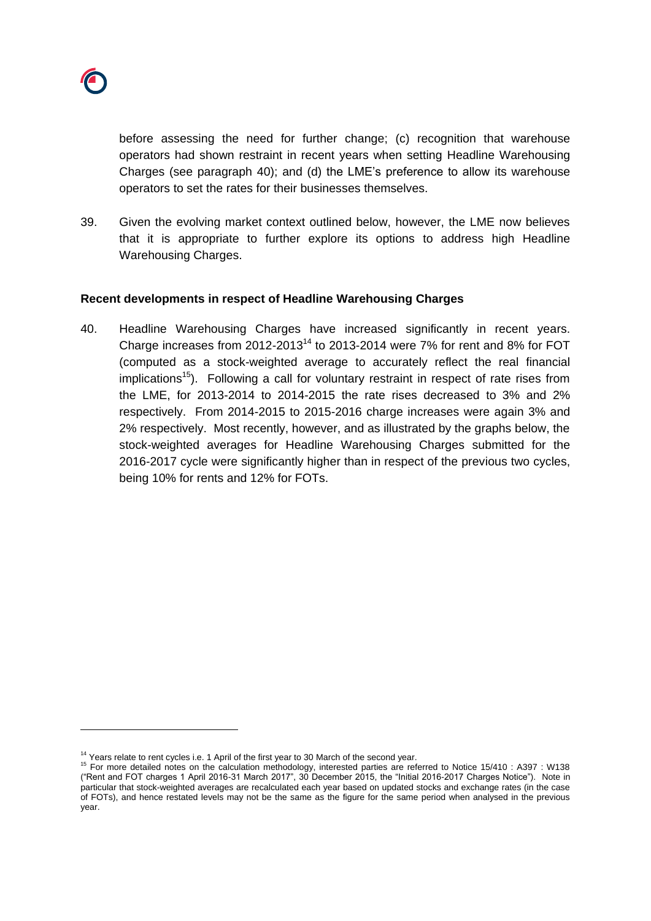

before assessing the need for further change; (c) recognition that warehouse operators had shown restraint in recent years when setting Headline Warehousing Charges (see paragraph [40\)](#page-16-0); and (d) the LME's preference to allow its warehouse operators to set the rates for their businesses themselves.

39. Given the evolving market context outlined below, however, the LME now believes that it is appropriate to further explore its options to address high Headline Warehousing Charges.

#### **Recent developments in respect of Headline Warehousing Charges**

<span id="page-16-0"></span>40. Headline Warehousing Charges have increased significantly in recent years. Charge increases from 2012-2013<sup>14</sup> to 2013-2014 were 7% for rent and 8% for FOT (computed as a stock-weighted average to accurately reflect the real financial  $implications<sup>15</sup>$ . Following a call for voluntary restraint in respect of rate rises from the LME, for 2013-2014 to 2014-2015 the rate rises decreased to 3% and 2% respectively. From 2014-2015 to 2015-2016 charge increases were again 3% and 2% respectively. Most recently, however, and as illustrated by the graphs below, the stock-weighted averages for Headline Warehousing Charges submitted for the 2016-2017 cycle were significantly higher than in respect of the previous two cycles, being 10% for rents and 12% for FOTs.

<sup>&</sup>lt;sup>14</sup> Years relate to rent cycles i.e. 1 April of the first year to 30 March of the second year.

<sup>&</sup>lt;sup>15</sup> For more detailed notes on the calculation methodology, interested parties are referred to Notice 15/410 : A397 : W138 ("Rent and FOT charges 1 April 2016-31 March 2017", 30 December 2015, the "Initial 2016-2017 Charges Notice"). Note in particular that stock-weighted averages are recalculated each year based on updated stocks and exchange rates (in the case of FOTs), and hence restated levels may not be the same as the figure for the same period when analysed in the previous year.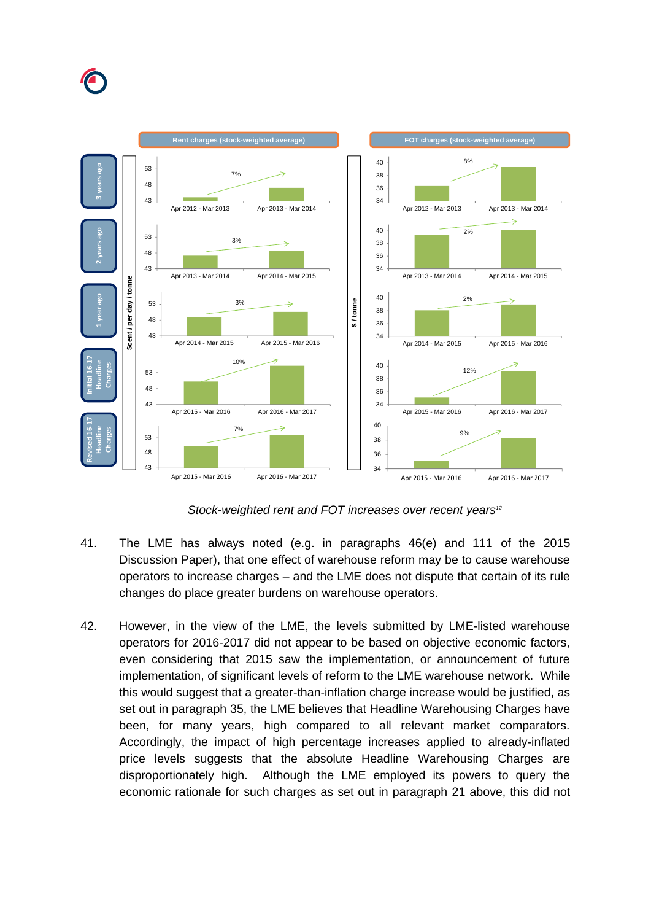



*Stock-weighted rent and FOT increases over recent years<sup>12</sup>*

- 41. The LME has always noted (e.g. in paragraphs 46(e) and 111 of the 2015 Discussion Paper), that one effect of warehouse reform may be to cause warehouse operators to increase charges – and the LME does not dispute that certain of its rule changes do place greater burdens on warehouse operators.
- 42. However, in the view of the LME, the levels submitted by LME-listed warehouse operators for 2016-2017 did not appear to be based on objective economic factors, even considering that 2015 saw the implementation, or announcement of future implementation, of significant levels of reform to the LME warehouse network. While this would suggest that a greater-than-inflation charge increase would be justified, as set out in paragraph [35,](#page-12-0) the LME believes that Headline Warehousing Charges have been, for many years, high compared to all relevant market comparators. Accordingly, the impact of high percentage increases applied to already-inflated price levels suggests that the absolute Headline Warehousing Charges are disproportionately high. Although the LME employed its powers to query the economic rationale for such charges as set out in paragraph [21](#page-5-1) above, this did not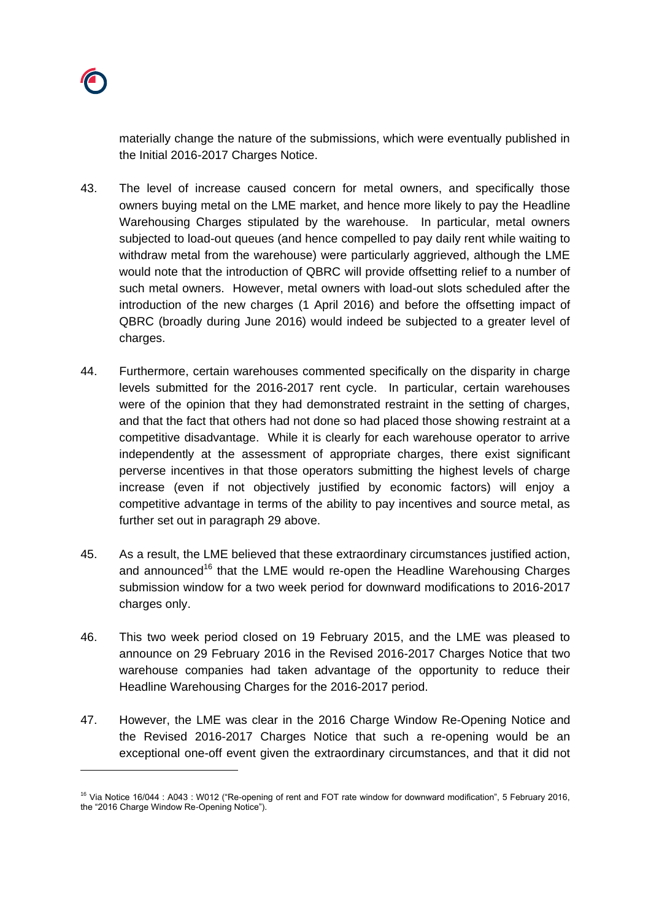

materially change the nature of the submissions, which were eventually published in the Initial 2016-2017 Charges Notice.

- 43. The level of increase caused concern for metal owners, and specifically those owners buying metal on the LME market, and hence more likely to pay the Headline Warehousing Charges stipulated by the warehouse. In particular, metal owners subjected to load-out queues (and hence compelled to pay daily rent while waiting to withdraw metal from the warehouse) were particularly aggrieved, although the LME would note that the introduction of QBRC will provide offsetting relief to a number of such metal owners. However, metal owners with load-out slots scheduled after the introduction of the new charges (1 April 2016) and before the offsetting impact of QBRC (broadly during June 2016) would indeed be subjected to a greater level of charges.
- <span id="page-18-0"></span>44. Furthermore, certain warehouses commented specifically on the disparity in charge levels submitted for the 2016-2017 rent cycle. In particular, certain warehouses were of the opinion that they had demonstrated restraint in the setting of charges, and that the fact that others had not done so had placed those showing restraint at a competitive disadvantage. While it is clearly for each warehouse operator to arrive independently at the assessment of appropriate charges, there exist significant perverse incentives in that those operators submitting the highest levels of charge increase (even if not objectively justified by economic factors) will enjoy a competitive advantage in terms of the ability to pay incentives and source metal, as further set out in paragraph [29](#page-9-0) above.
- 45. As a result, the LME believed that these extraordinary circumstances justified action, and announced<sup>16</sup> that the LME would re-open the Headline Warehousing Charges submission window for a two week period for downward modifications to 2016-2017 charges only.
- 46. This two week period closed on 19 February 2015, and the LME was pleased to announce on 29 February 2016 in the Revised 2016-2017 Charges Notice that two warehouse companies had taken advantage of the opportunity to reduce their Headline Warehousing Charges for the 2016-2017 period.
- <span id="page-18-1"></span>47. However, the LME was clear in the 2016 Charge Window Re-Opening Notice and the Revised 2016-2017 Charges Notice that such a re-opening would be an exceptional one-off event given the extraordinary circumstances, and that it did not

<sup>&</sup>lt;sup>16</sup> Via Notice 16/044 : A043 : W012 ("Re-opening of rent and FOT rate window for downward modification", 5 February 2016, the "2016 Charge Window Re-Opening Notice").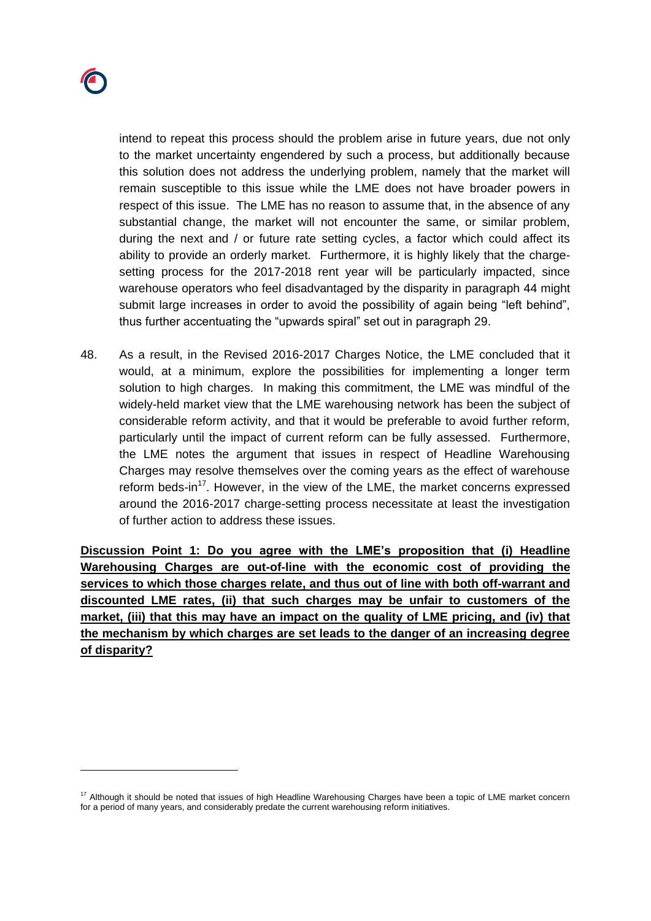

intend to repeat this process should the problem arise in future years, due not only to the market uncertainty engendered by such a process, but additionally because this solution does not address the underlying problem, namely that the market will remain susceptible to this issue while the LME does not have broader powers in respect of this issue. The LME has no reason to assume that, in the absence of any substantial change, the market will not encounter the same, or similar problem, during the next and / or future rate setting cycles, a factor which could affect its ability to provide an orderly market. Furthermore, it is highly likely that the chargesetting process for the 2017-2018 rent year will be particularly impacted, since warehouse operators who feel disadvantaged by the disparity in paragraph [44](#page-18-0) might submit large increases in order to avoid the possibility of again being "left behind", thus further accentuating the "upwards spiral" set out in paragraph [29.](#page-9-0)

48. As a result, in the Revised 2016-2017 Charges Notice, the LME concluded that it would, at a minimum, explore the possibilities for implementing a longer term solution to high charges. In making this commitment, the LME was mindful of the widely-held market view that the LME warehousing network has been the subject of considerable reform activity, and that it would be preferable to avoid further reform, particularly until the impact of current reform can be fully assessed. Furthermore, the LME notes the argument that issues in respect of Headline Warehousing Charges may resolve themselves over the coming years as the effect of warehouse reform beds-in<sup>17</sup>. However, in the view of the LME, the market concerns expressed around the 2016-2017 charge-setting process necessitate at least the investigation of further action to address these issues.

**Discussion Point 1: Do you agree with the LME's proposition that (i) Headline Warehousing Charges are out-of-line with the economic cost of providing the services to which those charges relate, and thus out of line with both off-warrant and discounted LME rates, (ii) that such charges may be unfair to customers of the market, (iii) that this may have an impact on the quality of LME pricing, and (iv) that the mechanism by which charges are set leads to the danger of an increasing degree of disparity?**

 $17$  Although it should be noted that issues of high Headline Warehousing Charges have been a topic of LME market concern for a period of many years, and considerably predate the current warehousing reform initiatives.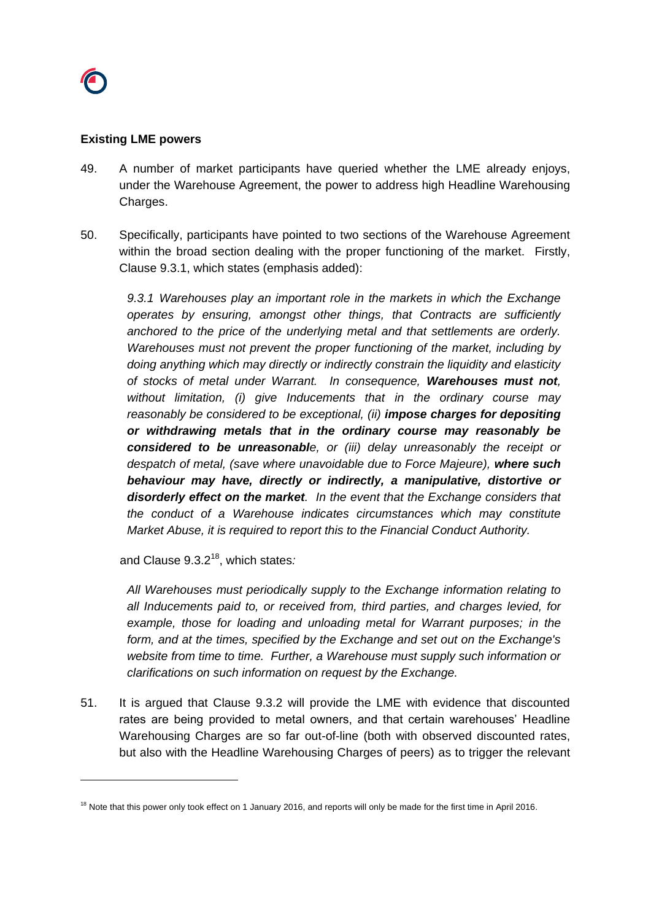

### **Existing LME powers**

- 49. A number of market participants have queried whether the LME already enjoys, under the Warehouse Agreement, the power to address high Headline Warehousing Charges.
- 50. Specifically, participants have pointed to two sections of the Warehouse Agreement within the broad section dealing with the proper functioning of the market. Firstly, Clause 9.3.1, which states (emphasis added):

*9.3.1 Warehouses play an important role in the markets in which the Exchange operates by ensuring, amongst other things, that Contracts are sufficiently anchored to the price of the underlying metal and that settlements are orderly. Warehouses must not prevent the proper functioning of the market, including by doing anything which may directly or indirectly constrain the liquidity and elasticity of stocks of metal under Warrant. In consequence, Warehouses must not, without limitation, (i) give Inducements that in the ordinary course may reasonably be considered to be exceptional, (ii) impose charges for depositing or withdrawing metals that in the ordinary course may reasonably be considered to be unreasonable, or (iii) delay unreasonably the receipt or despatch of metal, (save where unavoidable due to Force Majeure), where such behaviour may have, directly or indirectly, a manipulative, distortive or disorderly effect on the market. In the event that the Exchange considers that the conduct of a Warehouse indicates circumstances which may constitute Market Abuse, it is required to report this to the Financial Conduct Authority.*

and Clause 9.3.2<sup>18</sup> , which states*:*

*All Warehouses must periodically supply to the Exchange information relating to all Inducements paid to, or received from, third parties, and charges levied, for example, those for loading and unloading metal for Warrant purposes; in the form, and at the times, specified by the Exchange and set out on the Exchange's website from time to time. Further, a Warehouse must supply such information or clarifications on such information on request by the Exchange.*

51. It is argued that Clause 9.3.2 will provide the LME with evidence that discounted rates are being provided to metal owners, and that certain warehouses' Headline Warehousing Charges are so far out-of-line (both with observed discounted rates, but also with the Headline Warehousing Charges of peers) as to trigger the relevant

<sup>&</sup>lt;sup>18</sup> Note that this power only took effect on 1 January 2016, and reports will only be made for the first time in April 2016.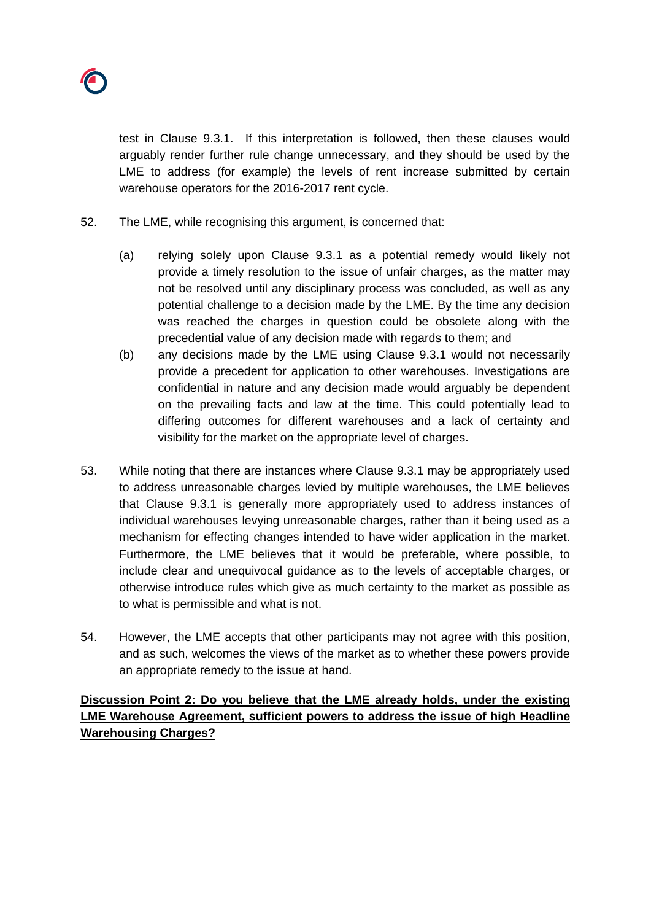test in Clause 9.3.1. If this interpretation is followed, then these clauses would arguably render further rule change unnecessary, and they should be used by the LME to address (for example) the levels of rent increase submitted by certain warehouse operators for the 2016-2017 rent cycle.

- <span id="page-21-0"></span>52. The LME, while recognising this argument, is concerned that:
	- (a) relying solely upon Clause 9.3.1 as a potential remedy would likely not provide a timely resolution to the issue of unfair charges, as the matter may not be resolved until any disciplinary process was concluded, as well as any potential challenge to a decision made by the LME. By the time any decision was reached the charges in question could be obsolete along with the precedential value of any decision made with regards to them; and
	- (b) any decisions made by the LME using Clause 9.3.1 would not necessarily provide a precedent for application to other warehouses. Investigations are confidential in nature and any decision made would arguably be dependent on the prevailing facts and law at the time. This could potentially lead to differing outcomes for different warehouses and a lack of certainty and visibility for the market on the appropriate level of charges.
- <span id="page-21-1"></span>53. While noting that there are instances where Clause 9.3.1 may be appropriately used to address unreasonable charges levied by multiple warehouses, the LME believes that Clause 9.3.1 is generally more appropriately used to address instances of individual warehouses levying unreasonable charges, rather than it being used as a mechanism for effecting changes intended to have wider application in the market. Furthermore, the LME believes that it would be preferable, where possible, to include clear and unequivocal guidance as to the levels of acceptable charges, or otherwise introduce rules which give as much certainty to the market as possible as to what is permissible and what is not.
- 54. However, the LME accepts that other participants may not agree with this position, and as such, welcomes the views of the market as to whether these powers provide an appropriate remedy to the issue at hand.

**Discussion Point 2: Do you believe that the LME already holds, under the existing LME Warehouse Agreement, sufficient powers to address the issue of high Headline Warehousing Charges?**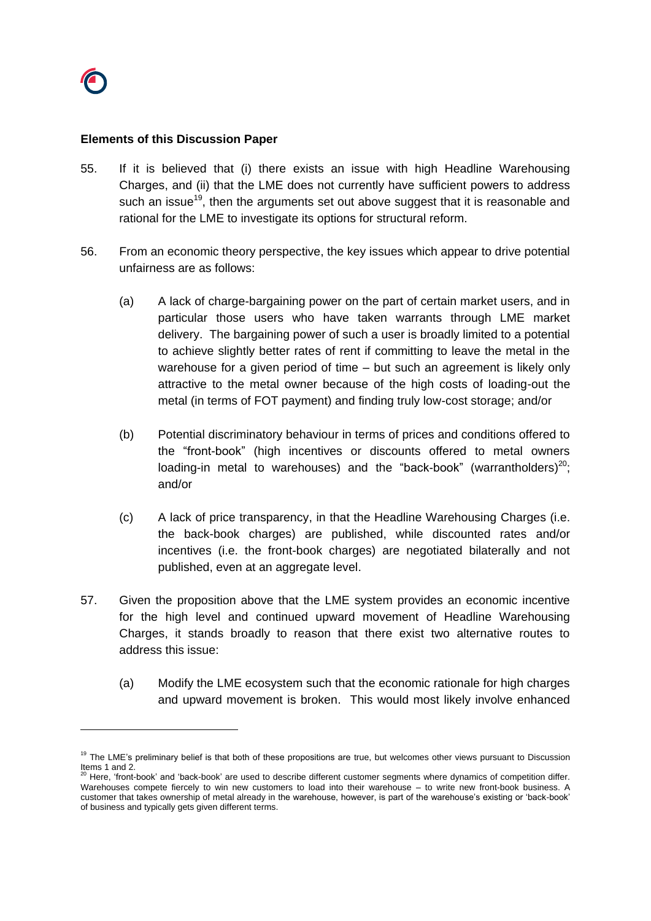## **Elements of this Discussion Paper**

- 55. If it is believed that (i) there exists an issue with high Headline Warehousing Charges, and (ii) that the LME does not currently have sufficient powers to address such an issue<sup>19</sup>, then the arguments set out above suggest that it is reasonable and rational for the LME to investigate its options for structural reform.
- <span id="page-22-1"></span>56. From an economic theory perspective, the key issues which appear to drive potential unfairness are as follows:
	- (a) A lack of charge-bargaining power on the part of certain market users, and in particular those users who have taken warrants through LME market delivery. The bargaining power of such a user is broadly limited to a potential to achieve slightly better rates of rent if committing to leave the metal in the warehouse for a given period of time – but such an agreement is likely only attractive to the metal owner because of the high costs of loading-out the metal (in terms of FOT payment) and finding truly low-cost storage; and/or
	- (b) Potential discriminatory behaviour in terms of prices and conditions offered to the "front-book" (high incentives or discounts offered to metal owners loading-in metal to warehouses) and the "back-book" (warrantholders)<sup>20</sup>; and/or
	- (c) A lack of price transparency, in that the Headline Warehousing Charges (i.e. the back-book charges) are published, while discounted rates and/or incentives (i.e. the front-book charges) are negotiated bilaterally and not published, even at an aggregate level.
- <span id="page-22-0"></span>57. Given the proposition above that the LME system provides an economic incentive for the high level and continued upward movement of Headline Warehousing Charges, it stands broadly to reason that there exist two alternative routes to address this issue:
	- (a) Modify the LME ecosystem such that the economic rationale for high charges and upward movement is broken. This would most likely involve enhanced

<sup>&</sup>lt;sup>19</sup> The LME's preliminary belief is that both of these propositions are true, but welcomes other views pursuant to Discussion Items 1 and 2.

 $20$  Here, 'front-book' and 'back-book' are used to describe different customer segments where dynamics of competition differ. Warehouses compete fiercely to win new customers to load into their warehouse – to write new front-book business. A customer that takes ownership of metal already in the warehouse, however, is part of the warehouse's existing or 'back-book' of business and typically gets given different terms.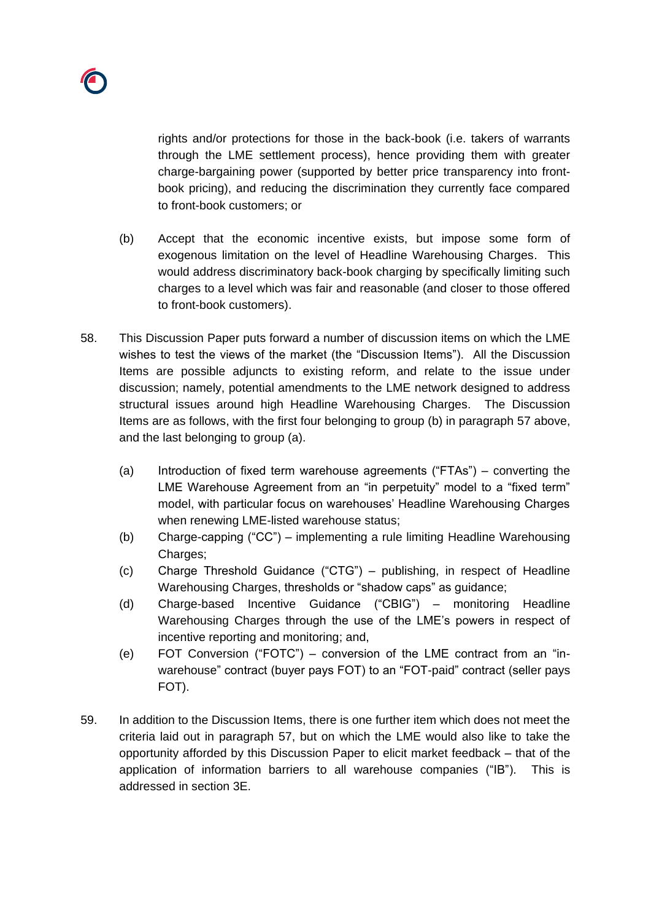

rights and/or protections for those in the back-book (i.e. takers of warrants through the LME settlement process), hence providing them with greater charge-bargaining power (supported by better price transparency into frontbook pricing), and reducing the discrimination they currently face compared to front-book customers; or

- (b) Accept that the economic incentive exists, but impose some form of exogenous limitation on the level of Headline Warehousing Charges. This would address discriminatory back-book charging by specifically limiting such charges to a level which was fair and reasonable (and closer to those offered to front-book customers).
- 58. This Discussion Paper puts forward a number of discussion items on which the LME wishes to test the views of the market (the "Discussion Items"). All the Discussion Items are possible adjuncts to existing reform, and relate to the issue under discussion; namely, potential amendments to the LME network designed to address structural issues around high Headline Warehousing Charges. The Discussion Items are as follows, with the first four belonging to group (b) in paragraph [57](#page-22-0) above, and the last belonging to group (a).
	- (a) Introduction of fixed term warehouse agreements ("FTAs") converting the LME Warehouse Agreement from an "in perpetuity" model to a "fixed term" model, with particular focus on warehouses' Headline Warehousing Charges when renewing LME-listed warehouse status;
	- (b) Charge-capping ("CC") implementing a rule limiting Headline Warehousing Charges;
	- (c) Charge Threshold Guidance ("CTG") publishing, in respect of Headline Warehousing Charges, thresholds or "shadow caps" as guidance;
	- (d) Charge-based Incentive Guidance ("CBIG") monitoring Headline Warehousing Charges through the use of the LME's powers in respect of incentive reporting and monitoring; and,
	- (e) FOT Conversion ("FOTC") conversion of the LME contract from an "inwarehouse" contract (buyer pays FOT) to an "FOT-paid" contract (seller pays FOT).
- 59. In addition to the Discussion Items, there is one further item which does not meet the criteria laid out in paragraph [57,](#page-22-0) but on which the LME would also like to take the opportunity afforded by this Discussion Paper to elicit market feedback – that of the application of information barriers to all warehouse companies ("IB"). This is addressed in section 3E.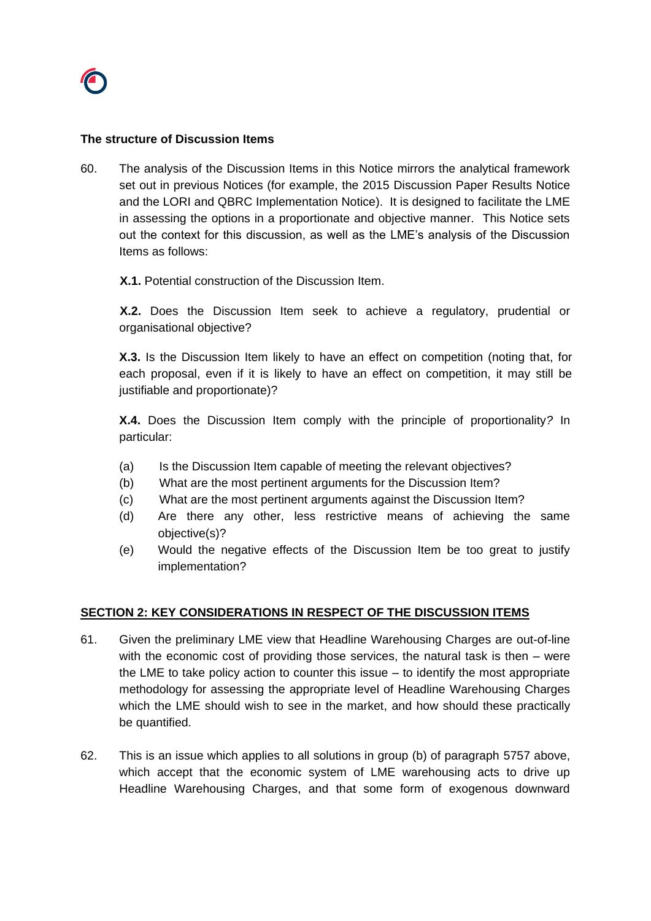## **The structure of Discussion Items**

60. The analysis of the Discussion Items in this Notice mirrors the analytical framework set out in previous Notices (for example, the 2015 Discussion Paper Results Notice and the LORI and QBRC Implementation Notice). It is designed to facilitate the LME in assessing the options in a proportionate and objective manner. This Notice sets out the context for this discussion, as well as the LME's analysis of the Discussion Items as follows:

## **X.1.** Potential construction of the Discussion Item.

**X.2.** Does the Discussion Item seek to achieve a regulatory, prudential or organisational objective?

**X.3.** Is the Discussion Item likely to have an effect on competition (noting that, for each proposal, even if it is likely to have an effect on competition, it may still be justifiable and proportionate)?

**X.4.** Does the Discussion Item comply with the principle of proportionality*?* In particular:

- (a) Is the Discussion Item capable of meeting the relevant objectives?
- (b) What are the most pertinent arguments for the Discussion Item?
- (c) What are the most pertinent arguments against the Discussion Item?
- (d) Are there any other, less restrictive means of achieving the same objective(s)?
- (e) Would the negative effects of the Discussion Item be too great to justify implementation?

## **SECTION 2: KEY CONSIDERATIONS IN RESPECT OF THE DISCUSSION ITEMS**

- 61. Given the preliminary LME view that Headline Warehousing Charges are out-of-line with the economic cost of providing those services, the natural task is then – were the LME to take policy action to counter this issue  $-$  to identify the most appropriate methodology for assessing the appropriate level of Headline Warehousing Charges which the LME should wish to see in the market, and how should these practically be quantified.
- 62. This is an issue which applies to all solutions in group (b) of paragraph [5757](#page-22-0) above, which accept that the economic system of LME warehousing acts to drive up Headline Warehousing Charges, and that some form of exogenous downward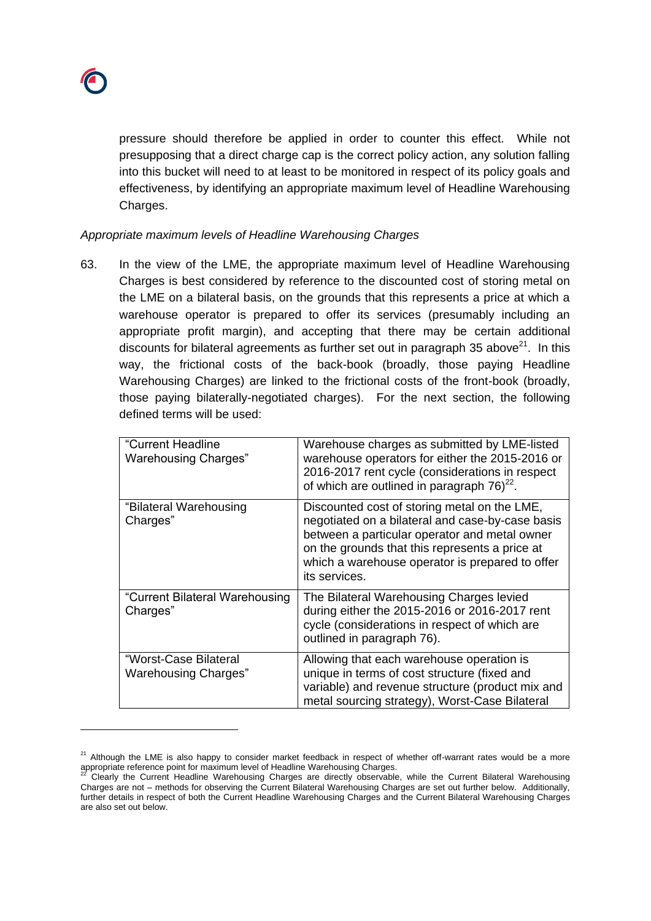

pressure should therefore be applied in order to counter this effect. While not presupposing that a direct charge cap is the correct policy action, any solution falling into this bucket will need to at least to be monitored in respect of its policy goals and effectiveness, by identifying an appropriate maximum level of Headline Warehousing Charges.

#### *Appropriate maximum levels of Headline Warehousing Charges*

63. In the view of the LME, the appropriate maximum level of Headline Warehousing Charges is best considered by reference to the discounted cost of storing metal on the LME on a bilateral basis, on the grounds that this represents a price at which a warehouse operator is prepared to offer its services (presumably including an appropriate profit margin), and accepting that there may be certain additional discounts for bilateral agreements as further set out in paragraph [35](#page-12-0) above $21$ . In this way, the frictional costs of the back-book (broadly, those paying Headline Warehousing Charges) are linked to the frictional costs of the front-book (broadly, those paying bilaterally-negotiated charges). For the next section, the following defined terms will be used:

| "Current Headline<br><b>Warehousing Charges"</b>     | Warehouse charges as submitted by LME-listed<br>warehouse operators for either the 2015-2016 or<br>2016-2017 rent cycle (considerations in respect<br>of which are outlined in paragraph $76)^{22}$ .                                                                   |
|------------------------------------------------------|-------------------------------------------------------------------------------------------------------------------------------------------------------------------------------------------------------------------------------------------------------------------------|
| "Bilateral Warehousing<br>Charges"                   | Discounted cost of storing metal on the LME,<br>negotiated on a bilateral and case-by-case basis<br>between a particular operator and metal owner<br>on the grounds that this represents a price at<br>which a warehouse operator is prepared to offer<br>its services. |
| "Current Bilateral Warehousing<br>Charges"           | The Bilateral Warehousing Charges levied<br>during either the 2015-2016 or 2016-2017 rent<br>cycle (considerations in respect of which are<br>outlined in paragraph 76).                                                                                                |
| "Worst-Case Bilateral<br><b>Warehousing Charges"</b> | Allowing that each warehouse operation is<br>unique in terms of cost structure (fixed and<br>variable) and revenue structure (product mix and<br>metal sourcing strategy), Worst-Case Bilateral                                                                         |

<sup>&</sup>lt;sup>21</sup> Although the LME is also happy to consider market feedback in respect of whether off-warrant rates would be a more appropriate reference point for maximum level of Headline Warehousing Charges.

<sup>22</sup> Clearly the Current Headline Warehousing Charges are directly observable, while the Current Bilateral Warehousing Charges are not – methods for observing the Current Bilateral Warehousing Charges are set out further below. Additionally, further details in respect of both the Current Headline Warehousing Charges and the Current Bilateral Warehousing Charges are also set out below.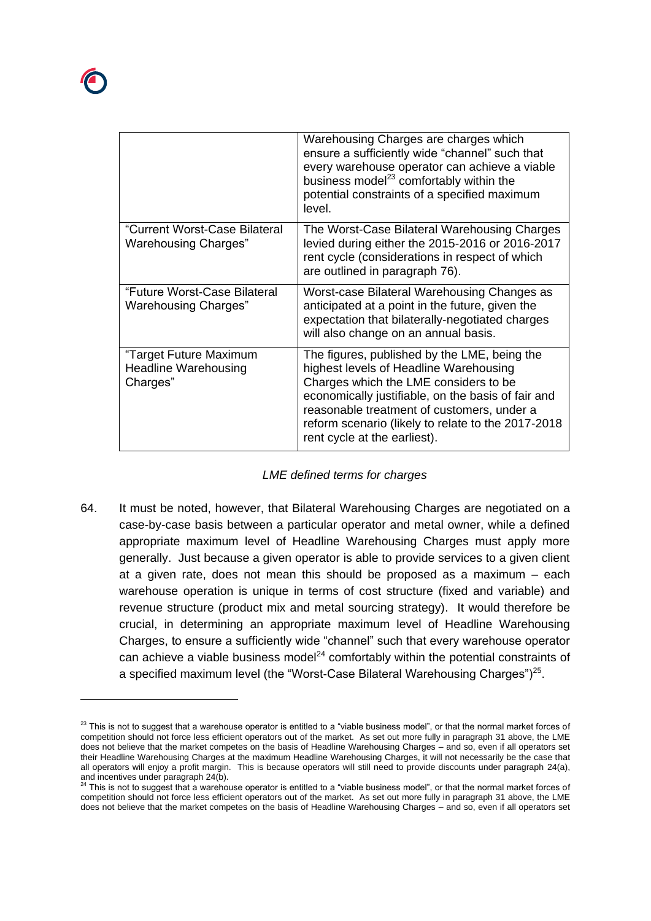|                                                                   | Warehousing Charges are charges which<br>ensure a sufficiently wide "channel" such that<br>every warehouse operator can achieve a viable<br>business model <sup>23</sup> comfortably within the<br>potential constraints of a specified maximum<br>level.                                                                 |
|-------------------------------------------------------------------|---------------------------------------------------------------------------------------------------------------------------------------------------------------------------------------------------------------------------------------------------------------------------------------------------------------------------|
| "Current Worst-Case Bilateral<br><b>Warehousing Charges"</b>      | The Worst-Case Bilateral Warehousing Charges<br>levied during either the 2015-2016 or 2016-2017<br>rent cycle (considerations in respect of which<br>are outlined in paragraph 76).                                                                                                                                       |
| "Future Worst-Case Bilateral<br><b>Warehousing Charges"</b>       | Worst-case Bilateral Warehousing Changes as<br>anticipated at a point in the future, given the<br>expectation that bilaterally-negotiated charges<br>will also change on an annual basis.                                                                                                                                 |
| "Target Future Maximum<br><b>Headline Warehousing</b><br>Charges" | The figures, published by the LME, being the<br>highest levels of Headline Warehousing<br>Charges which the LME considers to be<br>economically justifiable, on the basis of fair and<br>reasonable treatment of customers, under a<br>reform scenario (likely to relate to the 2017-2018<br>rent cycle at the earliest). |

## *LME defined terms for charges*

64. It must be noted, however, that Bilateral Warehousing Charges are negotiated on a case-by-case basis between a particular operator and metal owner, while a defined appropriate maximum level of Headline Warehousing Charges must apply more generally. Just because a given operator is able to provide services to a given client at a given rate, does not mean this should be proposed as a maximum – each warehouse operation is unique in terms of cost structure (fixed and variable) and revenue structure (product mix and metal sourcing strategy). It would therefore be crucial, in determining an appropriate maximum level of Headline Warehousing Charges, to ensure a sufficiently wide "channel" such that every warehouse operator can achieve a viable business model<sup>24</sup> comfortably within the potential constraints of a specified maximum level (the "Worst-Case Bilateral Warehousing Charges")<sup>25</sup>.

<sup>&</sup>lt;sup>23</sup> This is not to suggest that a warehouse operator is entitled to a "viable business model", or that the normal market forces of competition should not force less efficient operators out of the market. As set out more fully in paragraph [31](#page-9-1) above, the LME does not believe that the market competes on the basis of Headline Warehousing Charges – and so, even if all operators set their Headline Warehousing Charges at the maximum Headline Warehousing Charges, it will not necessarily be the case that all operators will enjoy a profit margin. This is because operators will still need to provide discounts under paragraph [24\(a\),](#page-6-0)  and incentives under paragrap[h 24\(b\).](#page-6-0)<br>
<sup>24</sup> This is  $\frac{1}{2}$  if  $\frac{1}{2}$ 

<sup>24</sup> This is not to suggest that a warehouse operator is entitled to a "viable business model", or that the normal market forces of competition should not force less efficient operators out of the market. As set out more fully in paragraph [31](#page-9-1) above, the LME does not believe that the market competes on the basis of Headline Warehousing Charges – and so, even if all operators set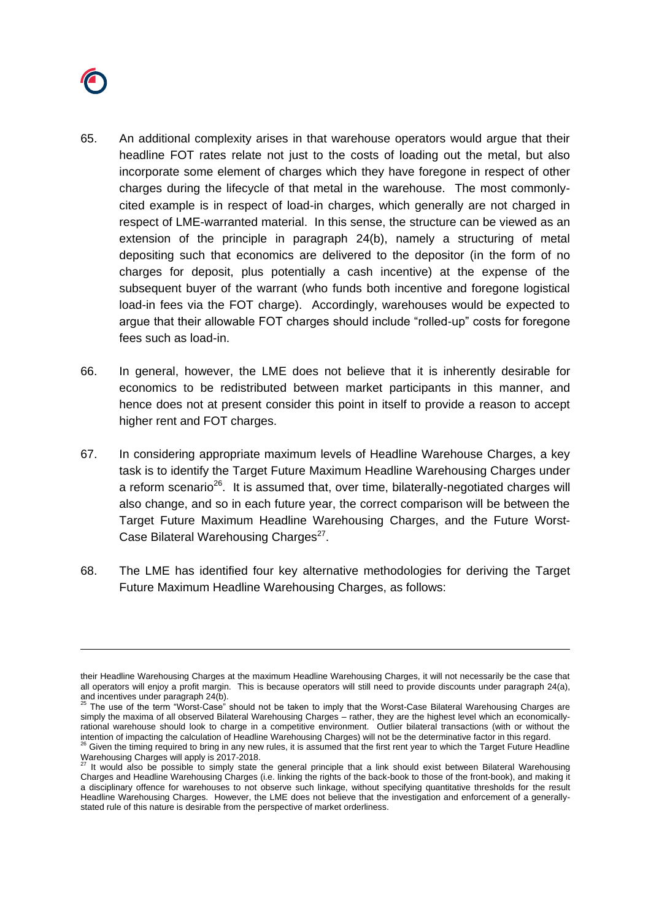

- 65. An additional complexity arises in that warehouse operators would argue that their headline FOT rates relate not just to the costs of loading out the metal, but also incorporate some element of charges which they have foregone in respect of other charges during the lifecycle of that metal in the warehouse. The most commonlycited example is in respect of load-in charges, which generally are not charged in respect of LME-warranted material. In this sense, the structure can be viewed as an extension of the principle in paragraph [24\(b\),](#page-6-0) namely a structuring of metal depositing such that economics are delivered to the depositor (in the form of no charges for deposit, plus potentially a cash incentive) at the expense of the subsequent buyer of the warrant (who funds both incentive and foregone logistical load-in fees via the FOT charge). Accordingly, warehouses would be expected to argue that their allowable FOT charges should include "rolled-up" costs for foregone fees such as load-in.
- 66. In general, however, the LME does not believe that it is inherently desirable for economics to be redistributed between market participants in this manner, and hence does not at present consider this point in itself to provide a reason to accept higher rent and FOT charges.
- 67. In considering appropriate maximum levels of Headline Warehouse Charges, a key task is to identify the Target Future Maximum Headline Warehousing Charges under a reform scenario<sup>26</sup>. It is assumed that, over time, bilaterally-negotiated charges will also change, and so in each future year, the correct comparison will be between the Target Future Maximum Headline Warehousing Charges, and the Future Worst-Case Bilateral Warehousing Charges<sup>27</sup>.
- <span id="page-27-0"></span>68. The LME has identified four key alternative methodologies for deriving the Target Future Maximum Headline Warehousing Charges, as follows:

their Headline Warehousing Charges at the maximum Headline Warehousing Charges, it will not necessarily be the case that all operators will enjoy a profit margin. This is because operators will still need to provide discounts under paragraph [24\(a\),](#page-6-0)  and incentives under paragrap[h 24\(b\).](#page-6-0)<br> $25 \text{ Tho}$  and  $25 \text{ Tho}$ 

<sup>25</sup> The use of the term "Worst-Case" should not be taken to imply that the Worst-Case Bilateral Warehousing Charges are simply the maxima of all observed Bilateral Warehousing Charges – rather, they are the highest level which an economicallyrational warehouse should look to charge in a competitive environment. Outlier bilateral transactions (with or without the

intention of impacting the calculation of Headline Warehousing Charges) will not be the determinative factor in this regard.<br><sup>26</sup> Given the timing required to bring in any new rules, it is assumed that the first rent year Warehousing Charges will apply is 2017-2018.

It would also be possible to simply state the general principle that a link should exist between Bilateral Warehousing Charges and Headline Warehousing Charges (i.e. linking the rights of the back-book to those of the front-book), and making it a disciplinary offence for warehouses to not observe such linkage, without specifying quantitative thresholds for the result Headline Warehousing Charges. However, the LME does not believe that the investigation and enforcement of a generallystated rule of this nature is desirable from the perspective of market orderliness.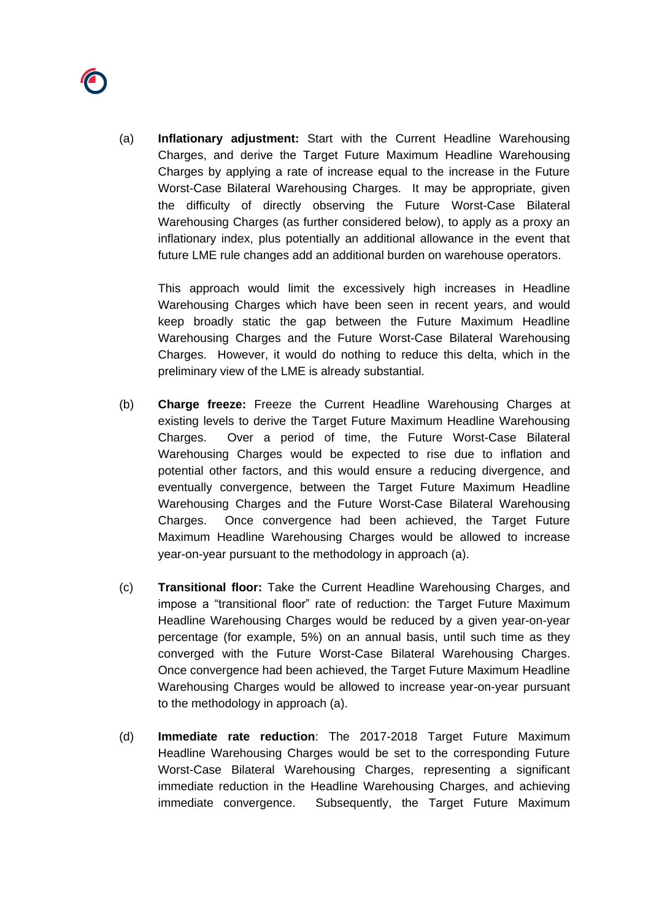

(a) **Inflationary adjustment:** Start with the Current Headline Warehousing Charges, and derive the Target Future Maximum Headline Warehousing Charges by applying a rate of increase equal to the increase in the Future Worst-Case Bilateral Warehousing Charges. It may be appropriate, given the difficulty of directly observing the Future Worst-Case Bilateral Warehousing Charges (as further considered below), to apply as a proxy an inflationary index, plus potentially an additional allowance in the event that future LME rule changes add an additional burden on warehouse operators.

This approach would limit the excessively high increases in Headline Warehousing Charges which have been seen in recent years, and would keep broadly static the gap between the Future Maximum Headline Warehousing Charges and the Future Worst-Case Bilateral Warehousing Charges. However, it would do nothing to reduce this delta, which in the preliminary view of the LME is already substantial.

- (b) **Charge freeze:** Freeze the Current Headline Warehousing Charges at existing levels to derive the Target Future Maximum Headline Warehousing Charges. Over a period of time, the Future Worst-Case Bilateral Warehousing Charges would be expected to rise due to inflation and potential other factors, and this would ensure a reducing divergence, and eventually convergence, between the Target Future Maximum Headline Warehousing Charges and the Future Worst-Case Bilateral Warehousing Charges. Once convergence had been achieved, the Target Future Maximum Headline Warehousing Charges would be allowed to increase year-on-year pursuant to the methodology in approach (a).
- (c) **Transitional floor:** Take the Current Headline Warehousing Charges, and impose a "transitional floor" rate of reduction: the Target Future Maximum Headline Warehousing Charges would be reduced by a given year-on-year percentage (for example, 5%) on an annual basis, until such time as they converged with the Future Worst-Case Bilateral Warehousing Charges. Once convergence had been achieved, the Target Future Maximum Headline Warehousing Charges would be allowed to increase year-on-year pursuant to the methodology in approach (a).
- (d) **Immediate rate reduction**: The 2017-2018 Target Future Maximum Headline Warehousing Charges would be set to the corresponding Future Worst-Case Bilateral Warehousing Charges, representing a significant immediate reduction in the Headline Warehousing Charges, and achieving immediate convergence. Subsequently, the Target Future Maximum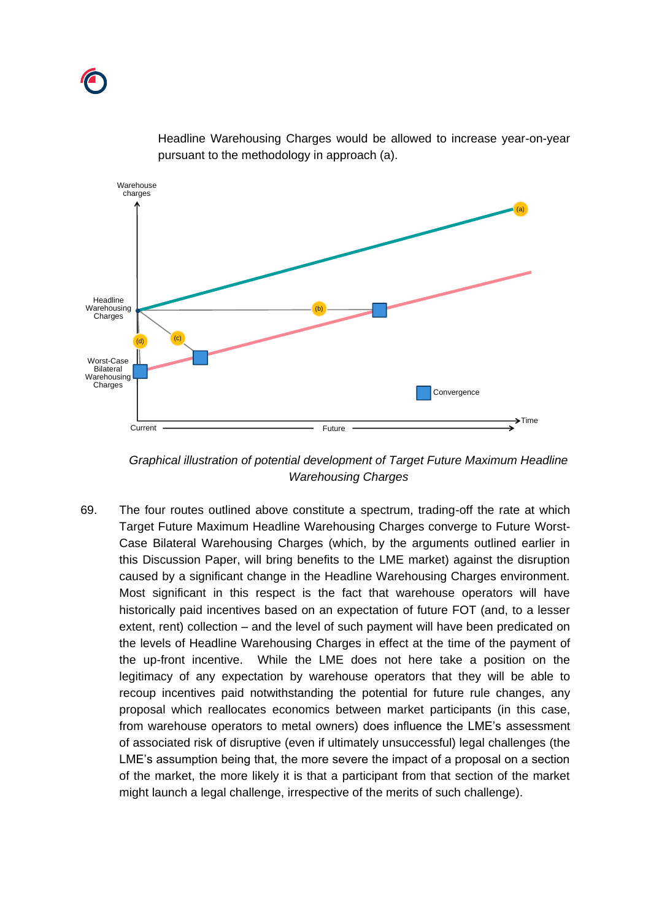

Headline Warehousing Charges would be allowed to increase year-on-year pursuant to the methodology in approach (a).

*Graphical illustration of potential development of Target Future Maximum Headline Warehousing Charges*

69. The four routes outlined above constitute a spectrum, trading-off the rate at which Target Future Maximum Headline Warehousing Charges converge to Future Worst-Case Bilateral Warehousing Charges (which, by the arguments outlined earlier in this Discussion Paper, will bring benefits to the LME market) against the disruption caused by a significant change in the Headline Warehousing Charges environment. Most significant in this respect is the fact that warehouse operators will have historically paid incentives based on an expectation of future FOT (and, to a lesser extent, rent) collection – and the level of such payment will have been predicated on the levels of Headline Warehousing Charges in effect at the time of the payment of the up-front incentive. While the LME does not here take a position on the legitimacy of any expectation by warehouse operators that they will be able to recoup incentives paid notwithstanding the potential for future rule changes, any proposal which reallocates economics between market participants (in this case, from warehouse operators to metal owners) does influence the LME's assessment of associated risk of disruptive (even if ultimately unsuccessful) legal challenges (the LME's assumption being that, the more severe the impact of a proposal on a section of the market, the more likely it is that a participant from that section of the market might launch a legal challenge, irrespective of the merits of such challenge).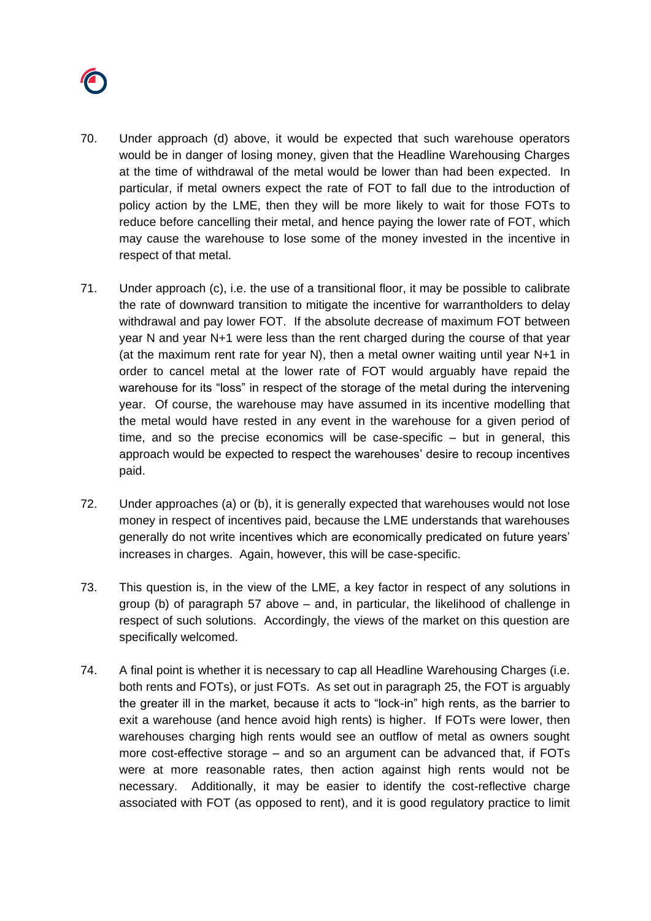

- 70. Under approach (d) above, it would be expected that such warehouse operators would be in danger of losing money, given that the Headline Warehousing Charges at the time of withdrawal of the metal would be lower than had been expected. In particular, if metal owners expect the rate of FOT to fall due to the introduction of policy action by the LME, then they will be more likely to wait for those FOTs to reduce before cancelling their metal, and hence paying the lower rate of FOT, which may cause the warehouse to lose some of the money invested in the incentive in respect of that metal.
- 71. Under approach (c), i.e. the use of a transitional floor, it may be possible to calibrate the rate of downward transition to mitigate the incentive for warrantholders to delay withdrawal and pay lower FOT. If the absolute decrease of maximum FOT between year N and year N+1 were less than the rent charged during the course of that year (at the maximum rent rate for year N), then a metal owner waiting until year N+1 in order to cancel metal at the lower rate of FOT would arguably have repaid the warehouse for its "loss" in respect of the storage of the metal during the intervening year. Of course, the warehouse may have assumed in its incentive modelling that the metal would have rested in any event in the warehouse for a given period of time, and so the precise economics will be case-specific – but in general, this approach would be expected to respect the warehouses' desire to recoup incentives paid.
- 72. Under approaches (a) or (b), it is generally expected that warehouses would not lose money in respect of incentives paid, because the LME understands that warehouses generally do not write incentives which are economically predicated on future years' increases in charges. Again, however, this will be case-specific.
- 73. This question is, in the view of the LME, a key factor in respect of any solutions in group (b) of paragraph [57](#page-22-0) above – and, in particular, the likelihood of challenge in respect of such solutions. Accordingly, the views of the market on this question are specifically welcomed.
- 74. A final point is whether it is necessary to cap all Headline Warehousing Charges (i.e. both rents and FOTs), or just FOTs. As set out in paragraph [25,](#page-7-0) the FOT is arguably the greater ill in the market, because it acts to "lock-in" high rents, as the barrier to exit a warehouse (and hence avoid high rents) is higher. If FOTs were lower, then warehouses charging high rents would see an outflow of metal as owners sought more cost-effective storage – and so an argument can be advanced that, if FOTs were at more reasonable rates, then action against high rents would not be necessary. Additionally, it may be easier to identify the cost-reflective charge associated with FOT (as opposed to rent), and it is good regulatory practice to limit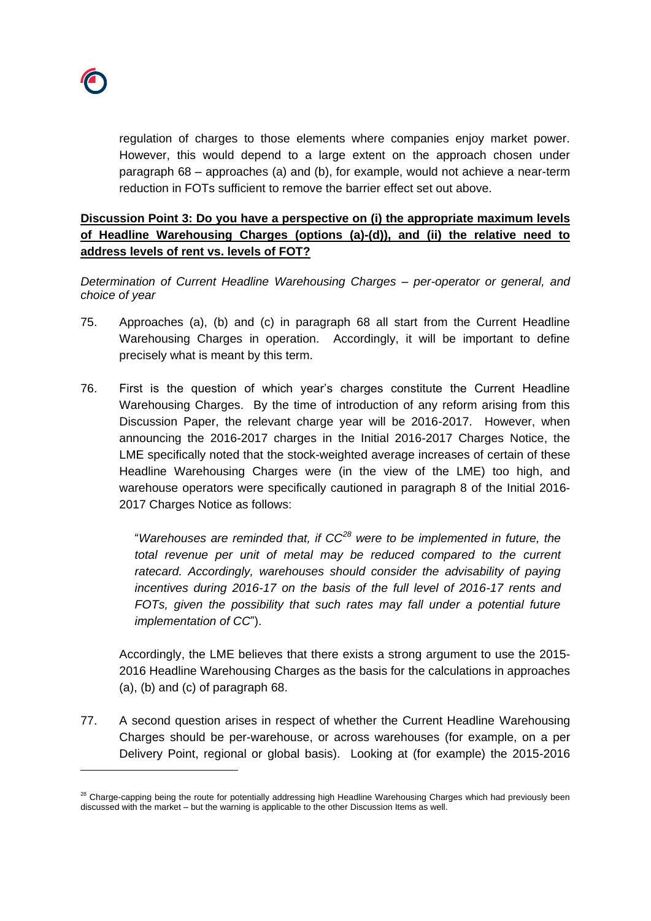

regulation of charges to those elements where companies enjoy market power. However, this would depend to a large extent on the approach chosen under paragraph [68](#page-27-0) – approaches (a) and (b), for example, would not achieve a near-term reduction in FOTs sufficient to remove the barrier effect set out above.

# **Discussion Point 3: Do you have a perspective on (i) the appropriate maximum levels of Headline Warehousing Charges (options (a)-(d)), and (ii) the relative need to address levels of rent vs. levels of FOT?**

*Determination of Current Headline Warehousing Charges – per-operator or general, and choice of year*

- 75. Approaches (a), (b) and (c) in paragraph [68](#page-27-0) all start from the Current Headline Warehousing Charges in operation. Accordingly, it will be important to define precisely what is meant by this term.
- <span id="page-31-0"></span>76. First is the question of which year's charges constitute the Current Headline Warehousing Charges. By the time of introduction of any reform arising from this Discussion Paper, the relevant charge year will be 2016-2017. However, when announcing the 2016-2017 charges in the Initial 2016-2017 Charges Notice, the LME specifically noted that the stock-weighted average increases of certain of these Headline Warehousing Charges were (in the view of the LME) too high, and warehouse operators were specifically cautioned in paragraph 8 of the Initial 2016- 2017 Charges Notice as follows:

"*Warehouses are reminded that, if CC<sup>28</sup> were to be implemented in future, the total revenue per unit of metal may be reduced compared to the current*  ratecard. Accordingly, warehouses should consider the advisability of paying *incentives during 2016-17 on the basis of the full level of 2016-17 rents and FOTs, given the possibility that such rates may fall under a potential future implementation of CC*").

Accordingly, the LME believes that there exists a strong argument to use the 2015- 2016 Headline Warehousing Charges as the basis for the calculations in approaches (a), (b) and (c) of paragraph [68.](#page-27-0)

77. A second question arises in respect of whether the Current Headline Warehousing Charges should be per-warehouse, or across warehouses (for example, on a per Delivery Point, regional or global basis). Looking at (for example) the 2015-2016

<sup>&</sup>lt;sup>28</sup> Charge-capping being the route for potentially addressing high Headline Warehousing Charges which had previously been discussed with the market – but the warning is applicable to the other Discussion Items as well.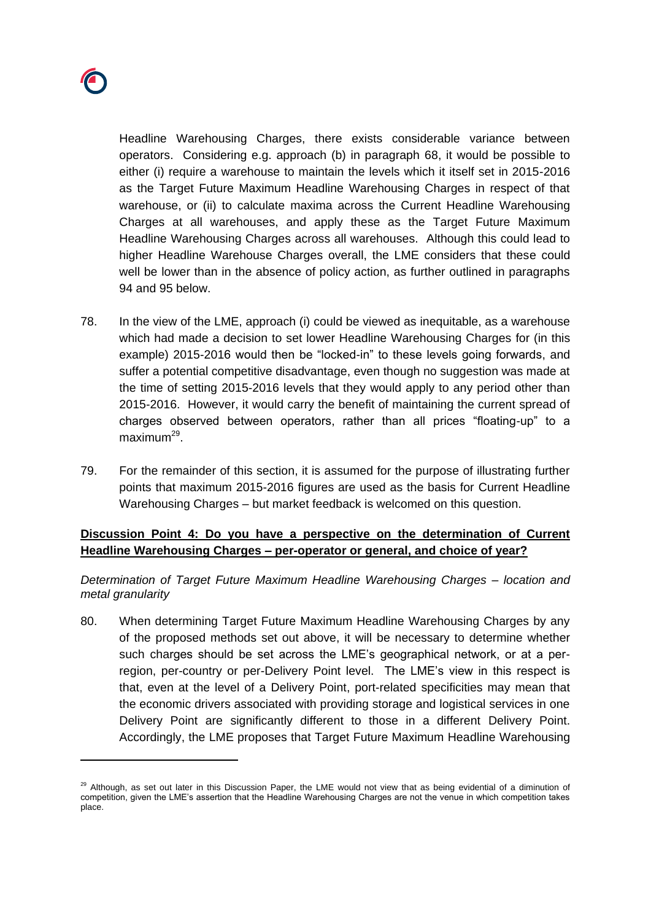Headline Warehousing Charges, there exists considerable variance between operators. Considering e.g. approach (b) in paragraph [68,](#page-27-0) it would be possible to either (i) require a warehouse to maintain the levels which it itself set in 2015-2016 as the Target Future Maximum Headline Warehousing Charges in respect of that warehouse, or (ii) to calculate maxima across the Current Headline Warehousing Charges at all warehouses, and apply these as the Target Future Maximum Headline Warehousing Charges across all warehouses. Although this could lead to higher Headline Warehouse Charges overall, the LME considers that these could well be lower than in the absence of policy action, as further outlined in paragraphs [94](#page-37-0) and [95](#page-37-1) below.

- 78. In the view of the LME, approach (i) could be viewed as inequitable, as a warehouse which had made a decision to set lower Headline Warehousing Charges for (in this example) 2015-2016 would then be "locked-in" to these levels going forwards, and suffer a potential competitive disadvantage, even though no suggestion was made at the time of setting 2015-2016 levels that they would apply to any period other than 2015-2016. However, it would carry the benefit of maintaining the current spread of charges observed between operators, rather than all prices "floating-up" to a maximum<sup>29</sup>.
- 79. For the remainder of this section, it is assumed for the purpose of illustrating further points that maximum 2015-2016 figures are used as the basis for Current Headline Warehousing Charges – but market feedback is welcomed on this question.

# **Discussion Point 4: Do you have a perspective on the determination of Current Headline Warehousing Charges – per-operator or general, and choice of year?**

*Determination of Target Future Maximum Headline Warehousing Charges – location and metal granularity*

80. When determining Target Future Maximum Headline Warehousing Charges by any of the proposed methods set out above, it will be necessary to determine whether such charges should be set across the LME's geographical network, or at a perregion, per-country or per-Delivery Point level. The LME's view in this respect is that, even at the level of a Delivery Point, port-related specificities may mean that the economic drivers associated with providing storage and logistical services in one Delivery Point are significantly different to those in a different Delivery Point. Accordingly, the LME proposes that Target Future Maximum Headline Warehousing

<sup>&</sup>lt;sup>29</sup> Although, as set out later in this Discussion Paper, the LME would not view that as being evidential of a diminution of competition, given the LME's assertion that the Headline Warehousing Charges are not the venue in which competition takes place.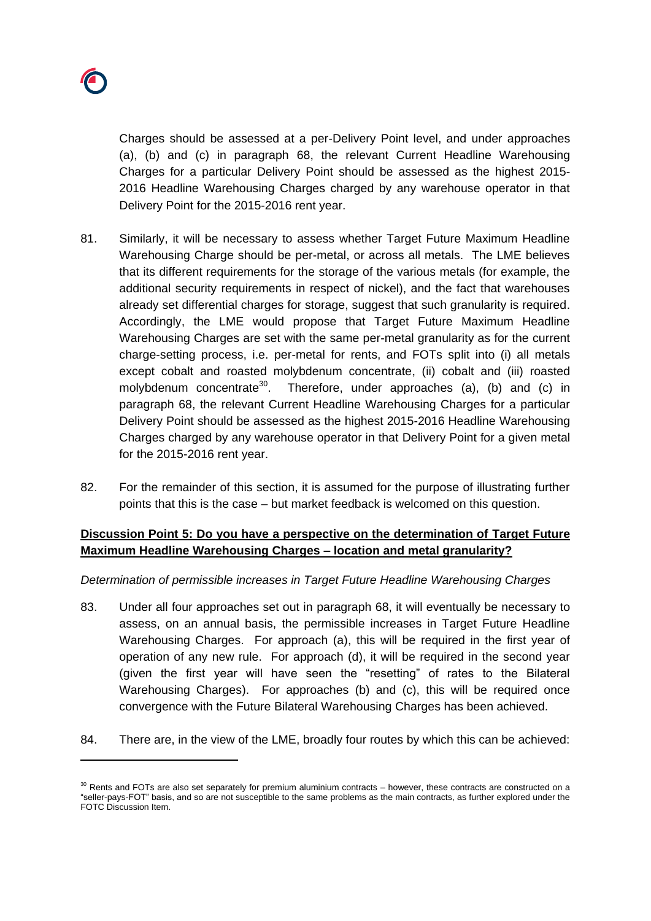

Charges should be assessed at a per-Delivery Point level, and under approaches (a), (b) and (c) in paragraph [68,](#page-27-0) the relevant Current Headline Warehousing Charges for a particular Delivery Point should be assessed as the highest 2015- 2016 Headline Warehousing Charges charged by any warehouse operator in that Delivery Point for the 2015-2016 rent year.

- 81. Similarly, it will be necessary to assess whether Target Future Maximum Headline Warehousing Charge should be per-metal, or across all metals. The LME believes that its different requirements for the storage of the various metals (for example, the additional security requirements in respect of nickel), and the fact that warehouses already set differential charges for storage, suggest that such granularity is required. Accordingly, the LME would propose that Target Future Maximum Headline Warehousing Charges are set with the same per-metal granularity as for the current charge-setting process, i.e. per-metal for rents, and FOTs split into (i) all metals except cobalt and roasted molybdenum concentrate, (ii) cobalt and (iii) roasted molybdenum concentrate<sup>30</sup>. Therefore, under approaches (a), (b) and (c) in paragraph [68,](#page-27-0) the relevant Current Headline Warehousing Charges for a particular Delivery Point should be assessed as the highest 2015-2016 Headline Warehousing Charges charged by any warehouse operator in that Delivery Point for a given metal for the 2015-2016 rent year.
- 82. For the remainder of this section, it is assumed for the purpose of illustrating further points that this is the case – but market feedback is welcomed on this question.

# **Discussion Point 5: Do you have a perspective on the determination of Target Future Maximum Headline Warehousing Charges – location and metal granularity?**

## *Determination of permissible increases in Target Future Headline Warehousing Charges*

- 83. Under all four approaches set out in paragraph [68,](#page-27-0) it will eventually be necessary to assess, on an annual basis, the permissible increases in Target Future Headline Warehousing Charges. For approach (a), this will be required in the first year of operation of any new rule. For approach (d), it will be required in the second year (given the first year will have seen the "resetting" of rates to the Bilateral Warehousing Charges). For approaches (b) and (c), this will be required once convergence with the Future Bilateral Warehousing Charges has been achieved.
- <span id="page-33-0"></span>84. There are, in the view of the LME, broadly four routes by which this can be achieved:

<sup>&</sup>lt;sup>30</sup> Rents and FOTs are also set separately for premium aluminium contracts – however, these contracts are constructed on a "seller-pays-FOT" basis, and so are not susceptible to the same problems as the main contracts, as further explored under the FOTC Discussion Item.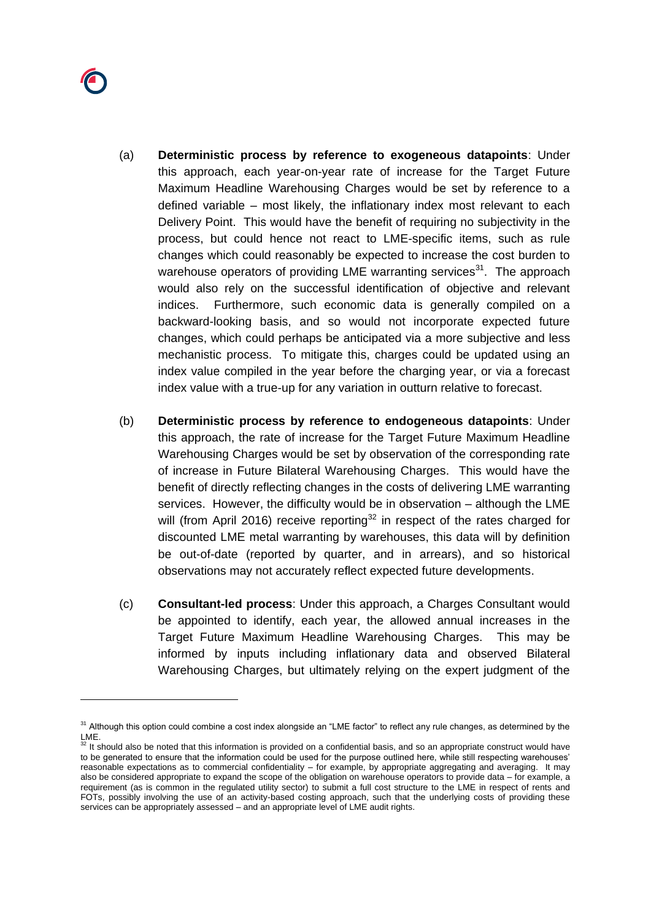

- (a) **Deterministic process by reference to exogeneous datapoints**: Under this approach, each year-on-year rate of increase for the Target Future Maximum Headline Warehousing Charges would be set by reference to a defined variable – most likely, the inflationary index most relevant to each Delivery Point. This would have the benefit of requiring no subjectivity in the process, but could hence not react to LME-specific items, such as rule changes which could reasonably be expected to increase the cost burden to warehouse operators of providing LME warranting services<sup>31</sup>. The approach would also rely on the successful identification of objective and relevant indices. Furthermore, such economic data is generally compiled on a backward-looking basis, and so would not incorporate expected future changes, which could perhaps be anticipated via a more subjective and less mechanistic process. To mitigate this, charges could be updated using an index value compiled in the year before the charging year, or via a forecast index value with a true-up for any variation in outturn relative to forecast.
- <span id="page-34-0"></span>(b) **Deterministic process by reference to endogeneous datapoints**: Under this approach, the rate of increase for the Target Future Maximum Headline Warehousing Charges would be set by observation of the corresponding rate of increase in Future Bilateral Warehousing Charges. This would have the benefit of directly reflecting changes in the costs of delivering LME warranting services. However, the difficulty would be in observation – although the LME will (from April 2016) receive reporting<sup>32</sup> in respect of the rates charged for discounted LME metal warranting by warehouses, this data will by definition be out-of-date (reported by quarter, and in arrears), and so historical observations may not accurately reflect expected future developments.
- (c) **Consultant-led process**: Under this approach, a Charges Consultant would be appointed to identify, each year, the allowed annual increases in the Target Future Maximum Headline Warehousing Charges. This may be informed by inputs including inflationary data and observed Bilateral Warehousing Charges, but ultimately relying on the expert judgment of the

<sup>&</sup>lt;sup>31</sup> Although this option could combine a cost index alongside an "LME factor" to reflect any rule changes, as determined by the

LME.<br><sup>32</sup> It should also be noted that this information is provided on a confidential basis, and so an appropriate construct would have to be generated to ensure that the information could be used for the purpose outlined here, while still respecting warehouses' reasonable expectations as to commercial confidentiality – for example, by appropriate aggregating and averaging. It may also be considered appropriate to expand the scope of the obligation on warehouse operators to provide data – for example, a requirement (as is common in the regulated utility sector) to submit a full cost structure to the LME in respect of rents and FOTs, possibly involving the use of an activity-based costing approach, such that the underlying costs of providing these services can be appropriately assessed – and an appropriate level of LME audit rights.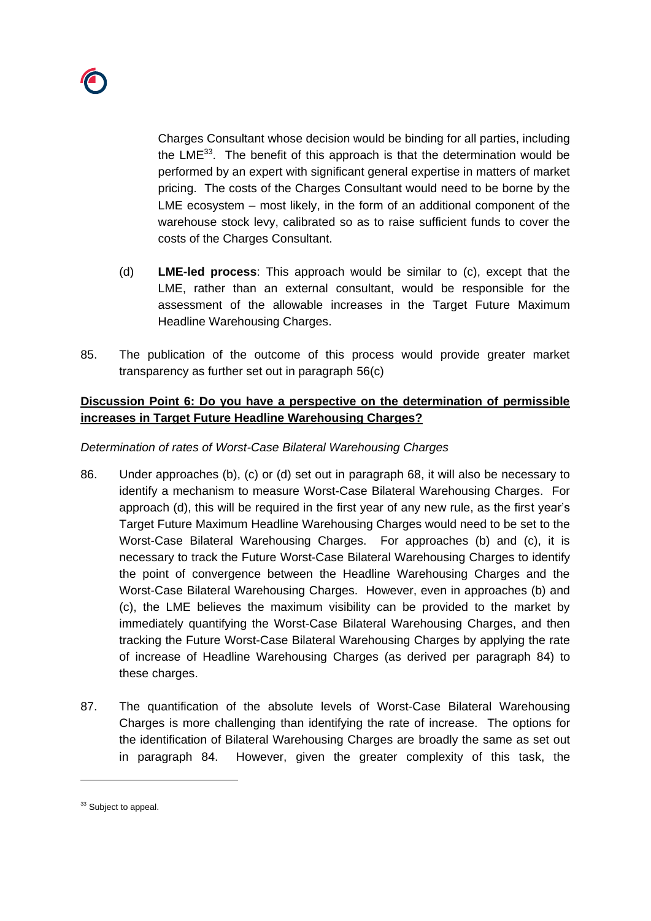

Charges Consultant whose decision would be binding for all parties, including the  $LME^{33}$ . The benefit of this approach is that the determination would be performed by an expert with significant general expertise in matters of market pricing. The costs of the Charges Consultant would need to be borne by the LME ecosystem – most likely, in the form of an additional component of the warehouse stock levy, calibrated so as to raise sufficient funds to cover the costs of the Charges Consultant.

- (d) **LME-led process**: This approach would be similar to (c), except that the LME, rather than an external consultant, would be responsible for the assessment of the allowable increases in the Target Future Maximum Headline Warehousing Charges.
- 85. The publication of the outcome of this process would provide greater market transparency as further set out in paragraph [56\(c\)](#page-22-1)

# **Discussion Point 6: Do you have a perspective on the determination of permissible increases in Target Future Headline Warehousing Charges?**

# *Determination of rates of Worst-Case Bilateral Warehousing Charges*

- 86. Under approaches (b), (c) or (d) set out in paragraph [68,](#page-27-0) it will also be necessary to identify a mechanism to measure Worst-Case Bilateral Warehousing Charges. For approach (d), this will be required in the first year of any new rule, as the first year's Target Future Maximum Headline Warehousing Charges would need to be set to the Worst-Case Bilateral Warehousing Charges. For approaches (b) and (c), it is necessary to track the Future Worst-Case Bilateral Warehousing Charges to identify the point of convergence between the Headline Warehousing Charges and the Worst-Case Bilateral Warehousing Charges. However, even in approaches (b) and (c), the LME believes the maximum visibility can be provided to the market by immediately quantifying the Worst-Case Bilateral Warehousing Charges, and then tracking the Future Worst-Case Bilateral Warehousing Charges by applying the rate of increase of Headline Warehousing Charges (as derived per paragraph [84\)](#page-33-0) to these charges.
- 87. The quantification of the absolute levels of Worst-Case Bilateral Warehousing Charges is more challenging than identifying the rate of increase. The options for the identification of Bilateral Warehousing Charges are broadly the same as set out in paragraph [84.](#page-33-0) However, given the greater complexity of this task, the

<sup>&</sup>lt;sup>33</sup> Subject to appeal.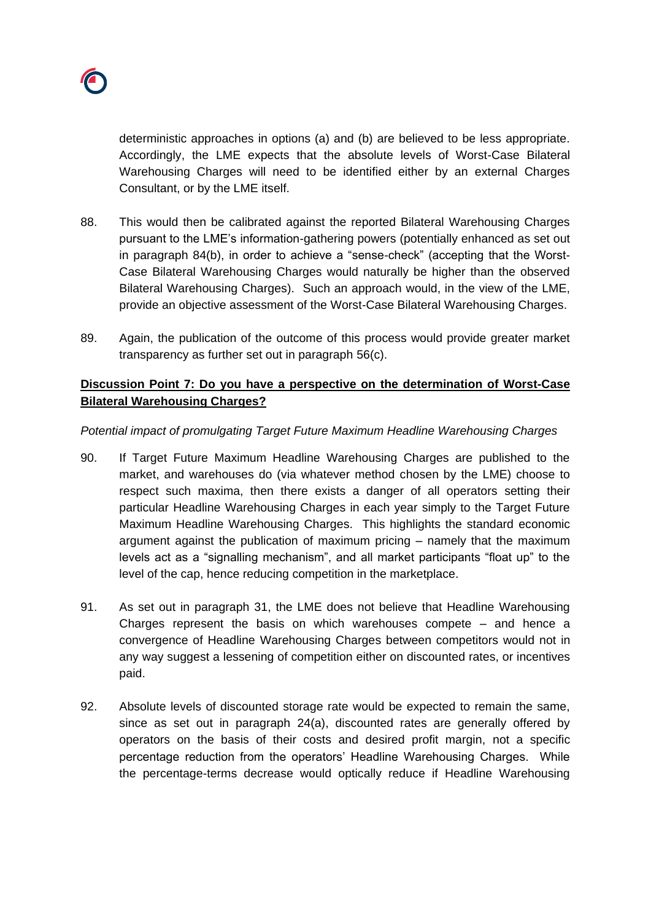

deterministic approaches in options (a) and (b) are believed to be less appropriate. Accordingly, the LME expects that the absolute levels of Worst-Case Bilateral Warehousing Charges will need to be identified either by an external Charges Consultant, or by the LME itself.

- 88. This would then be calibrated against the reported Bilateral Warehousing Charges pursuant to the LME's information-gathering powers (potentially enhanced as set out in paragraph [84\(b\),](#page-34-0) in order to achieve a "sense-check" (accepting that the Worst-Case Bilateral Warehousing Charges would naturally be higher than the observed Bilateral Warehousing Charges). Such an approach would, in the view of the LME, provide an objective assessment of the Worst-Case Bilateral Warehousing Charges.
- 89. Again, the publication of the outcome of this process would provide greater market transparency as further set out in paragraph [56\(c\).](#page-22-1)

# **Discussion Point 7: Do you have a perspective on the determination of Worst-Case Bilateral Warehousing Charges?**

## *Potential impact of promulgating Target Future Maximum Headline Warehousing Charges*

- 90. If Target Future Maximum Headline Warehousing Charges are published to the market, and warehouses do (via whatever method chosen by the LME) choose to respect such maxima, then there exists a danger of all operators setting their particular Headline Warehousing Charges in each year simply to the Target Future Maximum Headline Warehousing Charges. This highlights the standard economic argument against the publication of maximum pricing – namely that the maximum levels act as a "signalling mechanism", and all market participants "float up" to the level of the cap, hence reducing competition in the marketplace.
- <span id="page-36-0"></span>91. As set out in paragraph [31,](#page-9-1) the LME does not believe that Headline Warehousing Charges represent the basis on which warehouses compete – and hence a convergence of Headline Warehousing Charges between competitors would not in any way suggest a lessening of competition either on discounted rates, or incentives paid.
- 92. Absolute levels of discounted storage rate would be expected to remain the same, since as set out in paragraph [24\(a\),](#page-6-0) discounted rates are generally offered by operators on the basis of their costs and desired profit margin, not a specific percentage reduction from the operators' Headline Warehousing Charges. While the percentage-terms decrease would optically reduce if Headline Warehousing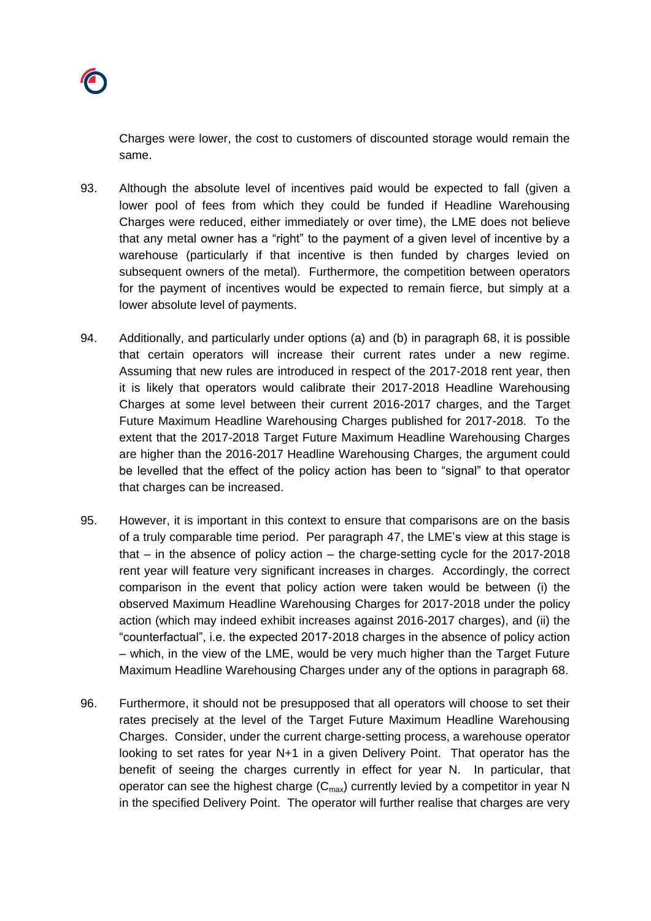Charges were lower, the cost to customers of discounted storage would remain the same.

- 93. Although the absolute level of incentives paid would be expected to fall (given a lower pool of fees from which they could be funded if Headline Warehousing Charges were reduced, either immediately or over time), the LME does not believe that any metal owner has a "right" to the payment of a given level of incentive by a warehouse (particularly if that incentive is then funded by charges levied on subsequent owners of the metal). Furthermore, the competition between operators for the payment of incentives would be expected to remain fierce, but simply at a lower absolute level of payments.
- <span id="page-37-0"></span>94. Additionally, and particularly under options (a) and (b) in paragraph [68,](#page-27-0) it is possible that certain operators will increase their current rates under a new regime. Assuming that new rules are introduced in respect of the 2017-2018 rent year, then it is likely that operators would calibrate their 2017-2018 Headline Warehousing Charges at some level between their current 2016-2017 charges, and the Target Future Maximum Headline Warehousing Charges published for 2017-2018. To the extent that the 2017-2018 Target Future Maximum Headline Warehousing Charges are higher than the 2016-2017 Headline Warehousing Charges, the argument could be levelled that the effect of the policy action has been to "signal" to that operator that charges can be increased.
- <span id="page-37-1"></span>95. However, it is important in this context to ensure that comparisons are on the basis of a truly comparable time period. Per paragraph [47,](#page-18-1) the LME's view at this stage is that – in the absence of policy action – the charge-setting cycle for the 2017-2018 rent year will feature very significant increases in charges. Accordingly, the correct comparison in the event that policy action were taken would be between (i) the observed Maximum Headline Warehousing Charges for 2017-2018 under the policy action (which may indeed exhibit increases against 2016-2017 charges), and (ii) the "counterfactual", i.e. the expected 2017-2018 charges in the absence of policy action – which, in the view of the LME, would be very much higher than the Target Future Maximum Headline Warehousing Charges under any of the options in paragraph [68.](#page-27-0)
- 96. Furthermore, it should not be presupposed that all operators will choose to set their rates precisely at the level of the Target Future Maximum Headline Warehousing Charges. Consider, under the current charge-setting process, a warehouse operator looking to set rates for year N+1 in a given Delivery Point. That operator has the benefit of seeing the charges currently in effect for year N. In particular, that operator can see the highest charge  $(C_{\text{max}})$  currently levied by a competitor in year N in the specified Delivery Point. The operator will further realise that charges are very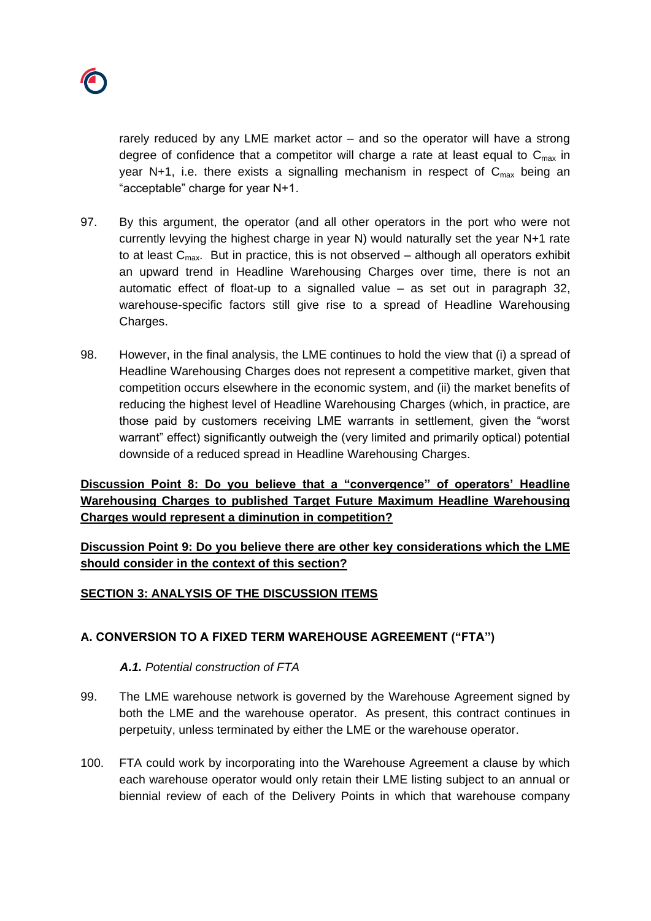

rarely reduced by any LME market actor – and so the operator will have a strong degree of confidence that a competitor will charge a rate at least equal to  $C_{\text{max}}$  in year N+1, i.e. there exists a signalling mechanism in respect of  $C_{\text{max}}$  being an "acceptable" charge for year N+1.

- 97. By this argument, the operator (and all other operators in the port who were not currently levying the highest charge in year N) would naturally set the year N+1 rate to at least  $C_{\text{max}}$ . But in practice, this is not observed – although all operators exhibit an upward trend in Headline Warehousing Charges over time, there is not an automatic effect of float-up to a signalled value – as set out in paragraph [32,](#page-10-1) warehouse-specific factors still give rise to a spread of Headline Warehousing Charges.
- 98. However, in the final analysis, the LME continues to hold the view that (i) a spread of Headline Warehousing Charges does not represent a competitive market, given that competition occurs elsewhere in the economic system, and (ii) the market benefits of reducing the highest level of Headline Warehousing Charges (which, in practice, are those paid by customers receiving LME warrants in settlement, given the "worst warrant" effect) significantly outweigh the (very limited and primarily optical) potential downside of a reduced spread in Headline Warehousing Charges.

**Discussion Point 8: Do you believe that a "convergence" of operators' Headline Warehousing Charges to published Target Future Maximum Headline Warehousing Charges would represent a diminution in competition?**

**Discussion Point 9: Do you believe there are other key considerations which the LME should consider in the context of this section?**

## **SECTION 3: ANALYSIS OF THE DISCUSSION ITEMS**

## **A. CONVERSION TO A FIXED TERM WAREHOUSE AGREEMENT ("FTA")**

## *A.1. Potential construction of FTA*

- 99. The LME warehouse network is governed by the Warehouse Agreement signed by both the LME and the warehouse operator. As present, this contract continues in perpetuity, unless terminated by either the LME or the warehouse operator.
- 100. FTA could work by incorporating into the Warehouse Agreement a clause by which each warehouse operator would only retain their LME listing subject to an annual or biennial review of each of the Delivery Points in which that warehouse company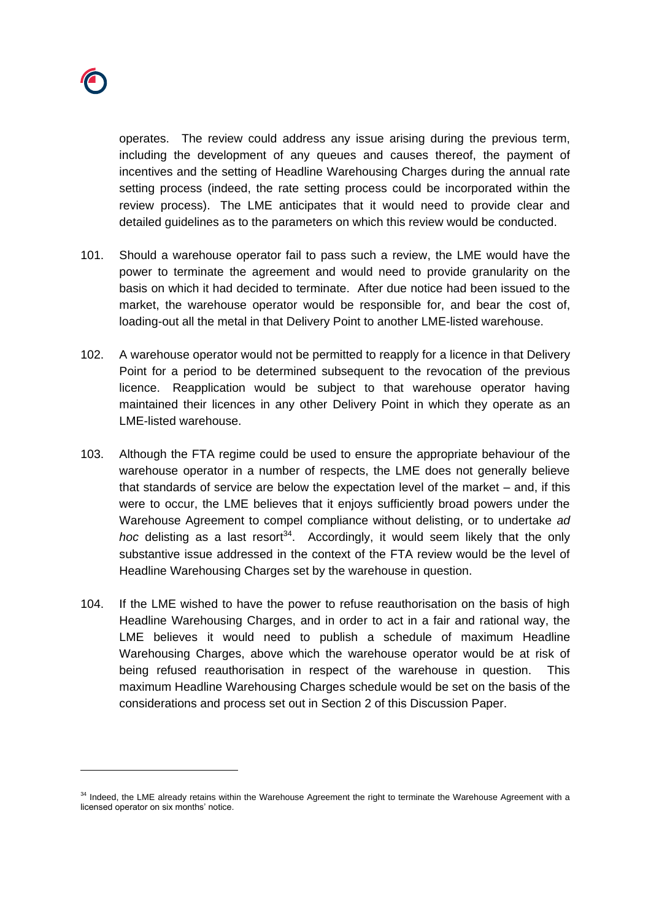operates. The review could address any issue arising during the previous term, including the development of any queues and causes thereof, the payment of incentives and the setting of Headline Warehousing Charges during the annual rate setting process (indeed, the rate setting process could be incorporated within the review process). The LME anticipates that it would need to provide clear and detailed guidelines as to the parameters on which this review would be conducted.

- 101. Should a warehouse operator fail to pass such a review, the LME would have the power to terminate the agreement and would need to provide granularity on the basis on which it had decided to terminate. After due notice had been issued to the market, the warehouse operator would be responsible for, and bear the cost of, loading-out all the metal in that Delivery Point to another LME-listed warehouse.
- 102. A warehouse operator would not be permitted to reapply for a licence in that Delivery Point for a period to be determined subsequent to the revocation of the previous licence. Reapplication would be subject to that warehouse operator having maintained their licences in any other Delivery Point in which they operate as an LME-listed warehouse.
- 103. Although the FTA regime could be used to ensure the appropriate behaviour of the warehouse operator in a number of respects, the LME does not generally believe that standards of service are below the expectation level of the market – and, if this were to occur, the LME believes that it enjoys sufficiently broad powers under the Warehouse Agreement to compel compliance without delisting, or to undertake *ad hoc* delisting as a last resort<sup>34</sup>. Accordingly, it would seem likely that the only substantive issue addressed in the context of the FTA review would be the level of Headline Warehousing Charges set by the warehouse in question.
- 104. If the LME wished to have the power to refuse reauthorisation on the basis of high Headline Warehousing Charges, and in order to act in a fair and rational way, the LME believes it would need to publish a schedule of maximum Headline Warehousing Charges, above which the warehouse operator would be at risk of being refused reauthorisation in respect of the warehouse in question. This maximum Headline Warehousing Charges schedule would be set on the basis of the considerations and process set out in Section 2 of this Discussion Paper.

<sup>&</sup>lt;sup>34</sup> Indeed, the LME already retains within the Warehouse Agreement the right to terminate the Warehouse Agreement with a licensed operator on six months' notice.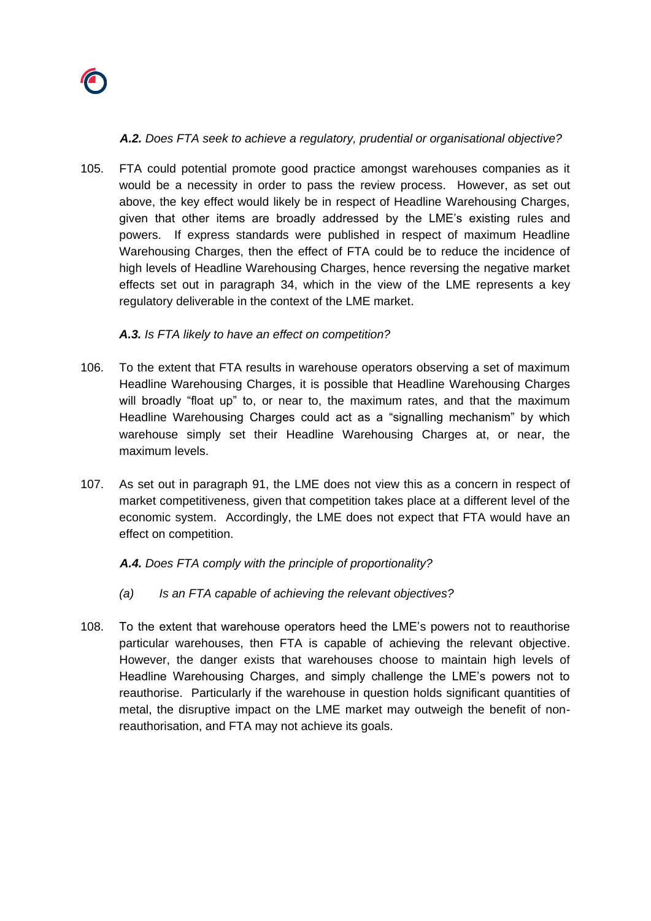

## *A.2. Does FTA seek to achieve a regulatory, prudential or organisational objective?*

105. FTA could potential promote good practice amongst warehouses companies as it would be a necessity in order to pass the review process. However, as set out above, the key effect would likely be in respect of Headline Warehousing Charges, given that other items are broadly addressed by the LME's existing rules and powers. If express standards were published in respect of maximum Headline Warehousing Charges, then the effect of FTA could be to reduce the incidence of high levels of Headline Warehousing Charges, hence reversing the negative market effects set out in paragraph [34,](#page-10-2) which in the view of the LME represents a key regulatory deliverable in the context of the LME market.

## *A.3. Is FTA likely to have an effect on competition?*

- 106. To the extent that FTA results in warehouse operators observing a set of maximum Headline Warehousing Charges, it is possible that Headline Warehousing Charges will broadly "float up" to, or near to, the maximum rates, and that the maximum Headline Warehousing Charges could act as a "signalling mechanism" by which warehouse simply set their Headline Warehousing Charges at, or near, the maximum levels.
- 107. As set out in paragraph [91,](#page-36-0) the LME does not view this as a concern in respect of market competitiveness, given that competition takes place at a different level of the economic system. Accordingly, the LME does not expect that FTA would have an effect on competition.

# *A.4. Does FTA comply with the principle of proportionality?*

- *(a) Is an FTA capable of achieving the relevant objectives?*
- 108. To the extent that warehouse operators heed the LME's powers not to reauthorise particular warehouses, then FTA is capable of achieving the relevant objective. However, the danger exists that warehouses choose to maintain high levels of Headline Warehousing Charges, and simply challenge the LME's powers not to reauthorise. Particularly if the warehouse in question holds significant quantities of metal, the disruptive impact on the LME market may outweigh the benefit of nonreauthorisation, and FTA may not achieve its goals.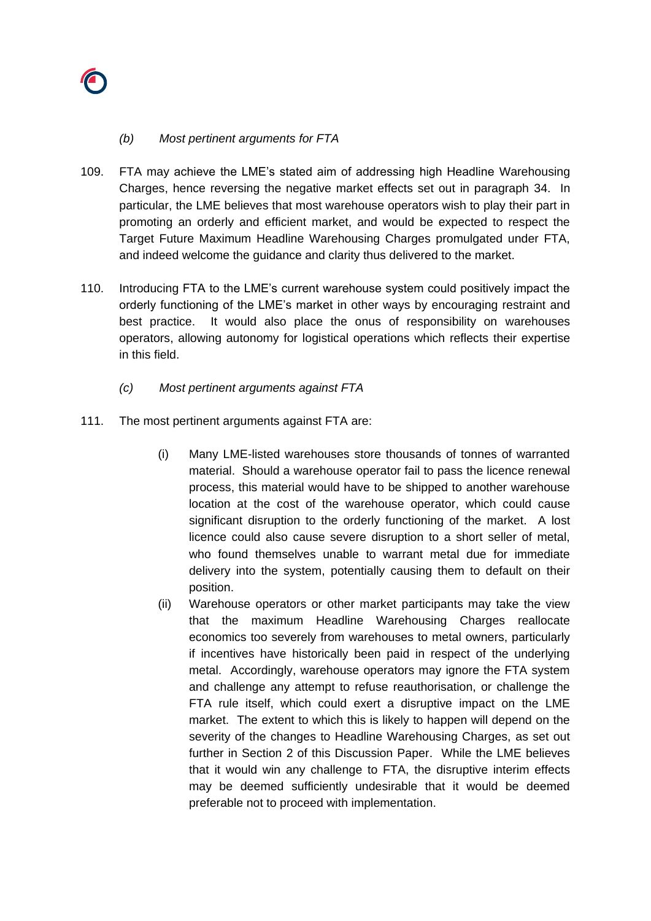

## *(b) Most pertinent arguments for FTA*

- 109. FTA may achieve the LME's stated aim of addressing high Headline Warehousing Charges, hence reversing the negative market effects set out in paragraph [34.](#page-10-2) In particular, the LME believes that most warehouse operators wish to play their part in promoting an orderly and efficient market, and would be expected to respect the Target Future Maximum Headline Warehousing Charges promulgated under FTA, and indeed welcome the guidance and clarity thus delivered to the market.
- 110. Introducing FTA to the LME's current warehouse system could positively impact the orderly functioning of the LME's market in other ways by encouraging restraint and best practice. It would also place the onus of responsibility on warehouses operators, allowing autonomy for logistical operations which reflects their expertise in this field.
	- *(c) Most pertinent arguments against FTA*
- 111. The most pertinent arguments against FTA are:
	- (i) Many LME-listed warehouses store thousands of tonnes of warranted material. Should a warehouse operator fail to pass the licence renewal process, this material would have to be shipped to another warehouse location at the cost of the warehouse operator, which could cause significant disruption to the orderly functioning of the market. A lost licence could also cause severe disruption to a short seller of metal, who found themselves unable to warrant metal due for immediate delivery into the system, potentially causing them to default on their position.
	- (ii) Warehouse operators or other market participants may take the view that the maximum Headline Warehousing Charges reallocate economics too severely from warehouses to metal owners, particularly if incentives have historically been paid in respect of the underlying metal. Accordingly, warehouse operators may ignore the FTA system and challenge any attempt to refuse reauthorisation, or challenge the FTA rule itself, which could exert a disruptive impact on the LME market. The extent to which this is likely to happen will depend on the severity of the changes to Headline Warehousing Charges, as set out further in Section 2 of this Discussion Paper. While the LME believes that it would win any challenge to FTA, the disruptive interim effects may be deemed sufficiently undesirable that it would be deemed preferable not to proceed with implementation.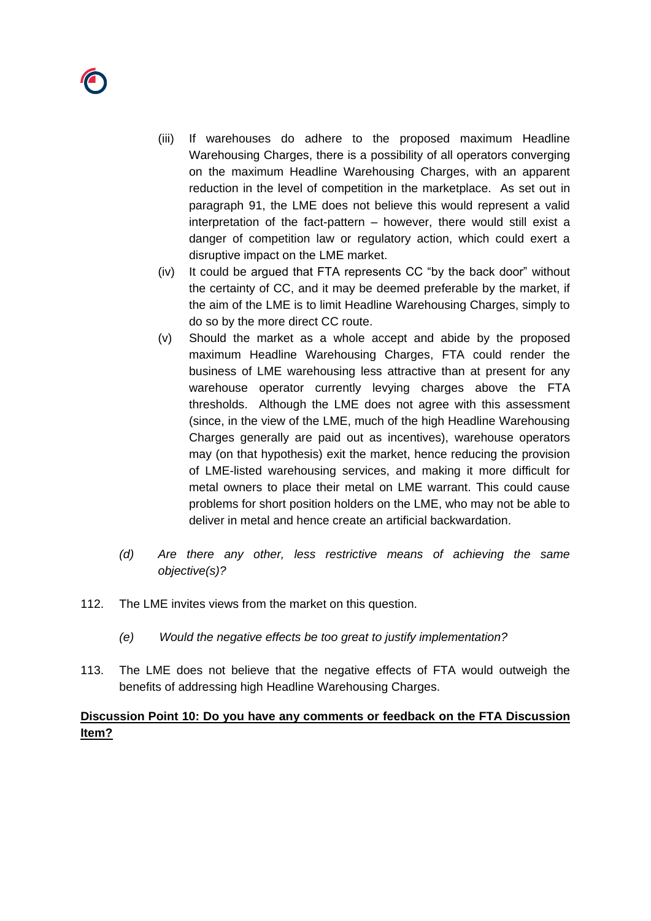

- (iii) If warehouses do adhere to the proposed maximum Headline Warehousing Charges, there is a possibility of all operators converging on the maximum Headline Warehousing Charges, with an apparent reduction in the level of competition in the marketplace. As set out in paragraph [91,](#page-36-0) the LME does not believe this would represent a valid interpretation of the fact-pattern – however, there would still exist a danger of competition law or regulatory action, which could exert a disruptive impact on the LME market.
- (iv) It could be argued that FTA represents CC "by the back door" without the certainty of CC, and it may be deemed preferable by the market, if the aim of the LME is to limit Headline Warehousing Charges, simply to do so by the more direct CC route.
- (v) Should the market as a whole accept and abide by the proposed maximum Headline Warehousing Charges, FTA could render the business of LME warehousing less attractive than at present for any warehouse operator currently levying charges above the FTA thresholds. Although the LME does not agree with this assessment (since, in the view of the LME, much of the high Headline Warehousing Charges generally are paid out as incentives), warehouse operators may (on that hypothesis) exit the market, hence reducing the provision of LME-listed warehousing services, and making it more difficult for metal owners to place their metal on LME warrant. This could cause problems for short position holders on the LME, who may not be able to deliver in metal and hence create an artificial backwardation.
- *(d) Are there any other, less restrictive means of achieving the same objective(s)?*
- 112. The LME invites views from the market on this question.
	- *(e) Would the negative effects be too great to justify implementation?*
- 113. The LME does not believe that the negative effects of FTA would outweigh the benefits of addressing high Headline Warehousing Charges.

# **Discussion Point 10: Do you have any comments or feedback on the FTA Discussion Item?**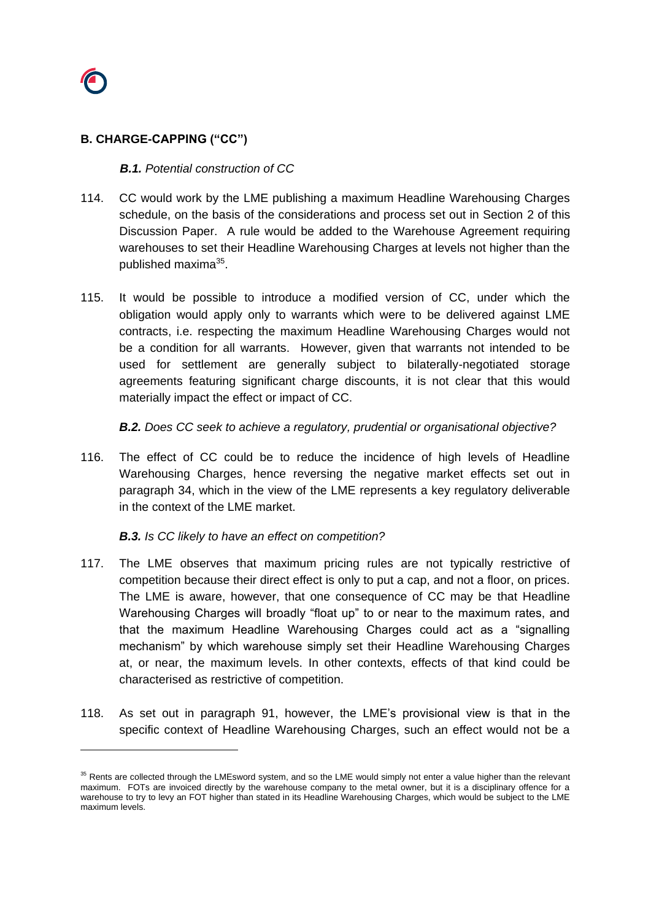

## **B. CHARGE-CAPPING ("CC")**

#### *B.1. Potential construction of CC*

- 114. CC would work by the LME publishing a maximum Headline Warehousing Charges schedule, on the basis of the considerations and process set out in Section 2 of this Discussion Paper. A rule would be added to the Warehouse Agreement requiring warehouses to set their Headline Warehousing Charges at levels not higher than the published maxima<sup>35</sup>.
- 115. It would be possible to introduce a modified version of CC, under which the obligation would apply only to warrants which were to be delivered against LME contracts, i.e. respecting the maximum Headline Warehousing Charges would not be a condition for all warrants. However, given that warrants not intended to be used for settlement are generally subject to bilaterally-negotiated storage agreements featuring significant charge discounts, it is not clear that this would materially impact the effect or impact of CC.

*B.2. Does CC seek to achieve a regulatory, prudential or organisational objective?*

116. The effect of CC could be to reduce the incidence of high levels of Headline Warehousing Charges, hence reversing the negative market effects set out in paragraph [34,](#page-10-2) which in the view of the LME represents a key regulatory deliverable in the context of the LME market.

## *B.3. Is CC likely to have an effect on competition?*

- <span id="page-43-0"></span>117. The LME observes that maximum pricing rules are not typically restrictive of competition because their direct effect is only to put a cap, and not a floor, on prices. The LME is aware, however, that one consequence of CC may be that Headline Warehousing Charges will broadly "float up" to or near to the maximum rates, and that the maximum Headline Warehousing Charges could act as a "signalling mechanism" by which warehouse simply set their Headline Warehousing Charges at, or near, the maximum levels. In other contexts, effects of that kind could be characterised as restrictive of competition.
- <span id="page-43-1"></span>118. As set out in paragraph [91,](#page-36-0) however, the LME's provisional view is that in the specific context of Headline Warehousing Charges, such an effect would not be a

<sup>&</sup>lt;sup>35</sup> Rents are collected through the LMEsword system, and so the LME would simply not enter a value higher than the relevant maximum. FOTs are invoiced directly by the warehouse company to the metal owner, but it is a disciplinary offence for a warehouse to try to levy an FOT higher than stated in its Headline Warehousing Charges, which would be subject to the LME maximum levels.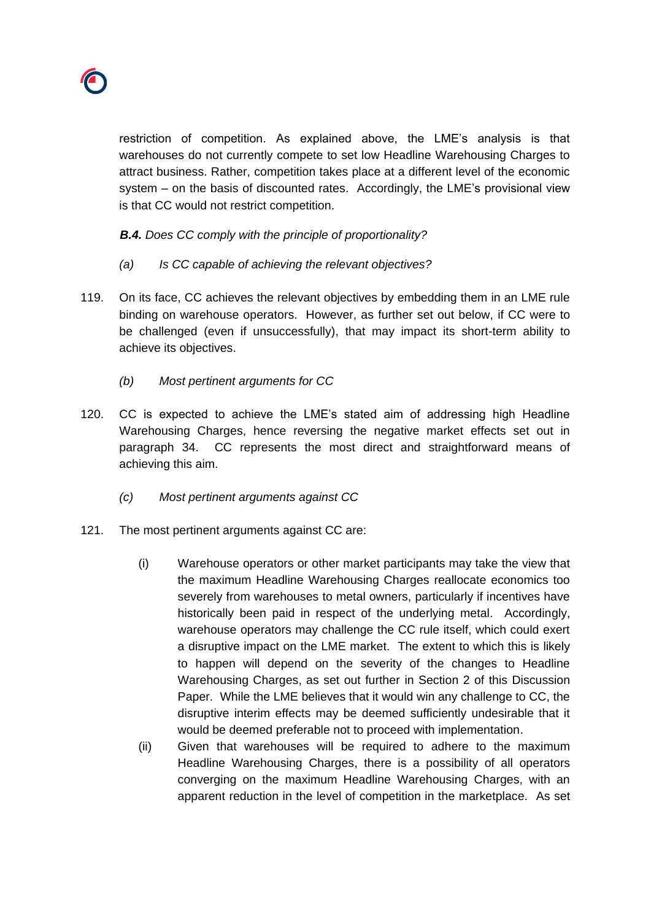

restriction of competition. As explained above, the LME's analysis is that warehouses do not currently compete to set low Headline Warehousing Charges to attract business. Rather, competition takes place at a different level of the economic system – on the basis of discounted rates. Accordingly, the LME's provisional view is that CC would not restrict competition.

*B.4. Does CC comply with the principle of proportionality?*

- *(a) Is CC capable of achieving the relevant objectives?*
- 119. On its face, CC achieves the relevant objectives by embedding them in an LME rule binding on warehouse operators. However, as further set out below, if CC were to be challenged (even if unsuccessfully), that may impact its short-term ability to achieve its objectives.
	- *(b) Most pertinent arguments for CC*
- 120. CC is expected to achieve the LME's stated aim of addressing high Headline Warehousing Charges, hence reversing the negative market effects set out in paragraph [34.](#page-10-2) CC represents the most direct and straightforward means of achieving this aim.
	- *(c) Most pertinent arguments against CC*
- 121. The most pertinent arguments against CC are:
	- (i) Warehouse operators or other market participants may take the view that the maximum Headline Warehousing Charges reallocate economics too severely from warehouses to metal owners, particularly if incentives have historically been paid in respect of the underlying metal. Accordingly, warehouse operators may challenge the CC rule itself, which could exert a disruptive impact on the LME market. The extent to which this is likely to happen will depend on the severity of the changes to Headline Warehousing Charges, as set out further in Section 2 of this Discussion Paper. While the LME believes that it would win any challenge to CC, the disruptive interim effects may be deemed sufficiently undesirable that it would be deemed preferable not to proceed with implementation.
	- (ii) Given that warehouses will be required to adhere to the maximum Headline Warehousing Charges, there is a possibility of all operators converging on the maximum Headline Warehousing Charges, with an apparent reduction in the level of competition in the marketplace. As set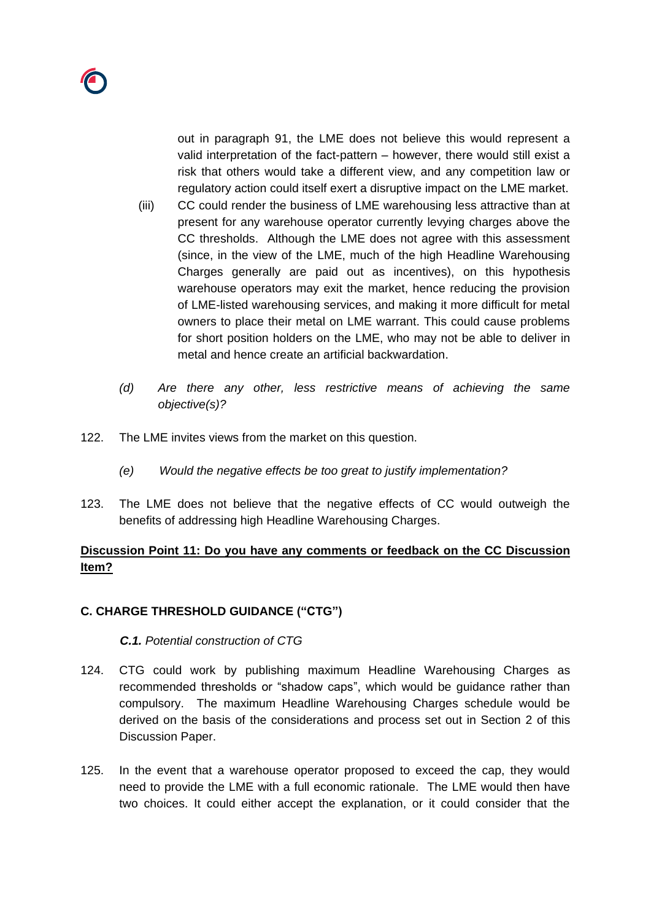out in paragraph [91,](#page-36-0) the LME does not believe this would represent a valid interpretation of the fact-pattern – however, there would still exist a risk that others would take a different view, and any competition law or regulatory action could itself exert a disruptive impact on the LME market.

- (iii) CC could render the business of LME warehousing less attractive than at present for any warehouse operator currently levying charges above the CC thresholds. Although the LME does not agree with this assessment (since, in the view of the LME, much of the high Headline Warehousing Charges generally are paid out as incentives), on this hypothesis warehouse operators may exit the market, hence reducing the provision of LME-listed warehousing services, and making it more difficult for metal owners to place their metal on LME warrant. This could cause problems for short position holders on the LME, who may not be able to deliver in metal and hence create an artificial backwardation.
- *(d) Are there any other, less restrictive means of achieving the same objective(s)?*
- 122. The LME invites views from the market on this question.
	- *(e) Would the negative effects be too great to justify implementation?*
- 123. The LME does not believe that the negative effects of CC would outweigh the benefits of addressing high Headline Warehousing Charges.

# **Discussion Point 11: Do you have any comments or feedback on the CC Discussion Item?**

# **C. CHARGE THRESHOLD GUIDANCE ("CTG")**

## *C.1. Potential construction of CTG*

- 124. CTG could work by publishing maximum Headline Warehousing Charges as recommended thresholds or "shadow caps", which would be guidance rather than compulsory. The maximum Headline Warehousing Charges schedule would be derived on the basis of the considerations and process set out in Section 2 of this Discussion Paper.
- 125. In the event that a warehouse operator proposed to exceed the cap, they would need to provide the LME with a full economic rationale. The LME would then have two choices. It could either accept the explanation, or it could consider that the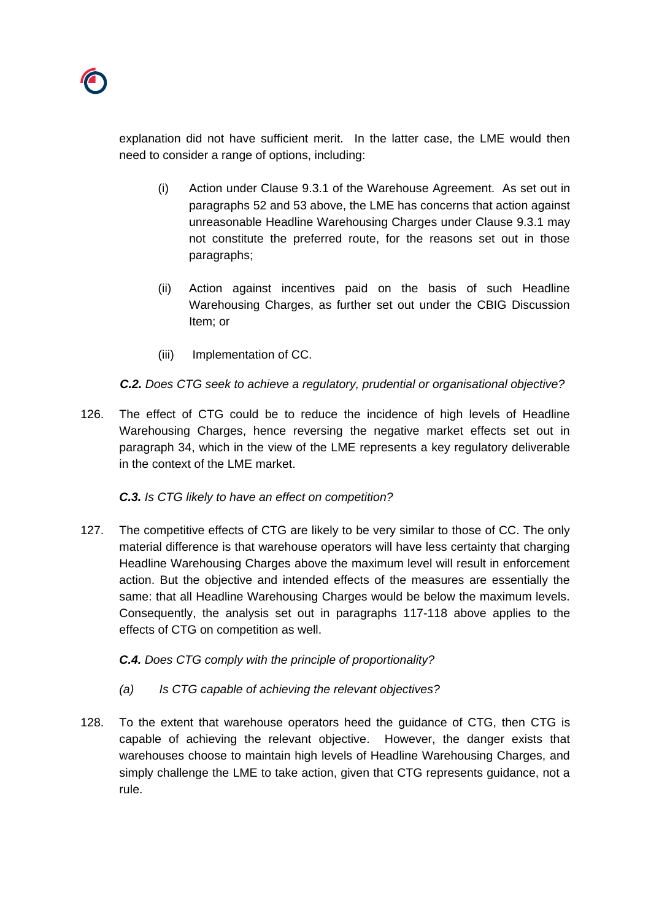explanation did not have sufficient merit. In the latter case, the LME would then need to consider a range of options, including:

- (i) Action under Clause 9.3.1 of the Warehouse Agreement. As set out in paragraphs [52](#page-21-0) and [53](#page-21-1) above, the LME has concerns that action against unreasonable Headline Warehousing Charges under Clause 9.3.1 may not constitute the preferred route, for the reasons set out in those paragraphs;
- (ii) Action against incentives paid on the basis of such Headline Warehousing Charges, as further set out under the CBIG Discussion Item; or
- (iii) Implementation of CC.

*C.2. Does CTG seek to achieve a regulatory, prudential or organisational objective?*

126. The effect of CTG could be to reduce the incidence of high levels of Headline Warehousing Charges, hence reversing the negative market effects set out in paragraph [34,](#page-10-2) which in the view of the LME represents a key regulatory deliverable in the context of the LME market.

# *C.3. Is CTG likely to have an effect on competition?*

<span id="page-46-0"></span>127. The competitive effects of CTG are likely to be very similar to those of CC. The only material difference is that warehouse operators will have less certainty that charging Headline Warehousing Charges above the maximum level will result in enforcement action. But the objective and intended effects of the measures are essentially the same: that all Headline Warehousing Charges would be below the maximum levels. Consequently, the analysis set out in paragraphs [117-](#page-43-0)[118](#page-43-1) above applies to the effects of CTG on competition as well.

# *C.4. Does CTG comply with the principle of proportionality?*

- *(a) Is CTG capable of achieving the relevant objectives?*
- 128. To the extent that warehouse operators heed the guidance of CTG, then CTG is capable of achieving the relevant objective. However, the danger exists that warehouses choose to maintain high levels of Headline Warehousing Charges, and simply challenge the LME to take action, given that CTG represents guidance, not a rule.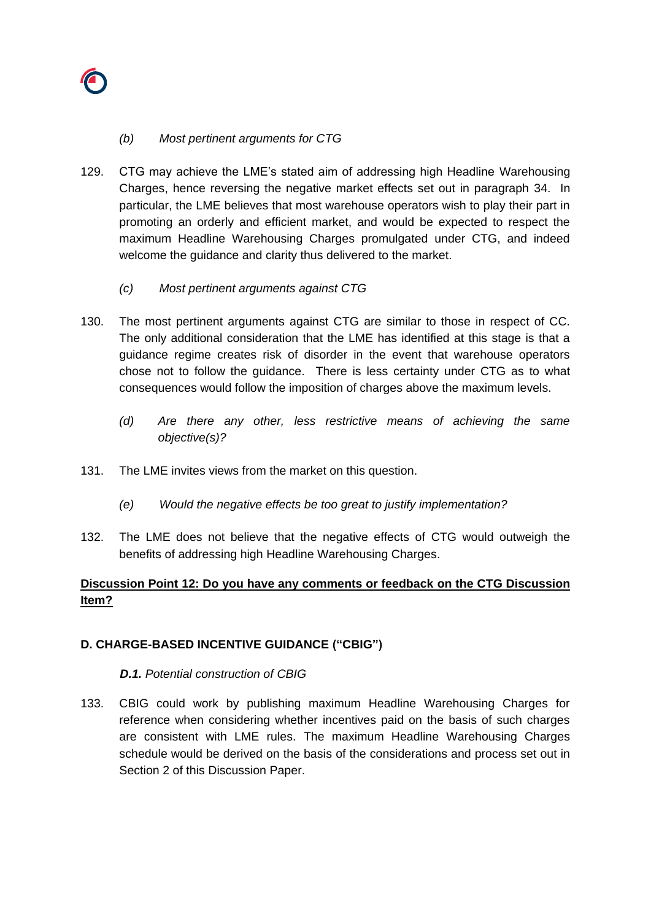

## *(b) Most pertinent arguments for CTG*

- 129. CTG may achieve the LME's stated aim of addressing high Headline Warehousing Charges, hence reversing the negative market effects set out in paragraph [34.](#page-10-2) In particular, the LME believes that most warehouse operators wish to play their part in promoting an orderly and efficient market, and would be expected to respect the maximum Headline Warehousing Charges promulgated under CTG, and indeed welcome the guidance and clarity thus delivered to the market.
	- *(c) Most pertinent arguments against CTG*
- 130. The most pertinent arguments against CTG are similar to those in respect of CC. The only additional consideration that the LME has identified at this stage is that a guidance regime creates risk of disorder in the event that warehouse operators chose not to follow the guidance. There is less certainty under CTG as to what consequences would follow the imposition of charges above the maximum levels.
	- *(d) Are there any other, less restrictive means of achieving the same objective(s)?*
- 131. The LME invites views from the market on this question.
	- *(e) Would the negative effects be too great to justify implementation?*
- 132. The LME does not believe that the negative effects of CTG would outweigh the benefits of addressing high Headline Warehousing Charges.

# **Discussion Point 12: Do you have any comments or feedback on the CTG Discussion Item?**

# **D. CHARGE-BASED INCENTIVE GUIDANCE ("CBIG")**

## *D.1. Potential construction of CBIG*

133. CBIG could work by publishing maximum Headline Warehousing Charges for reference when considering whether incentives paid on the basis of such charges are consistent with LME rules. The maximum Headline Warehousing Charges schedule would be derived on the basis of the considerations and process set out in Section 2 of this Discussion Paper.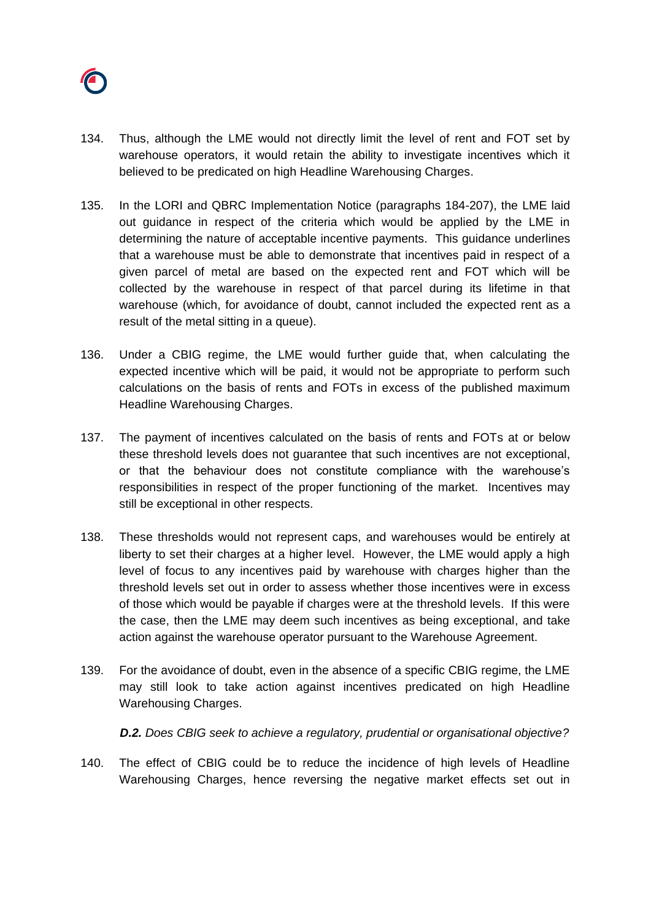

- 134. Thus, although the LME would not directly limit the level of rent and FOT set by warehouse operators, it would retain the ability to investigate incentives which it believed to be predicated on high Headline Warehousing Charges.
- 135. In the LORI and QBRC Implementation Notice (paragraphs 184-207), the LME laid out guidance in respect of the criteria which would be applied by the LME in determining the nature of acceptable incentive payments. This guidance underlines that a warehouse must be able to demonstrate that incentives paid in respect of a given parcel of metal are based on the expected rent and FOT which will be collected by the warehouse in respect of that parcel during its lifetime in that warehouse (which, for avoidance of doubt, cannot included the expected rent as a result of the metal sitting in a queue).
- 136. Under a CBIG regime, the LME would further guide that, when calculating the expected incentive which will be paid, it would not be appropriate to perform such calculations on the basis of rents and FOTs in excess of the published maximum Headline Warehousing Charges.
- 137. The payment of incentives calculated on the basis of rents and FOTs at or below these threshold levels does not guarantee that such incentives are not exceptional, or that the behaviour does not constitute compliance with the warehouse's responsibilities in respect of the proper functioning of the market. Incentives may still be exceptional in other respects.
- 138. These thresholds would not represent caps, and warehouses would be entirely at liberty to set their charges at a higher level. However, the LME would apply a high level of focus to any incentives paid by warehouse with charges higher than the threshold levels set out in order to assess whether those incentives were in excess of those which would be payable if charges were at the threshold levels. If this were the case, then the LME may deem such incentives as being exceptional, and take action against the warehouse operator pursuant to the Warehouse Agreement.
- 139. For the avoidance of doubt, even in the absence of a specific CBIG regime, the LME may still look to take action against incentives predicated on high Headline Warehousing Charges.

*D.2. Does CBIG seek to achieve a regulatory, prudential or organisational objective?*

140. The effect of CBIG could be to reduce the incidence of high levels of Headline Warehousing Charges, hence reversing the negative market effects set out in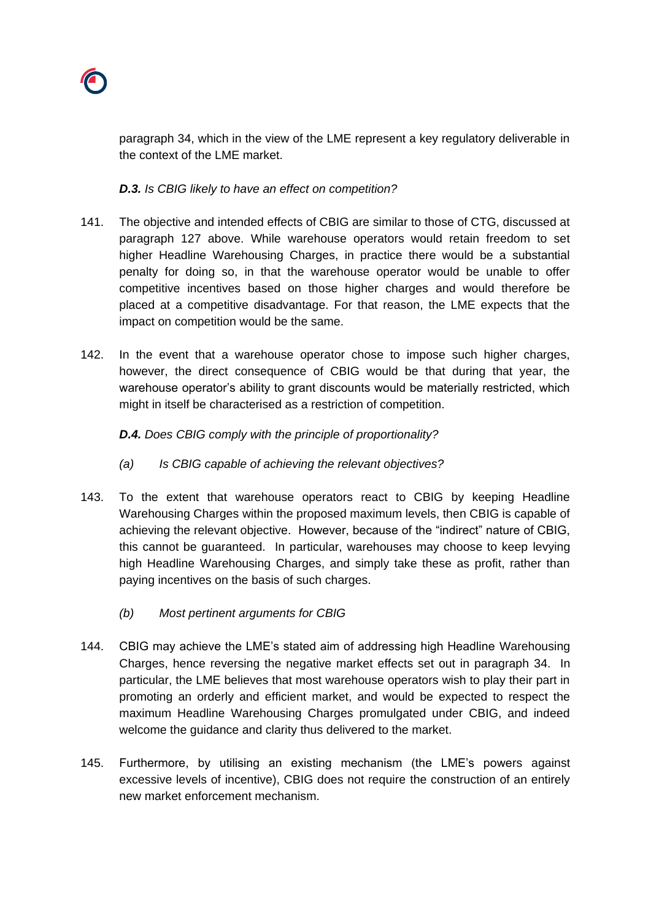

paragraph [34,](#page-10-2) which in the view of the LME represent a key regulatory deliverable in the context of the LME market.

*D.3. Is CBIG likely to have an effect on competition?* 

- 141. The objective and intended effects of CBIG are similar to those of CTG, discussed at paragraph [127](#page-46-0) above. While warehouse operators would retain freedom to set higher Headline Warehousing Charges, in practice there would be a substantial penalty for doing so, in that the warehouse operator would be unable to offer competitive incentives based on those higher charges and would therefore be placed at a competitive disadvantage. For that reason, the LME expects that the impact on competition would be the same.
- 142. In the event that a warehouse operator chose to impose such higher charges, however, the direct consequence of CBIG would be that during that year, the warehouse operator's ability to grant discounts would be materially restricted, which might in itself be characterised as a restriction of competition.

# *D.4. Does CBIG comply with the principle of proportionality?*

- *(a) Is CBIG capable of achieving the relevant objectives?*
- 143. To the extent that warehouse operators react to CBIG by keeping Headline Warehousing Charges within the proposed maximum levels, then CBIG is capable of achieving the relevant objective. However, because of the "indirect" nature of CBIG, this cannot be guaranteed. In particular, warehouses may choose to keep levying high Headline Warehousing Charges, and simply take these as profit, rather than paying incentives on the basis of such charges.
	- *(b) Most pertinent arguments for CBIG*
- 144. CBIG may achieve the LME's stated aim of addressing high Headline Warehousing Charges, hence reversing the negative market effects set out in paragraph [34.](#page-10-2) In particular, the LME believes that most warehouse operators wish to play their part in promoting an orderly and efficient market, and would be expected to respect the maximum Headline Warehousing Charges promulgated under CBIG, and indeed welcome the guidance and clarity thus delivered to the market.
- 145. Furthermore, by utilising an existing mechanism (the LME's powers against excessive levels of incentive), CBIG does not require the construction of an entirely new market enforcement mechanism.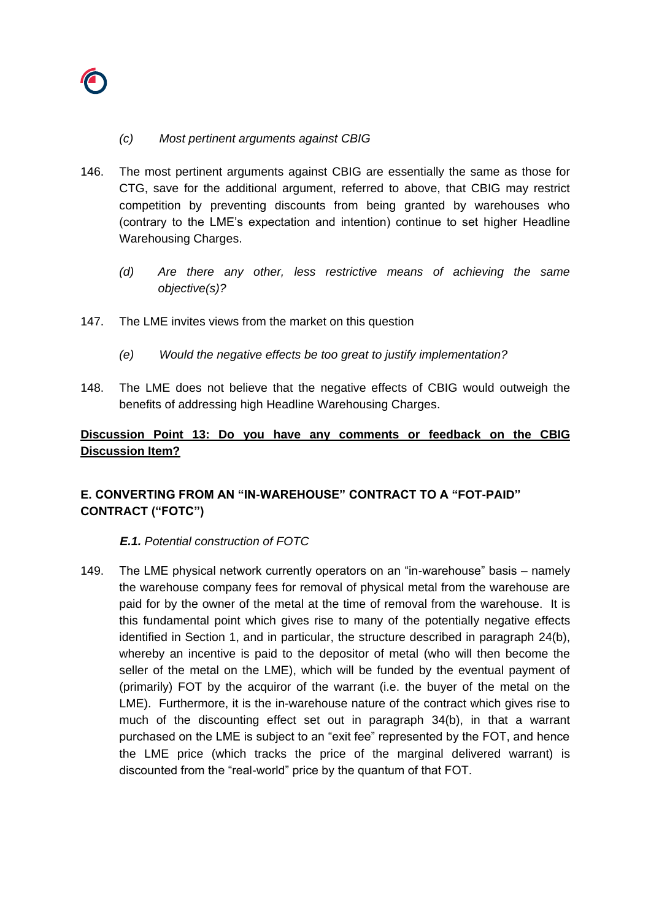

## *(c) Most pertinent arguments against CBIG*

- 146. The most pertinent arguments against CBIG are essentially the same as those for CTG, save for the additional argument, referred to above, that CBIG may restrict competition by preventing discounts from being granted by warehouses who (contrary to the LME's expectation and intention) continue to set higher Headline Warehousing Charges.
	- *(d) Are there any other, less restrictive means of achieving the same objective(s)?*
- 147. The LME invites views from the market on this question
	- *(e) Would the negative effects be too great to justify implementation?*
- 148. The LME does not believe that the negative effects of CBIG would outweigh the benefits of addressing high Headline Warehousing Charges.

# **Discussion Point 13: Do you have any comments or feedback on the CBIG Discussion Item?**

# **E. CONVERTING FROM AN "IN-WAREHOUSE" CONTRACT TO A "FOT-PAID" CONTRACT ("FOTC")**

## *E.1. Potential construction of FOTC*

149. The LME physical network currently operators on an "in-warehouse" basis – namely the warehouse company fees for removal of physical metal from the warehouse are paid for by the owner of the metal at the time of removal from the warehouse. It is this fundamental point which gives rise to many of the potentially negative effects identified in Section 1, and in particular, the structure described in paragraph [24\(b\),](#page-6-0) whereby an incentive is paid to the depositor of metal (who will then become the seller of the metal on the LME), which will be funded by the eventual payment of (primarily) FOT by the acquiror of the warrant (i.e. the buyer of the metal on the LME). Furthermore, it is the in-warehouse nature of the contract which gives rise to much of the discounting effect set out in paragraph [34\(b\),](#page-10-2) in that a warrant purchased on the LME is subject to an "exit fee" represented by the FOT, and hence the LME price (which tracks the price of the marginal delivered warrant) is discounted from the "real-world" price by the quantum of that FOT.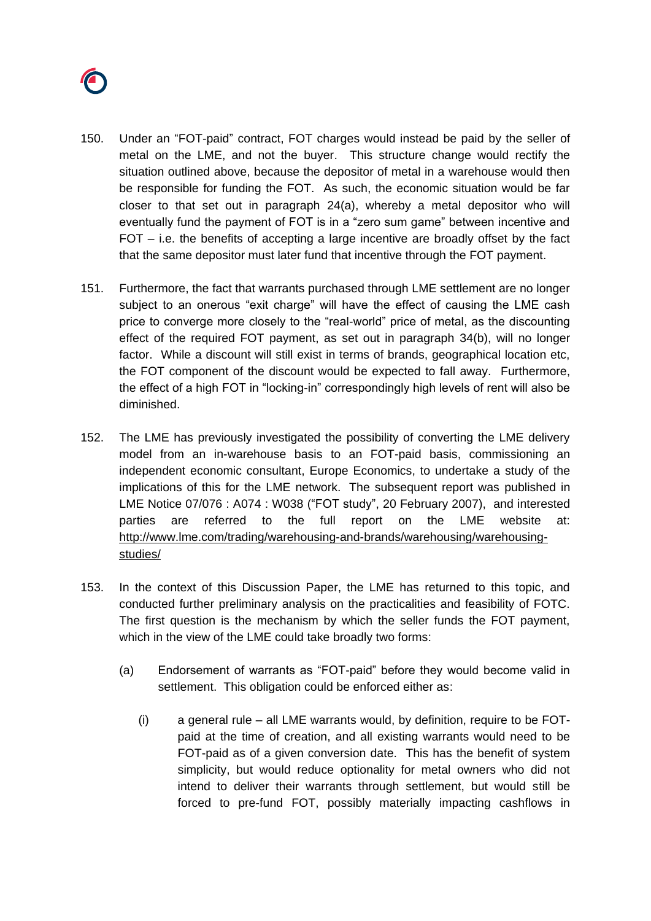

- 150. Under an "FOT-paid" contract, FOT charges would instead be paid by the seller of metal on the LME, and not the buyer. This structure change would rectify the situation outlined above, because the depositor of metal in a warehouse would then be responsible for funding the FOT. As such, the economic situation would be far closer to that set out in paragraph [24\(a\),](#page-6-0) whereby a metal depositor who will eventually fund the payment of FOT is in a "zero sum game" between incentive and FOT – i.e. the benefits of accepting a large incentive are broadly offset by the fact that the same depositor must later fund that incentive through the FOT payment.
- 151. Furthermore, the fact that warrants purchased through LME settlement are no longer subject to an onerous "exit charge" will have the effect of causing the LME cash price to converge more closely to the "real-world" price of metal, as the discounting effect of the required FOT payment, as set out in paragraph [34\(b\),](#page-10-2) will no longer factor. While a discount will still exist in terms of brands, geographical location etc, the FOT component of the discount would be expected to fall away. Furthermore, the effect of a high FOT in "locking-in" correspondingly high levels of rent will also be diminished.
- 152. The LME has previously investigated the possibility of converting the LME delivery model from an in-warehouse basis to an FOT-paid basis, commissioning an independent economic consultant, Europe Economics, to undertake a study of the implications of this for the LME network. The subsequent report was published in LME Notice 07/076 : A074 : W038 ("FOT study", 20 February 2007), and interested parties are referred to the full report on the LME website at: [http://www.lme.com/trading/warehousing-and-brands/warehousing/warehousing](http://www.lme.com/trading/warehousing-and-brands/warehousing/warehousing-studies/)[studies/](http://www.lme.com/trading/warehousing-and-brands/warehousing/warehousing-studies/)
- <span id="page-51-1"></span><span id="page-51-0"></span>153. In the context of this Discussion Paper, the LME has returned to this topic, and conducted further preliminary analysis on the practicalities and feasibility of FOTC. The first question is the mechanism by which the seller funds the FOT payment, which in the view of the LME could take broadly two forms:
	- (a) Endorsement of warrants as "FOT-paid" before they would become valid in settlement. This obligation could be enforced either as:
		- (i) a general rule all LME warrants would, by definition, require to be FOTpaid at the time of creation, and all existing warrants would need to be FOT-paid as of a given conversion date. This has the benefit of system simplicity, but would reduce optionality for metal owners who did not intend to deliver their warrants through settlement, but would still be forced to pre-fund FOT, possibly materially impacting cashflows in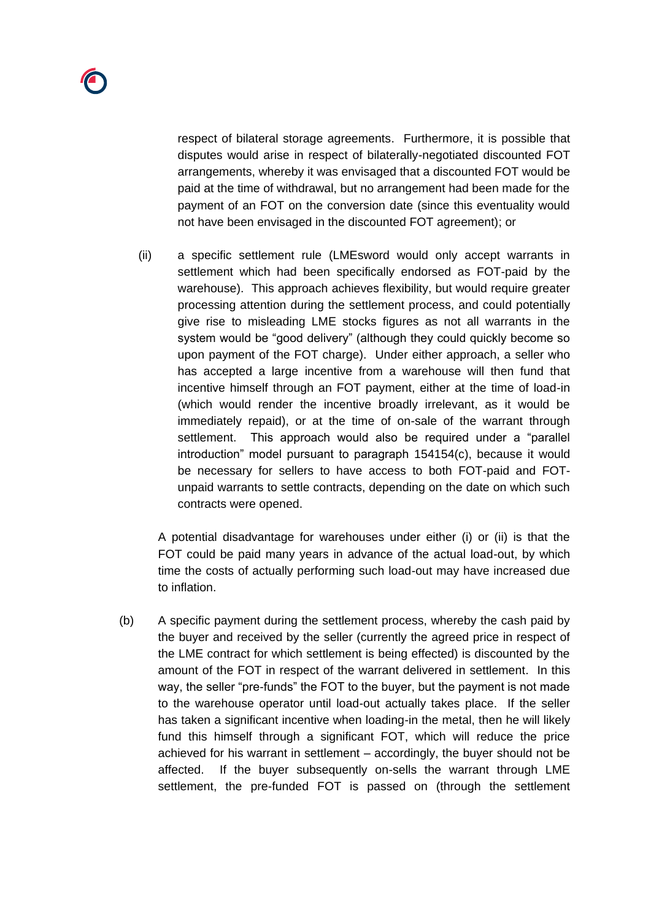respect of bilateral storage agreements. Furthermore, it is possible that disputes would arise in respect of bilaterally-negotiated discounted FOT arrangements, whereby it was envisaged that a discounted FOT would be paid at the time of withdrawal, but no arrangement had been made for the payment of an FOT on the conversion date (since this eventuality would not have been envisaged in the discounted FOT agreement); or

(ii) a specific settlement rule (LMEsword would only accept warrants in settlement which had been specifically endorsed as FOT-paid by the warehouse). This approach achieves flexibility, but would require greater processing attention during the settlement process, and could potentially give rise to misleading LME stocks figures as not all warrants in the system would be "good delivery" (although they could quickly become so upon payment of the FOT charge). Under either approach, a seller who has accepted a large incentive from a warehouse will then fund that incentive himself through an FOT payment, either at the time of load-in (which would render the incentive broadly irrelevant, as it would be immediately repaid), or at the time of on-sale of the warrant through settlement. This approach would also be required under a "parallel introduction" model pursuant to paragraph [154154](#page-53-0)[\(c\),](#page-54-0) because it would be necessary for sellers to have access to both FOT-paid and FOTunpaid warrants to settle contracts, depending on the date on which such contracts were opened.

A potential disadvantage for warehouses under either (i) or (ii) is that the FOT could be paid many years in advance of the actual load-out, by which time the costs of actually performing such load-out may have increased due to inflation.

<span id="page-52-0"></span>(b) A specific payment during the settlement process, whereby the cash paid by the buyer and received by the seller (currently the agreed price in respect of the LME contract for which settlement is being effected) is discounted by the amount of the FOT in respect of the warrant delivered in settlement. In this way, the seller "pre-funds" the FOT to the buyer, but the payment is not made to the warehouse operator until load-out actually takes place. If the seller has taken a significant incentive when loading-in the metal, then he will likely fund this himself through a significant FOT, which will reduce the price achieved for his warrant in settlement – accordingly, the buyer should not be affected. If the buyer subsequently on-sells the warrant through LME settlement, the pre-funded FOT is passed on (through the settlement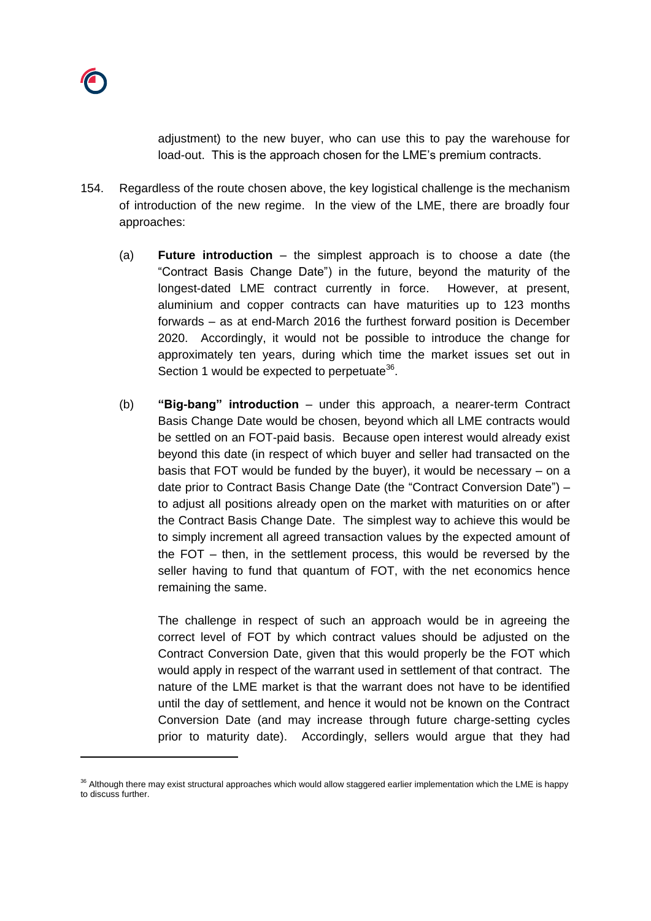

adjustment) to the new buyer, who can use this to pay the warehouse for load-out. This is the approach chosen for the LME's premium contracts.

- <span id="page-53-0"></span>154. Regardless of the route chosen above, the key logistical challenge is the mechanism of introduction of the new regime. In the view of the LME, there are broadly four approaches:
	- (a) **Future introduction** the simplest approach is to choose a date (the "Contract Basis Change Date") in the future, beyond the maturity of the longest-dated LME contract currently in force. However, at present, aluminium and copper contracts can have maturities up to 123 months forwards – as at end-March 2016 the furthest forward position is December 2020. Accordingly, it would not be possible to introduce the change for approximately ten years, during which time the market issues set out in Section 1 would be expected to perpetuate<sup>36</sup>.
	- (b) **"Big-bang" introduction** under this approach, a nearer-term Contract Basis Change Date would be chosen, beyond which all LME contracts would be settled on an FOT-paid basis. Because open interest would already exist beyond this date (in respect of which buyer and seller had transacted on the basis that FOT would be funded by the buyer), it would be necessary – on a date prior to Contract Basis Change Date (the "Contract Conversion Date") – to adjust all positions already open on the market with maturities on or after the Contract Basis Change Date. The simplest way to achieve this would be to simply increment all agreed transaction values by the expected amount of the FOT – then, in the settlement process, this would be reversed by the seller having to fund that quantum of FOT, with the net economics hence remaining the same.

The challenge in respect of such an approach would be in agreeing the correct level of FOT by which contract values should be adjusted on the Contract Conversion Date, given that this would properly be the FOT which would apply in respect of the warrant used in settlement of that contract. The nature of the LME market is that the warrant does not have to be identified until the day of settlement, and hence it would not be known on the Contract Conversion Date (and may increase through future charge-setting cycles prior to maturity date). Accordingly, sellers would argue that they had

 $36$  Although there may exist structural approaches which would allow staggered earlier implementation which the LME is happy to discuss further.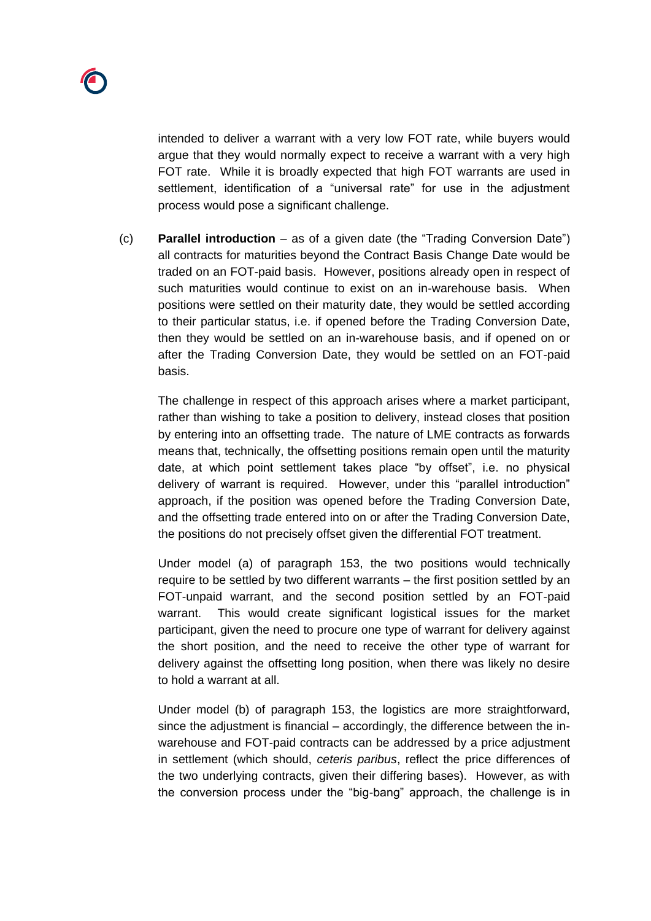intended to deliver a warrant with a very low FOT rate, while buyers would argue that they would normally expect to receive a warrant with a very high FOT rate. While it is broadly expected that high FOT warrants are used in settlement, identification of a "universal rate" for use in the adjustment process would pose a significant challenge.

<span id="page-54-0"></span>(c) **Parallel introduction** – as of a given date (the "Trading Conversion Date") all contracts for maturities beyond the Contract Basis Change Date would be traded on an FOT-paid basis. However, positions already open in respect of such maturities would continue to exist on an in-warehouse basis. When positions were settled on their maturity date, they would be settled according to their particular status, i.e. if opened before the Trading Conversion Date, then they would be settled on an in-warehouse basis, and if opened on or after the Trading Conversion Date, they would be settled on an FOT-paid basis.

The challenge in respect of this approach arises where a market participant, rather than wishing to take a position to delivery, instead closes that position by entering into an offsetting trade. The nature of LME contracts as forwards means that, technically, the offsetting positions remain open until the maturity date, at which point settlement takes place "by offset", i.e. no physical delivery of warrant is required. However, under this "parallel introduction" approach, if the position was opened before the Trading Conversion Date, and the offsetting trade entered into on or after the Trading Conversion Date, the positions do not precisely offset given the differential FOT treatment.

Under model [\(a\)](#page-51-0) of paragraph [153,](#page-51-1) the two positions would technically require to be settled by two different warrants – the first position settled by an FOT-unpaid warrant, and the second position settled by an FOT-paid warrant. This would create significant logistical issues for the market participant, given the need to procure one type of warrant for delivery against the short position, and the need to receive the other type of warrant for delivery against the offsetting long position, when there was likely no desire to hold a warrant at all.

Under model [\(b\)](#page-52-0) of paragraph [153,](#page-51-1) the logistics are more straightforward, since the adjustment is financial – accordingly, the difference between the inwarehouse and FOT-paid contracts can be addressed by a price adjustment in settlement (which should, *ceteris paribus*, reflect the price differences of the two underlying contracts, given their differing bases). However, as with the conversion process under the "big-bang" approach, the challenge is in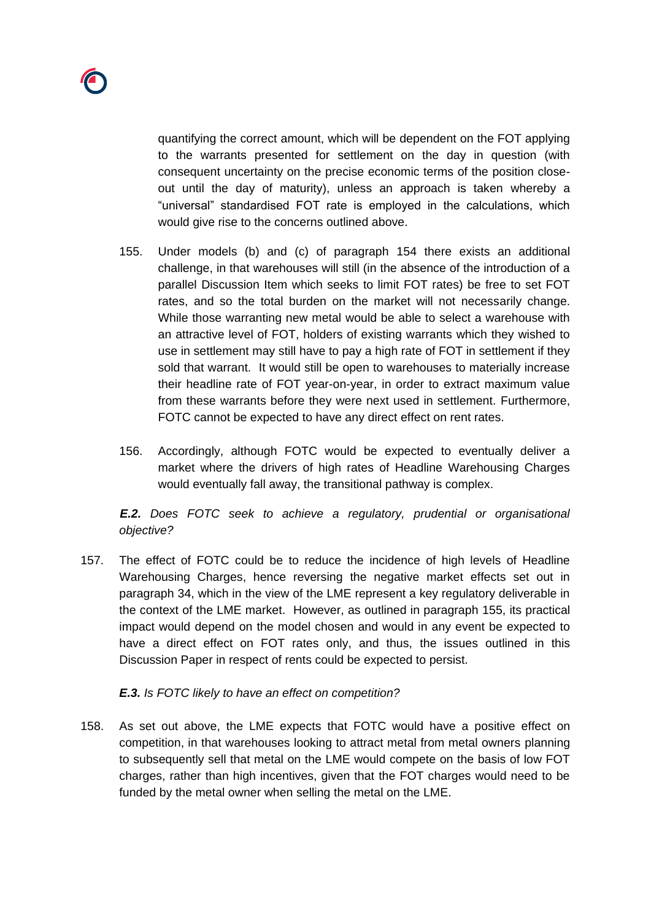quantifying the correct amount, which will be dependent on the FOT applying to the warrants presented for settlement on the day in question (with consequent uncertainty on the precise economic terms of the position closeout until the day of maturity), unless an approach is taken whereby a "universal" standardised FOT rate is employed in the calculations, which would give rise to the concerns outlined above.

- <span id="page-55-0"></span>155. Under models (b) and (c) of paragraph [154](#page-53-0) there exists an additional challenge, in that warehouses will still (in the absence of the introduction of a parallel Discussion Item which seeks to limit FOT rates) be free to set FOT rates, and so the total burden on the market will not necessarily change. While those warranting new metal would be able to select a warehouse with an attractive level of FOT, holders of existing warrants which they wished to use in settlement may still have to pay a high rate of FOT in settlement if they sold that warrant. It would still be open to warehouses to materially increase their headline rate of FOT year-on-year, in order to extract maximum value from these warrants before they were next used in settlement. Furthermore, FOTC cannot be expected to have any direct effect on rent rates.
- 156. Accordingly, although FOTC would be expected to eventually deliver a market where the drivers of high rates of Headline Warehousing Charges would eventually fall away, the transitional pathway is complex.

*E.2. Does FOTC seek to achieve a regulatory, prudential or organisational objective?*

157. The effect of FOTC could be to reduce the incidence of high levels of Headline Warehousing Charges, hence reversing the negative market effects set out in paragraph [34,](#page-10-2) which in the view of the LME represent a key regulatory deliverable in the context of the LME market. However, as outlined in paragraph [155,](#page-55-0) its practical impact would depend on the model chosen and would in any event be expected to have a direct effect on FOT rates only, and thus, the issues outlined in this Discussion Paper in respect of rents could be expected to persist.

# *E.3. Is FOTC likely to have an effect on competition?*

158. As set out above, the LME expects that FOTC would have a positive effect on competition, in that warehouses looking to attract metal from metal owners planning to subsequently sell that metal on the LME would compete on the basis of low FOT charges, rather than high incentives, given that the FOT charges would need to be funded by the metal owner when selling the metal on the LME.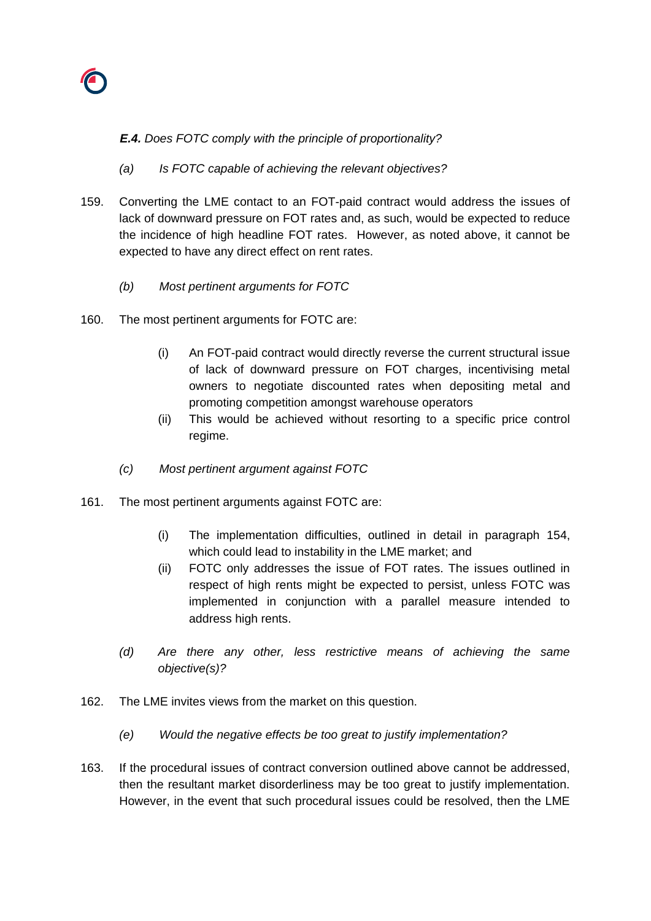

## *E.4. Does FOTC comply with the principle of proportionality?*

- *(a) Is FOTC capable of achieving the relevant objectives?*
- 159. Converting the LME contact to an FOT-paid contract would address the issues of lack of downward pressure on FOT rates and, as such, would be expected to reduce the incidence of high headline FOT rates. However, as noted above, it cannot be expected to have any direct effect on rent rates.
	- *(b) Most pertinent arguments for FOTC*
- 160. The most pertinent arguments for FOTC are:
	- (i) An FOT-paid contract would directly reverse the current structural issue of lack of downward pressure on FOT charges, incentivising metal owners to negotiate discounted rates when depositing metal and promoting competition amongst warehouse operators
	- (ii) This would be achieved without resorting to a specific price control regime.
	- *(c) Most pertinent argument against FOTC*
- 161. The most pertinent arguments against FOTC are:
	- (i) The implementation difficulties, outlined in detail in paragraph [154,](#page-53-0) which could lead to instability in the LME market; and
	- (ii) FOTC only addresses the issue of FOT rates. The issues outlined in respect of high rents might be expected to persist, unless FOTC was implemented in conjunction with a parallel measure intended to address high rents.
	- *(d) Are there any other, less restrictive means of achieving the same objective(s)?*
- 162. The LME invites views from the market on this question.
	- *(e) Would the negative effects be too great to justify implementation?*
- 163. If the procedural issues of contract conversion outlined above cannot be addressed, then the resultant market disorderliness may be too great to justify implementation. However, in the event that such procedural issues could be resolved, then the LME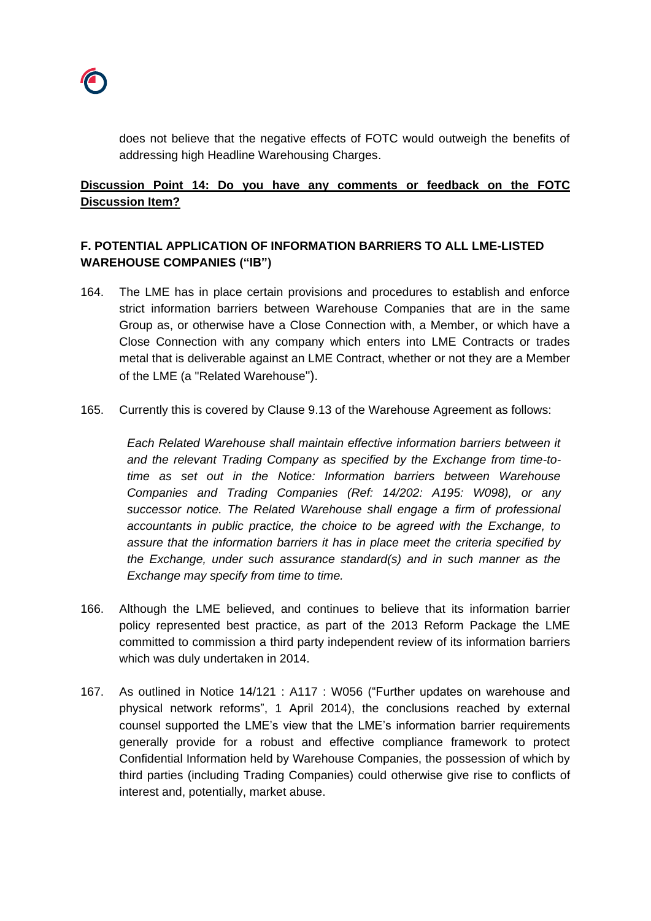

does not believe that the negative effects of FOTC would outweigh the benefits of addressing high Headline Warehousing Charges.

# **Discussion Point 14: Do you have any comments or feedback on the FOTC Discussion Item?**

# **F. POTENTIAL APPLICATION OF INFORMATION BARRIERS TO ALL LME-LISTED WAREHOUSE COMPANIES ("IB")**

- 164. The LME has in place certain provisions and procedures to establish and enforce strict information barriers between Warehouse Companies that are in the same Group as, or otherwise have a Close Connection with, a Member, or which have a Close Connection with any company which enters into LME Contracts or trades metal that is deliverable against an LME Contract, whether or not they are a Member of the LME (a "Related Warehouse").
- 165. Currently this is covered by Clause 9.13 of the Warehouse Agreement as follows:

*Each Related Warehouse shall maintain effective information barriers between it and the relevant Trading Company as specified by the Exchange from time-totime as set out in the Notice: Information barriers between Warehouse Companies and Trading Companies (Ref: 14/202: A195: W098), or any successor notice. The Related Warehouse shall engage a firm of professional accountants in public practice, the choice to be agreed with the Exchange, to assure that the information barriers it has in place meet the criteria specified by the Exchange, under such assurance standard(s) and in such manner as the Exchange may specify from time to time.*

- 166. Although the LME believed, and continues to believe that its information barrier policy represented best practice, as part of the 2013 Reform Package the LME committed to commission a third party independent review of its information barriers which was duly undertaken in 2014.
- 167. As outlined in Notice 14/121 : A117 : W056 ("Further updates on warehouse and physical network reforms", 1 April 2014), the conclusions reached by external counsel supported the LME's view that the LME's information barrier requirements generally provide for a robust and effective compliance framework to protect Confidential Information held by Warehouse Companies, the possession of which by third parties (including Trading Companies) could otherwise give rise to conflicts of interest and, potentially, market abuse.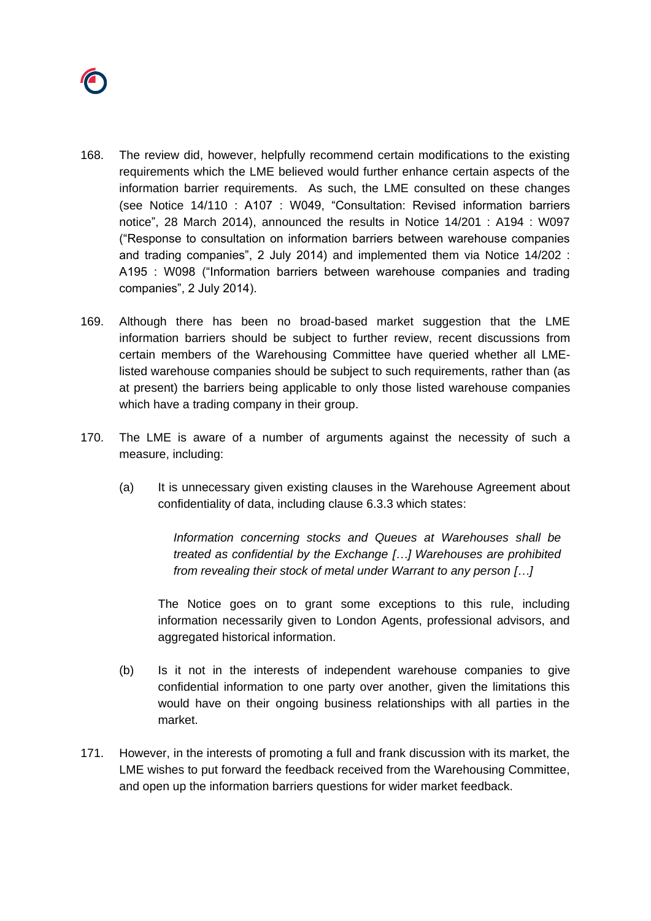

- 168. The review did, however, helpfully recommend certain modifications to the existing requirements which the LME believed would further enhance certain aspects of the information barrier requirements. As such, the LME consulted on these changes (see Notice 14/110 : A107 : W049, "Consultation: Revised information barriers notice", 28 March 2014), announced the results in Notice 14/201 : A194 : W097 ("Response to consultation on information barriers between warehouse companies and trading companies", 2 July 2014) and implemented them via Notice 14/202 : A195 : W098 ("Information barriers between warehouse companies and trading companies", 2 July 2014).
- 169. Although there has been no broad-based market suggestion that the LME information barriers should be subject to further review, recent discussions from certain members of the Warehousing Committee have queried whether all LMElisted warehouse companies should be subject to such requirements, rather than (as at present) the barriers being applicable to only those listed warehouse companies which have a trading company in their group.
- 170. The LME is aware of a number of arguments against the necessity of such a measure, including:
	- (a) It is unnecessary given existing clauses in the Warehouse Agreement about confidentiality of data, including clause 6.3.3 which states:

*Information concerning stocks and Queues at Warehouses shall be treated as confidential by the Exchange […] Warehouses are prohibited from revealing their stock of metal under Warrant to any person […]*

The Notice goes on to grant some exceptions to this rule, including information necessarily given to London Agents, professional advisors, and aggregated historical information.

- (b) Is it not in the interests of independent warehouse companies to give confidential information to one party over another, given the limitations this would have on their ongoing business relationships with all parties in the market.
- 171. However, in the interests of promoting a full and frank discussion with its market, the LME wishes to put forward the feedback received from the Warehousing Committee, and open up the information barriers questions for wider market feedback.